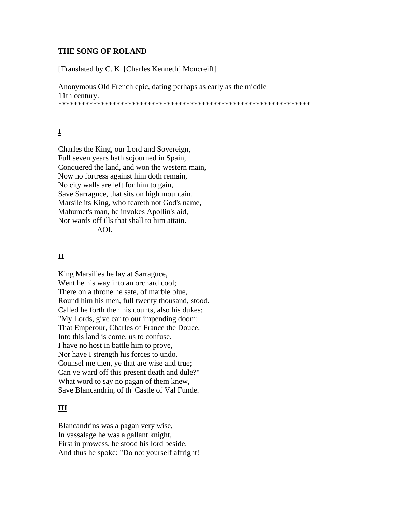#### **THE SONG OF ROLAND**

[Translated by C. K. [Charles Kenneth] Moncreiff]

Anonymous Old French epic, dating perhaps as early as the middle 11th century. \*\*\*\*\*\*\*\*\*\*\*\*\*\*\*\*\*\*\*\*\*\*\*\*\*\*\*\*\*\*\*\*\*\*\*\*\*\*\*\*\*\*\*\*\*\*\*\*\*\*\*\*\*\*\*\*\*\*\*\*\*\*\*\*\*

# **I**

Charles the King, our Lord and Sovereign, Full seven years hath sojourned in Spain, Conquered the land, and won the western main, Now no fortress against him doth remain, No city walls are left for him to gain, Save Sarraguce, that sits on high mountain. Marsile its King, who feareth not God's name, Mahumet's man, he invokes Apollin's aid, Nor wards off ills that shall to him attain.

AOI.

# **II**

King Marsilies he lay at Sarraguce, Went he his way into an orchard cool; There on a throne he sate, of marble blue, Round him his men, full twenty thousand, stood. Called he forth then his counts, also his dukes: "My Lords, give ear to our impending doom: That Emperour, Charles of France the Douce, Into this land is come, us to confuse. I have no host in battle him to prove, Nor have I strength his forces to undo. Counsel me then, ye that are wise and true; Can ye ward off this present death and dule?" What word to say no pagan of them knew, Save Blancandrin, of th' Castle of Val Funde.

## **III**

Blancandrins was a pagan very wise, In vassalage he was a gallant knight, First in prowess, he stood his lord beside. And thus he spoke: "Do not yourself affright!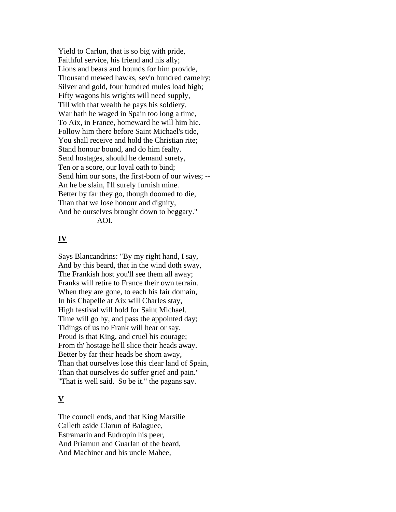Yield to Carlun, that is so big with pride, Faithful service, his friend and his ally; Lions and bears and hounds for him provide, Thousand mewed hawks, sev'n hundred camelry; Silver and gold, four hundred mules load high; Fifty wagons his wrights will need supply, Till with that wealth he pays his soldiery. War hath he waged in Spain too long a time, To Aix, in France, homeward he will him hie. Follow him there before Saint Michael's tide, You shall receive and hold the Christian rite; Stand honour bound, and do him fealty. Send hostages, should he demand surety, Ten or a score, our loyal oath to bind; Send him our sons, the first-born of our wives; -- An he be slain, I'll surely furnish mine. Better by far they go, though doomed to die, Than that we lose honour and dignity, And be ourselves brought down to beggary." AOI.

#### **IV**

Says Blancandrins: "By my right hand, I say, And by this beard, that in the wind doth sway, The Frankish host you'll see them all away; Franks will retire to France their own terrain. When they are gone, to each his fair domain, In his Chapelle at Aix will Charles stay, High festival will hold for Saint Michael. Time will go by, and pass the appointed day; Tidings of us no Frank will hear or say. Proud is that King, and cruel his courage; From th' hostage he'll slice their heads away. Better by far their heads be shorn away, Than that ourselves lose this clear land of Spain, Than that ourselves do suffer grief and pain." "That is well said. So be it." the pagans say.

## **V**

The council ends, and that King Marsilie Calleth aside Clarun of Balaguee, Estramarin and Eudropin his peer, And Priamun and Guarlan of the beard, And Machiner and his uncle Mahee,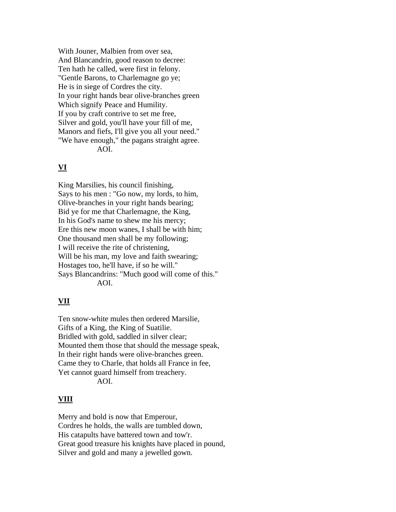With Jouner, Malbien from over sea, And Blancandrin, good reason to decree: Ten hath he called, were first in felony. "Gentle Barons, to Charlemagne go ye; He is in siege of Cordres the city. In your right hands bear olive-branches green Which signify Peace and Humility. If you by craft contrive to set me free, Silver and gold, you'll have your fill of me, Manors and fiefs, I'll give you all your need." "We have enough," the pagans straight agree. AOI.

## **VI**

King Marsilies, his council finishing, Says to his men : "Go now, my lords, to him, Olive-branches in your right hands bearing; Bid ye for me that Charlemagne, the King, In his God's name to shew me his mercy; Ere this new moon wanes, I shall be with him; One thousand men shall be my following; I will receive the rite of christening, Will be his man, my love and faith swearing; Hostages too, he'll have, if so he will." Says Blancandrins: "Much good will come of this." AOI.

# **VII**

Ten snow-white mules then ordered Marsilie, Gifts of a King, the King of Suatilie. Bridled with gold, saddled in silver clear; Mounted them those that should the message speak, In their right hands were olive-branches green. Came they to Charle, that holds all France in fee, Yet cannot guard himself from treachery. AOI.

## **VIII**

Merry and bold is now that Emperour, Cordres he holds, the walls are tumbled down, His catapults have battered town and tow'r. Great good treasure his knights have placed in pound, Silver and gold and many a jewelled gown.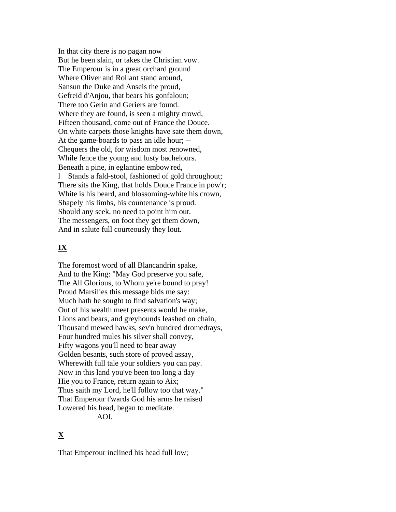In that city there is no pagan now But he been slain, or takes the Christian vow. The Emperour is in a great orchard ground Where Oliver and Rollant stand around, Sansun the Duke and Anseis the proud, Gefreid d'Anjou, that bears his gonfaloun; There too Gerin and Geriers are found. Where they are found, is seen a mighty crowd, Fifteen thousand, come out of France the Douce. On white carpets those knights have sate them down, At the game-boards to pass an idle hour; -- Chequers the old, for wisdom most renowned, While fence the young and lusty bachelours. Beneath a pine, in eglantine embow'red, l Stands a fald-stool, fashioned of gold throughout; There sits the King, that holds Douce France in pow'r; White is his beard, and blossoming-white his crown, Shapely his limbs, his countenance is proud. Should any seek, no need to point him out. The messengers, on foot they get them down, And in salute full courteously they lout.

## **IX**

The foremost word of all Blancandrin spake, And to the King: "May God preserve you safe, The All Glorious, to Whom ye're bound to pray! Proud Marsilies this message bids me say: Much hath he sought to find salvation's way; Out of his wealth meet presents would he make, Lions and bears, and greyhounds leashed on chain, Thousand mewed hawks, sev'n hundred dromedrays, Four hundred mules his silver shall convey, Fifty wagons you'll need to bear away Golden besants, such store of proved assay, Wherewith full tale your soldiers you can pay. Now in this land you've been too long a day Hie you to France, return again to Aix; Thus saith my Lord, he'll follow too that way." That Emperour t'wards God his arms he raised Lowered his head, began to meditate. AOI.

# **X**

That Emperour inclined his head full low;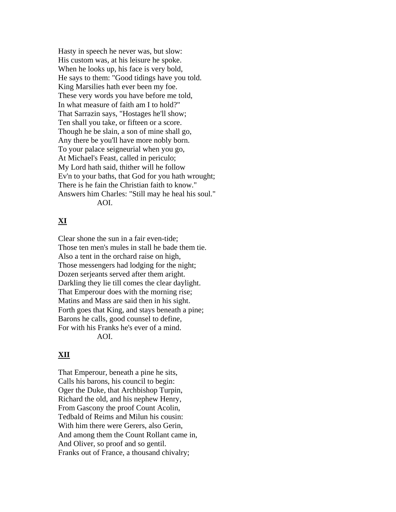Hasty in speech he never was, but slow: His custom was, at his leisure he spoke. When he looks up, his face is very bold, He says to them: "Good tidings have you told. King Marsilies hath ever been my foe. These very words you have before me told, In what measure of faith am I to hold?" That Sarrazin says, "Hostages he'll show; Ten shall you take, or fifteen or a score. Though he be slain, a son of mine shall go, Any there be you'll have more nobly born. To your palace seigneurial when you go, At Michael's Feast, called in periculo; My Lord hath said, thither will he follow Ev'n to your baths, that God for you hath wrought; There is he fain the Christian faith to know." Answers him Charles: "Still may he heal his soul." AOI.

## **XI**

Clear shone the sun in a fair even-tide; Those ten men's mules in stall he bade them tie. Also a tent in the orchard raise on high, Those messengers had lodging for the night; Dozen serjeants served after them aright. Darkling they lie till comes the clear daylight. That Emperour does with the morning rise; Matins and Mass are said then in his sight. Forth goes that King, and stays beneath a pine; Barons he calls, good counsel to define, For with his Franks he's ever of a mind. AOI.

## **XII**

That Emperour, beneath a pine he sits, Calls his barons, his council to begin: Oger the Duke, that Archbishop Turpin, Richard the old, and his nephew Henry, From Gascony the proof Count Acolin, Tedbald of Reims and Milun his cousin: With him there were Gerers, also Gerin, And among them the Count Rollant came in, And Oliver, so proof and so gentil. Franks out of France, a thousand chivalry;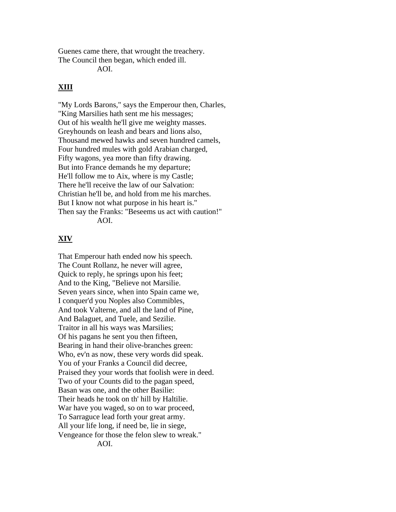Guenes came there, that wrought the treachery. The Council then began, which ended ill.

AOI.

## **XIII**

"My Lords Barons," says the Emperour then, Charles, "King Marsilies hath sent me his messages; Out of his wealth he'll give me weighty masses. Greyhounds on leash and bears and lions also, Thousand mewed hawks and seven hundred camels, Four hundred mules with gold Arabian charged, Fifty wagons, yea more than fifty drawing. But into France demands he my departure; He'll follow me to Aix, where is my Castle; There he'll receive the law of our Salvation: Christian he'll be, and hold from me his marches. But I know not what purpose in his heart is." Then say the Franks: "Beseems us act with caution!" AOI.

#### **XIV**

That Emperour hath ended now his speech. The Count Rollanz, he never will agree, Quick to reply, he springs upon his feet; And to the King, "Believe not Marsilie. Seven years since, when into Spain came we, I conquer'd you Noples also Commibles, And took Valterne, and all the land of Pine, And Balaguet, and Tuele, and Sezilie. Traitor in all his ways was Marsilies; Of his pagans he sent you then fifteen, Bearing in hand their olive-branches green: Who, ev'n as now, these very words did speak. You of your Franks a Council did decree, Praised they your words that foolish were in deed. Two of your Counts did to the pagan speed, Basan was one, and the other Basilie: Their heads he took on th' hill by Haltilie. War have you waged, so on to war proceed, To Sarraguce lead forth your great army. All your life long, if need be, lie in siege, Vengeance for those the felon slew to wreak." AOI.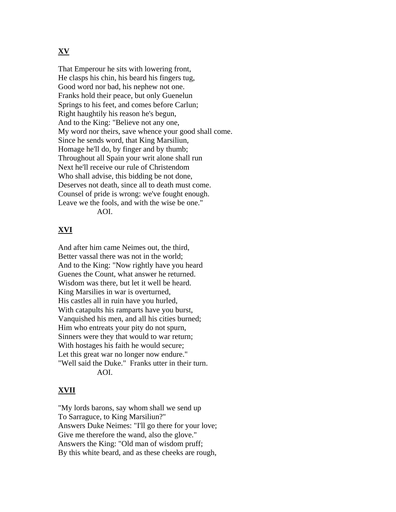## **XV**

That Emperour he sits with lowering front, He clasps his chin, his beard his fingers tug, Good word nor bad, his nephew not one. Franks hold their peace, but only Guenelun Springs to his feet, and comes before Carlun; Right haughtily his reason he's begun, And to the King: "Believe not any one, My word nor theirs, save whence your good shall come. Since he sends word, that King Marsiliun, Homage he'll do, by finger and by thumb; Throughout all Spain your writ alone shall run Next he'll receive our rule of Christendom Who shall advise, this bidding be not done, Deserves not death, since all to death must come. Counsel of pride is wrong: we've fought enough. Leave we the fools, and with the wise be one." AOI.

## **XVI**

And after him came Neimes out, the third, Better vassal there was not in the world; And to the King: "Now rightly have you heard Guenes the Count, what answer he returned. Wisdom was there, but let it well be heard. King Marsilies in war is overturned, His castles all in ruin have you hurled, With catapults his ramparts have you burst, Vanquished his men, and all his cities burned; Him who entreats your pity do not spurn, Sinners were they that would to war return; With hostages his faith he would secure; Let this great war no longer now endure." "Well said the Duke." Franks utter in their turn. AOI.

## **XVII**

"My lords barons, say whom shall we send up To Sarraguce, to King Marsiliun?" Answers Duke Neimes: "I'll go there for your love; Give me therefore the wand, also the glove." Answers the King: "Old man of wisdom pruff; By this white beard, and as these cheeks are rough,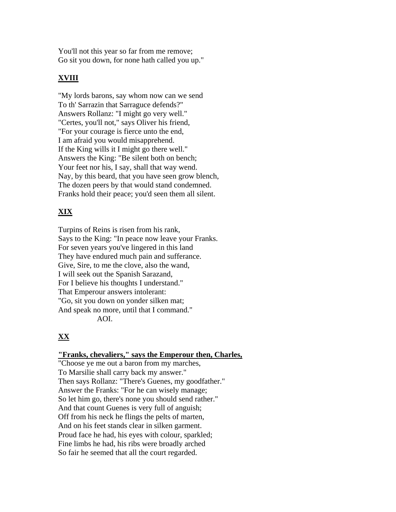You'll not this year so far from me remove; Go sit you down, for none hath called you up."

# **XVIII**

"My lords barons, say whom now can we send To th' Sarrazin that Sarraguce defends?" Answers Rollanz: "I might go very well." "Certes, you'll not," says Oliver his friend, "For your courage is fierce unto the end, I am afraid you would misapprehend. If the King wills it I might go there well." Answers the King: "Be silent both on bench; Your feet nor his, I say, shall that way wend. Nay, by this beard, that you have seen grow blench, The dozen peers by that would stand condemned. Franks hold their peace; you'd seen them all silent.

# **XIX**

Turpins of Reins is risen from his rank, Says to the King: "In peace now leave your Franks. For seven years you've lingered in this land They have endured much pain and sufferance. Give, Sire, to me the clove, also the wand, I will seek out the Spanish Sarazand, For I believe his thoughts I understand." That Emperour answers intolerant: "Go, sit you down on yonder silken mat; And speak no more, until that I command." AOI.

# **XX**

#### **"Franks, chevaliers," says the Emperour then, Charles,**

"Choose ye me out a baron from my marches, To Marsilie shall carry back my answer." Then says Rollanz: "There's Guenes, my goodfather." Answer the Franks: "For he can wisely manage; So let him go, there's none you should send rather." And that count Guenes is very full of anguish; Off from his neck he flings the pelts of marten, And on his feet stands clear in silken garment. Proud face he had, his eyes with colour, sparkled; Fine limbs he had, his ribs were broadly arched So fair he seemed that all the court regarded.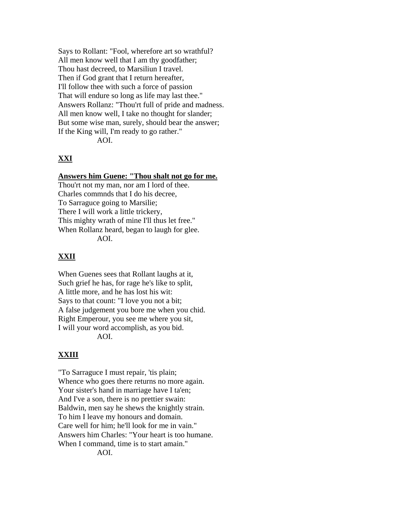Says to Rollant: "Fool, wherefore art so wrathful? All men know well that I am thy goodfather; Thou hast decreed, to Marsiliun I travel. Then if God grant that I return hereafter, I'll follow thee with such a force of passion That will endure so long as life may last thee." Answers Rollanz: "Thou'rt full of pride and madness. All men know well, I take no thought for slander; But some wise man, surely, should bear the answer; If the King will, I'm ready to go rather." AOI.

## **XXI**

#### **Answers him Guene: "Thou shalt not go for me.**

Thou'rt not my man, nor am I lord of thee. Charles commnds that I do his decree, To Sarraguce going to Marsilie; There I will work a little trickery, This mighty wrath of mine I'll thus let free." When Rollanz heard, began to laugh for glee. AOI.

## **XXII**

When Guenes sees that Rollant laughs at it, Such grief he has, for rage he's like to split, A little more, and he has lost his wit: Says to that count: "I love you not a bit; A false judgement you bore me when you chid. Right Emperour, you see me where you sit, I will your word accomplish, as you bid. AOI.

## **XXIII**

"To Sarraguce I must repair, 'tis plain; Whence who goes there returns no more again. Your sister's hand in marriage have I ta'en; And I've a son, there is no prettier swain: Baldwin, men say he shews the knightly strain. To him I leave my honours and domain. Care well for him; he'll look for me in vain." Answers him Charles: "Your heart is too humane. When I command, time is to start amain." AOI.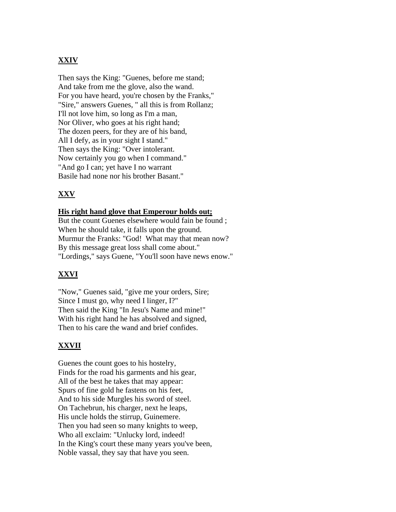# **XXIV**

Then says the King: "Guenes, before me stand; And take from me the glove, also the wand. For you have heard, you're chosen by the Franks," "Sire," answers Guenes, " all this is from Rollanz; I'll not love him, so long as I'm a man, Nor Oliver, who goes at his right hand; The dozen peers, for they are of his band, All I defy, as in your sight I stand." Then says the King: "Over intolerant. Now certainly you go when I command." "And go I can; yet have I no warrant Basile had none nor his brother Basant."

# **XXV**

#### **His right hand glove that Emperour holds out;**

But the count Guenes elsewhere would fain be found ; When he should take, it falls upon the ground. Murmur the Franks: "God! What may that mean now? By this message great loss shall come about." "Lordings," says Guene, "You'll soon have news enow."

## **XXVI**

"Now," Guenes said, "give me your orders, Sire; Since I must go, why need I linger, I?" Then said the King "In Jesu's Name and mine!" With his right hand he has absolved and signed, Then to his care the wand and brief confides.

## **XXVII**

Guenes the count goes to his hostelry, Finds for the road his garments and his gear, All of the best he takes that may appear: Spurs of fine gold he fastens on his feet, And to his side Murgles his sword of steel. On Tachebrun, his charger, next he leaps, His uncle holds the stirrup, Guinemere. Then you had seen so many knights to weep, Who all exclaim: "Unlucky lord, indeed! In the King's court these many years you've been, Noble vassal, they say that have you seen.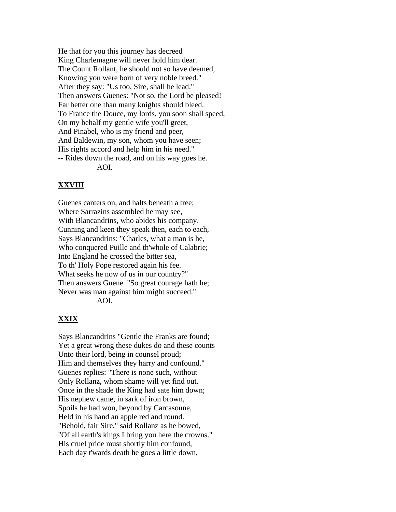He that for you this journey has decreed King Charlemagne will never hold him dear. The Count Rollant, he should not so have deemed, Knowing you were born of very noble breed." After they say: "Us too, Sire, shall he lead." Then answers Guenes: "Not so, the Lord be pleased! Far better one than many knights should bleed. To France the Douce, my lords, you soon shall speed, On my behalf my gentle wife you'll greet, And Pinabel, who is my friend and peer, And Baldewin, my son, whom you have seen; His rights accord and help him in his need." -- Rides down the road, and on his way goes he. AOI.

#### **XXVIII**

Guenes canters on, and halts beneath a tree; Where Sarrazins assembled he may see, With Blancandrins, who abides his company. Cunning and keen they speak then, each to each, Says Blancandrins: "Charles, what a man is he, Who conquered Puille and th'whole of Calabrie; Into England he crossed the bitter sea, To th' Holy Pope restored again his fee. What seeks he now of us in our country?" Then answers Guene "So great courage hath he; Never was man against him might succeed."

AOI.

## **XXIX**

Says Blancandrins "Gentle the Franks are found; Yet a great wrong these dukes do and these counts Unto their lord, being in counsel proud; Him and themselves they harry and confound." Guenes replies: "There is none such, without Only Rollanz, whom shame will yet find out. Once in the shade the King had sate him down; His nephew came, in sark of iron brown, Spoils he had won, beyond by Carcasoune, Held in his hand an apple red and round. "Behold, fair Sire," said Rollanz as he bowed, "Of all earth's kings I bring you here the crowns." His cruel pride must shortly him confound, Each day t'wards death he goes a little down,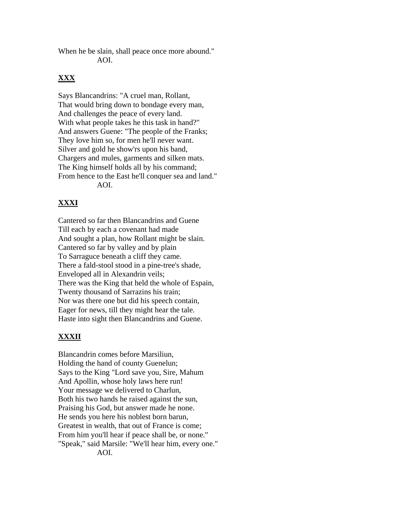When he be slain, shall peace once more abound." AOI.

## **XXX**

Says Blancandrins: "A cruel man, Rollant, That would bring down to bondage every man, And challenges the peace of every land. With what people takes he this task in hand?" And answers Guene: "The people of the Franks; They love him so, for men he'll never want. Silver and gold he show'rs upon his band, Chargers and mules, garments and silken mats. The King himself holds all by his command; From hence to the East he'll conquer sea and land." AOI.

# **XXXI**

Cantered so far then Blancandrins and Guene Till each by each a covenant had made And sought a plan, how Rollant might be slain. Cantered so far by valley and by plain To Sarraguce beneath a cliff they came. There a fald-stool stood in a pine-tree's shade, Enveloped all in Alexandrin veils; There was the King that held the whole of Espain, Twenty thousand of Sarrazins his train; Nor was there one but did his speech contain, Eager for news, till they might hear the tale. Haste into sight then Blancandrins and Guene.

# **XXXII**

Blancandrin comes before Marsiliun, Holding the hand of county Guenelun; Says to the King "Lord save you, Sire, Mahum And Apollin, whose holy laws here run! Your message we delivered to Charlun, Both his two hands he raised against the sun, Praising his God, but answer made he none. He sends you here his noblest born barun, Greatest in wealth, that out of France is come; From him you'll hear if peace shall be, or none." "Speak," said Marsile: "We'll hear him, every one." AOI.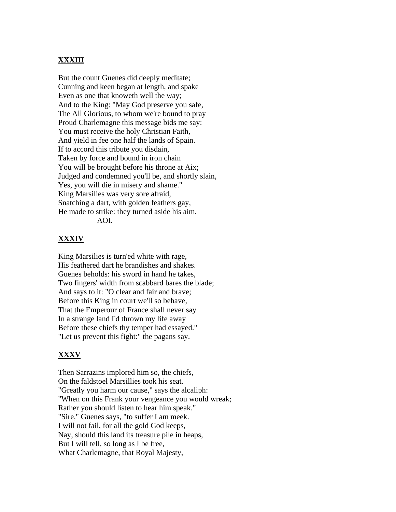## **XXXIII**

But the count Guenes did deeply meditate; Cunning and keen began at length, and spake Even as one that knoweth well the way; And to the King: "May God preserve you safe, The All Glorious, to whom we're bound to pray Proud Charlemagne this message bids me say: You must receive the holy Christian Faith, And yield in fee one half the lands of Spain. If to accord this tribute you disdain, Taken by force and bound in iron chain You will be brought before his throne at Aix; Judged and condemned you'll be, and shortly slain, Yes, you will die in misery and shame." King Marsilies was very sore afraid, Snatching a dart, with golden feathers gay, He made to strike: they turned aside his aim. AOI.

#### **XXXIV**

King Marsilies is turn'ed white with rage, His feathered dart he brandishes and shakes. Guenes beholds: his sword in hand he takes, Two fingers' width from scabbard bares the blade; And says to it: "O clear and fair and brave; Before this King in court we'll so behave, That the Emperour of France shall never say In a strange land I'd thrown my life away Before these chiefs thy temper had essayed." "Let us prevent this fight:" the pagans say.

#### **XXXV**

Then Sarrazins implored him so, the chiefs, On the faldstoel Marsillies took his seat. "Greatly you harm our cause," says the alcaliph: "When on this Frank your vengeance you would wreak; Rather you should listen to hear him speak." "Sire," Guenes says, "to suffer I am meek. I will not fail, for all the gold God keeps, Nay, should this land its treasure pile in heaps, But I will tell, so long as I be free, What Charlemagne, that Royal Majesty,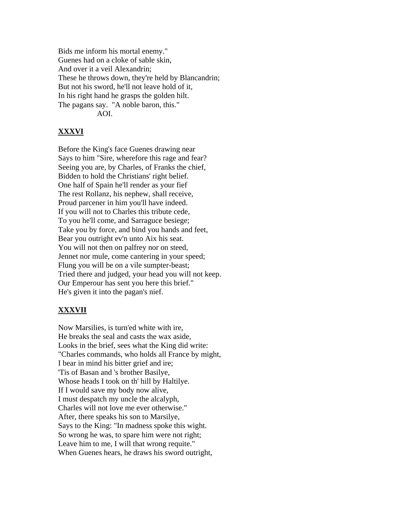Bids me inform his mortal enemy." Guenes had on a cloke of sable skin, And over it a veil Alexandrin; These he throws down, they're held by Blancandrin; But not his sword, he'll not leave hold of it, In his right hand he grasps the golden hilt. The pagans say. "A noble baron, this." AOI.

## **XXXVI**

Before the King's face Guenes drawing near Says to him "Sire, wherefore this rage and fear? Seeing you are, by Charles, of Franks the chief, Bidden to hold the Christians' right belief. One half of Spain he'll render as your fief The rest Rollanz, his nephew, shall receive, Proud parcener in him you'll have indeed. If you will not to Charles this tribute cede, To you he'll come, and Sarraguce besiege; Take you by force, and bind you hands and feet, Bear you outright ev'n unto Aix his seat. You will not then on palfrey nor on steed, Jennet nor mule, come cantering in your speed; Flung you will be on a vile sumpter-beast; Tried there and judged, your head you will not keep. Our Emperour has sent you here this brief." He's given it into the pagan's nief.

## **XXXVII**

Now Marsilies, is turn'ed white with ire, He breaks the seal and casts the wax aside, Looks in the brief, sees what the King did write: "Charles commands, who holds all France by might, I bear in mind his bitter grief and ire; 'Tis of Basan and 's brother Basilye, Whose heads I took on th' hill by Haltilye. If I would save my body now alive, I must despatch my uncle the alcalyph, Charles will not love me ever otherwise." After, there speaks his son to Marsilye, Says to the King: "In madness spoke this wight. So wrong he was, to spare him were not right; Leave him to me, I will that wrong requite." When Guenes hears, he draws his sword outright,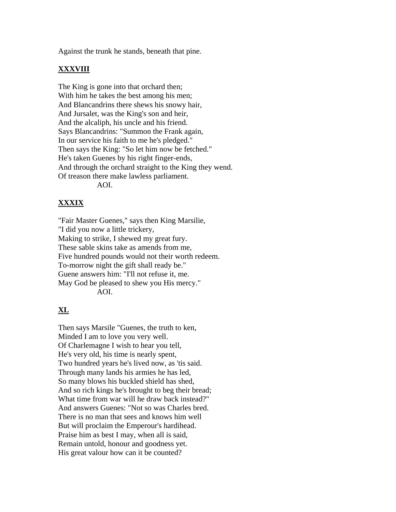Against the trunk he stands, beneath that pine.

#### **XXXVIII**

The King is gone into that orchard then; With him he takes the best among his men; And Blancandrins there shews his snowy hair, And Jursalet, was the King's son and heir, And the alcaliph, his uncle and his friend. Says Blancandrins: "Summon the Frank again, In our service his faith to me he's pledged." Then says the King: "So let him now be fetched." He's taken Guenes by his right finger-ends, And through the orchard straight to the King they wend. Of treason there make lawless parliament. AOI.

## **XXXIX**

"Fair Master Guenes," says then King Marsilie, "I did you now a little trickery, Making to strike, I shewed my great fury. These sable skins take as amends from me, Five hundred pounds would not their worth redeem. To-morrow night the gift shall ready be." Guene answers him: "I'll not refuse it, me. May God be pleased to shew you His mercy." AOI.

## **XL**

Then says Marsile "Guenes, the truth to ken, Minded I am to love you very well. Of Charlemagne I wish to hear you tell, He's very old, his time is nearly spent, Two hundred years he's lived now, as 'tis said. Through many lands his armies he has led, So many blows his buckled shield has shed, And so rich kings he's brought to beg their bread; What time from war will he draw back instead?" And answers Guenes: "Not so was Charles bred. There is no man that sees and knows him well But will proclaim the Emperour's hardihead. Praise him as best I may, when all is said, Remain untold, honour and goodness yet. His great valour how can it be counted?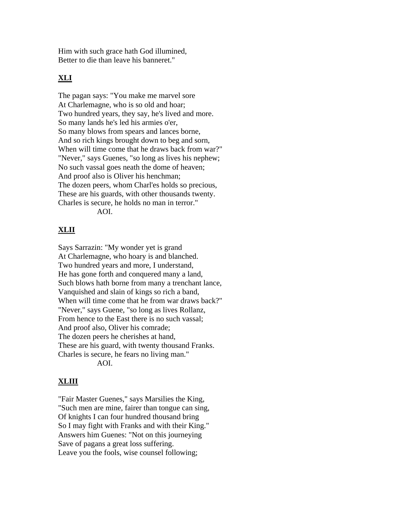Him with such grace hath God illumined, Better to die than leave his banneret."

#### **XLI**

The pagan says: "You make me marvel sore At Charlemagne, who is so old and hoar; Two hundred years, they say, he's lived and more. So many lands he's led his armies o'er, So many blows from spears and lances borne, And so rich kings brought down to beg and sorn, When will time come that he draws back from war?" "Never," says Guenes, "so long as lives his nephew; No such vassal goes neath the dome of heaven; And proof also is Oliver his henchman; The dozen peers, whom Charl'es holds so precious, These are his guards, with other thousands twenty. Charles is secure, he holds no man in terror." AOI.

#### **XLII**

Says Sarrazin: "My wonder yet is grand At Charlemagne, who hoary is and blanched. Two hundred years and more, I understand, He has gone forth and conquered many a land, Such blows hath borne from many a trenchant lance, Vanquished and slain of kings so rich a band, When will time come that he from war draws back?" "Never," says Guene, "so long as lives Rollanz, From hence to the East there is no such vassal; And proof also, Oliver his comrade; The dozen peers he cherishes at hand, These are his guard, with twenty thousand Franks. Charles is secure, he fears no living man." AOI.

#### **XLIII**

"Fair Master Guenes," says Marsilies the King, "Such men are mine, fairer than tongue can sing, Of knights I can four hundred thousand bring So I may fight with Franks and with their King." Answers him Guenes: "Not on this journeying Save of pagans a great loss suffering. Leave you the fools, wise counsel following;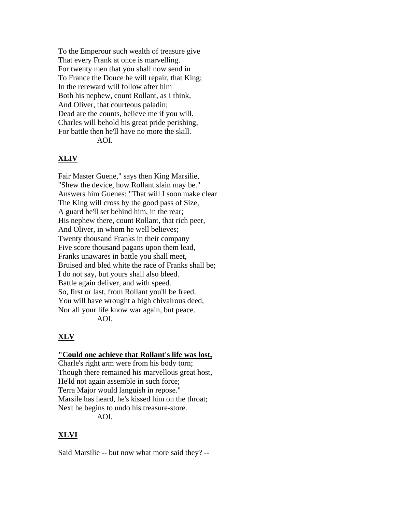To the Emperour such wealth of treasure give That every Frank at once is marvelling. For twenty men that you shall now send in To France the Douce he will repair, that King; In the rereward will follow after him Both his nephew, count Rollant, as I think, And Oliver, that courteous paladin; Dead are the counts, believe me if you will. Charles will behold his great pride perishing, For battle then he'll have no more the skill. AOI.

#### **XLIV**

Fair Master Guene," says then King Marsilie, "Shew the device, how Rollant slain may be." Answers him Guenes: "That will I soon make clear The King will cross by the good pass of Size, A guard he'll set behind him, in the rear; His nephew there, count Rollant, that rich peer, And Oliver, in whom he well believes; Twenty thousand Franks in their company Five score thousand pagans upon them lead, Franks unawares in battle you shall meet, Bruised and bled white the race of Franks shall be; I do not say, but yours shall also bleed. Battle again deliver, and with speed. So, first or last, from Rollant you'll be freed. You will have wrought a high chivalrous deed, Nor all your life know war again, but peace. AOI.

#### **XLV**

#### **"Could one achieve that Rollant's life was lost,**

Charle's right arm were from his body torn; Though there remained his marvellous great host, He'ld not again assemble in such force; Terra Major would languish in repose." Marsile has heard, he's kissed him on the throat; Next he begins to undo his treasure-store. AOI.

## **XLVI**

Said Marsilie -- but now what more said they? --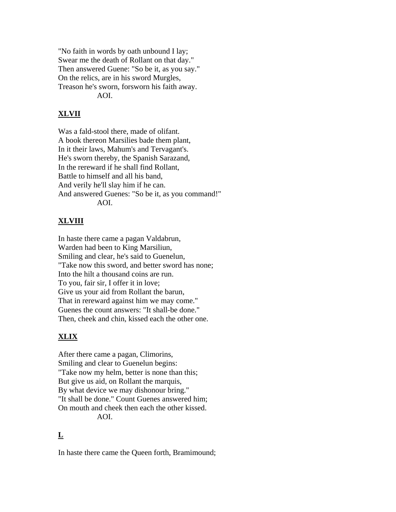"No faith in words by oath unbound I lay; Swear me the death of Rollant on that day." Then answered Guene: "So be it, as you say." On the relics, are in his sword Murgles, Treason he's sworn, forsworn his faith away. AOI.

# **XLVII**

Was a fald-stool there, made of olifant. A book thereon Marsilies bade them plant, In it their laws, Mahum's and Tervagant's. He's sworn thereby, the Spanish Sarazand, In the rereward if he shall find Rollant, Battle to himself and all his band, And verily he'll slay him if he can. And answered Guenes: "So be it, as you command!" AOI.

# **XLVIII**

In haste there came a pagan Valdabrun, Warden had been to King Marsiliun, Smiling and clear, he's said to Guenelun, "Take now this sword, and better sword has none; Into the hilt a thousand coins are run. To you, fair sir, I offer it in love; Give us your aid from Rollant the barun, That in rereward against him we may come." Guenes the count answers: "It shall-be done." Then, cheek and chin, kissed each the other one.

# **XLIX**

After there came a pagan, Climorins, Smiling and clear to Guenelun begins: "Take now my helm, better is none than this; But give us aid, on Rollant the marquis, By what device we may dishonour bring." "It shall be done." Count Guenes answered him; On mouth and cheek then each the other kissed. AOI.

# **L**

In haste there came the Queen forth, Bramimound;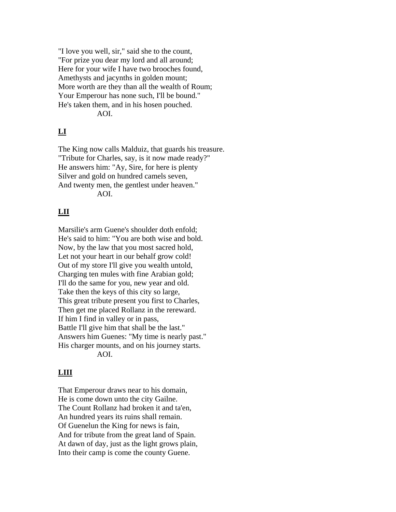"I love you well, sir," said she to the count, "For prize you dear my lord and all around; Here for your wife I have two brooches found, Amethysts and jacynths in golden mount; More worth are they than all the wealth of Roum; Your Emperour has none such, I'll be bound." He's taken them, and in his hosen pouched. AOI.

# **LI**

The King now calls Malduiz, that guards his treasure. "Tribute for Charles, say, is it now made ready?" He answers him: "Ay, Sire, for here is plenty Silver and gold on hundred camels seven, And twenty men, the gentlest under heaven." AOI.

## **LII**

Marsilie's arm Guene's shoulder doth enfold; He's said to him: "You are both wise and bold. Now, by the law that you most sacred hold, Let not your heart in our behalf grow cold! Out of my store I'll give you wealth untold, Charging ten mules with fine Arabian gold; I'll do the same for you, new year and old. Take then the keys of this city so large, This great tribute present you first to Charles, Then get me placed Rollanz in the rereward. If him I find in valley or in pass, Battle I'll give him that shall be the last." Answers him Guenes: "My time is nearly past." His charger mounts, and on his journey starts. AOI.

## **LIII**

That Emperour draws near to his domain, He is come down unto the city Gailne. The Count Rollanz had broken it and ta'en, An hundred years its ruins shall remain. Of Guenelun the King for news is fain, And for tribute from the great land of Spain. At dawn of day, just as the light grows plain, Into their camp is come the county Guene.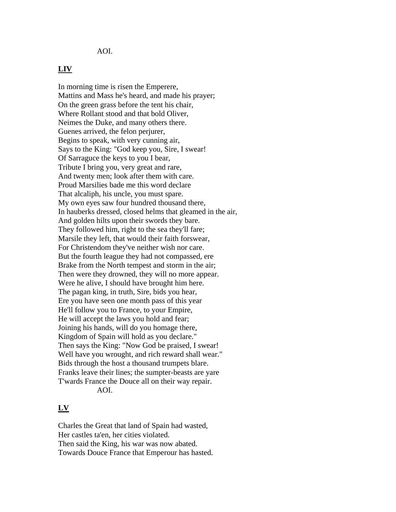AOI.

#### **LIV**

In morning time is risen the Emperere, Mattins and Mass he's heard, and made his prayer; On the green grass before the tent his chair, Where Rollant stood and that bold Oliver, Neimes the Duke, and many others there. Guenes arrived, the felon perjurer, Begins to speak, with very cunning air, Says to the King: "God keep you, Sire, I swear! Of Sarraguce the keys to you I bear, Tribute I bring you, very great and rare, And twenty men; look after them with care. Proud Marsilies bade me this word declare That alcaliph, his uncle, you must spare. My own eyes saw four hundred thousand there, In hauberks dressed, closed helms that gleamed in the air, And golden hilts upon their swords they bare. They followed him, right to the sea they'll fare; Marsile they left, that would their faith forswear, For Christendom they've neither wish nor care. But the fourth league they had not compassed, ere Brake from the North tempest and storm in the air; Then were they drowned, they will no more appear. Were he alive, I should have brought him here. The pagan king, in truth, Sire, bids you hear, Ere you have seen one month pass of this year He'll follow you to France, to your Empire, He will accept the laws you hold and fear; Joining his hands, will do you homage there, Kingdom of Spain will hold as you declare." Then says the King: "Now God be praised, I swear! Well have you wrought, and rich reward shall wear." Bids through the host a thousand trumpets blare. Franks leave their lines; the sumpter-beasts are yare T'wards France the Douce all on their way repair. AOI.

#### **LV**

Charles the Great that land of Spain had wasted, Her castles ta'en, her cities violated. Then said the King, his war was now abated. Towards Douce France that Emperour has hasted.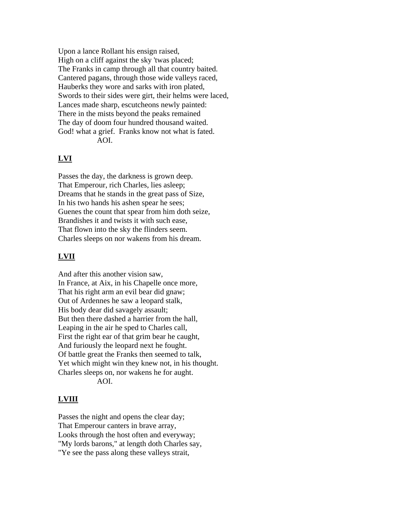Upon a lance Rollant his ensign raised, High on a cliff against the sky 'twas placed; The Franks in camp through all that country baited. Cantered pagans, through those wide valleys raced, Hauberks they wore and sarks with iron plated, Swords to their sides were girt, their helms were laced, Lances made sharp, escutcheons newly painted: There in the mists beyond the peaks remained The day of doom four hundred thousand waited. God! what a grief. Franks know not what is fated. AOI.

#### **LVI**

Passes the day, the darkness is grown deep. That Emperour, rich Charles, lies asleep; Dreams that he stands in the great pass of Size, In his two hands his ashen spear he sees; Guenes the count that spear from him doth seize, Brandishes it and twists it with such ease, That flown into the sky the flinders seem. Charles sleeps on nor wakens from his dream.

## **LVII**

And after this another vision saw, In France, at Aix, in his Chapelle once more, That his right arm an evil bear did gnaw; Out of Ardennes he saw a leopard stalk, His body dear did savagely assault; But then there dashed a harrier from the hall, Leaping in the air he sped to Charles call, First the right ear of that grim bear he caught, And furiously the leopard next he fought. Of battle great the Franks then seemed to talk, Yet which might win they knew not, in his thought. Charles sleeps on, nor wakens he for aught. AOI.

#### **LVIII**

Passes the night and opens the clear day; That Emperour canters in brave array, Looks through the host often and everyway; "My lords barons," at length doth Charles say, "Ye see the pass along these valleys strait,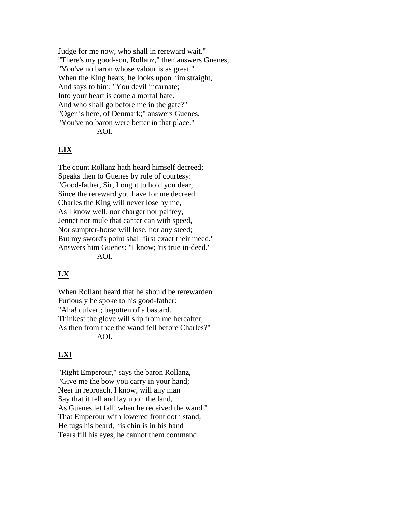Judge for me now, who shall in rereward wait." "There's my good-son, Rollanz," then answers Guenes, "You've no baron whose valour is as great." When the King hears, he looks upon him straight, And says to him: "You devil incarnate; Into your heart is come a mortal hate. And who shall go before me in the gate?" "Oger is here, of Denmark;" answers Guenes, "You've no baron were better in that place." AOI.

# **LIX**

The count Rollanz hath heard himself decreed; Speaks then to Guenes by rule of courtesy: "Good-father, Sir, I ought to hold you dear, Since the rereward you have for me decreed. Charles the King will never lose by me, As I know well, nor charger nor palfrey, Jennet nor mule that canter can with speed, Nor sumpter-horse will lose, nor any steed; But my sword's point shall first exact their meed." Answers him Guenes: "I know; 'tis true in-deed." AOI.

# **LX**

When Rollant heard that he should be rerewarden Furiously he spoke to his good-father: "Aha! culvert; begotten of a bastard. Thinkest the glove will slip from me hereafter, As then from thee the wand fell before Charles?" AOI.

## **LXI**

"Right Emperour," says the baron Rollanz, "Give me the bow you carry in your hand; Neer in reproach, I know, will any man Say that it fell and lay upon the land, As Guenes let fall, when he received the wand." That Emperour with lowered front doth stand, He tugs his beard, his chin is in his hand Tears fill his eyes, he cannot them command.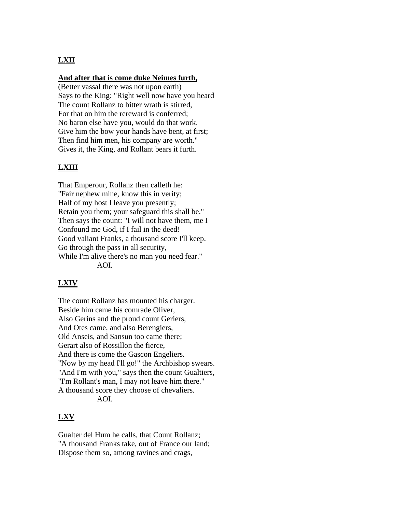# **LXII**

#### **And after that is come duke Neimes furth,**

(Better vassal there was not upon earth) Says to the King: "Right well now have you heard The count Rollanz to bitter wrath is stirred, For that on him the rereward is conferred; No baron else have you, would do that work. Give him the bow your hands have bent, at first; Then find him men, his company are worth." Gives it, the King, and Rollant bears it furth.

## **LXIII**

That Emperour, Rollanz then calleth he: "Fair nephew mine, know this in verity; Half of my host I leave you presently; Retain you them; your safeguard this shall be." Then says the count: "I will not have them, me I Confound me God, if I fail in the deed! Good valiant Franks, a thousand score I'll keep. Go through the pass in all security, While I'm alive there's no man you need fear." AOI.

## **LXIV**

The count Rollanz has mounted his charger. Beside him came his comrade Oliver, Also Gerins and the proud count Geriers, And Otes came, and also Berengiers, Old Anseis, and Sansun too came there; Gerart also of Rossillon the fierce, And there is come the Gascon Engeliers. "Now by my head I'll go!" the Archbishop swears. "And I'm with you," says then the count Gualtiers, "I'm Rollant's man, I may not leave him there." A thousand score they choose of chevaliers. AOI.

#### **LXV**

Gualter del Hum he calls, that Count Rollanz; "A thousand Franks take, out of France our land; Dispose them so, among ravines and crags,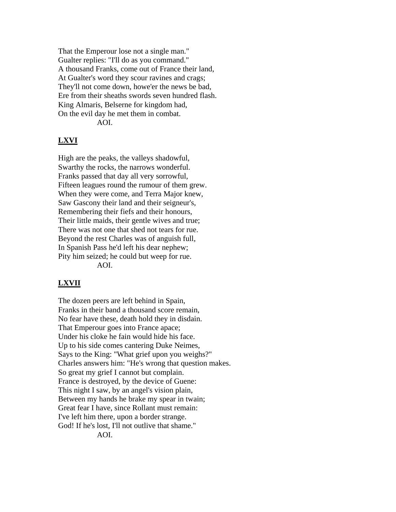That the Emperour lose not a single man." Gualter replies: "I'll do as you command." A thousand Franks, come out of France their land, At Gualter's word they scour ravines and crags; They'll not come down, howe'er the news be bad, Ere from their sheaths swords seven hundred flash. King Almaris, Belserne for kingdom had, On the evil day he met them in combat. AOI.

#### **LXVI**

High are the peaks, the valleys shadowful, Swarthy the rocks, the narrows wonderful. Franks passed that day all very sorrowful, Fifteen leagues round the rumour of them grew. When they were come, and Terra Major knew, Saw Gascony their land and their seigneur's, Remembering their fiefs and their honours, Their little maids, their gentle wives and true; There was not one that shed not tears for rue. Beyond the rest Charles was of anguish full, In Spanish Pass he'd left his dear nephew; Pity him seized; he could but weep for rue. AOI.

#### **LXVII**

The dozen peers are left behind in Spain, Franks in their band a thousand score remain, No fear have these, death hold they in disdain. That Emperour goes into France apace; Under his cloke he fain would hide his face. Up to his side comes cantering Duke Neimes, Says to the King: "What grief upon you weighs?" Charles answers him: "He's wrong that question makes. So great my grief I cannot but complain. France is destroyed, by the device of Guene: This night I saw, by an angel's vision plain, Between my hands he brake my spear in twain; Great fear I have, since Rollant must remain: I've left him there, upon a border strange. God! If he's lost, I'll not outlive that shame." AOI.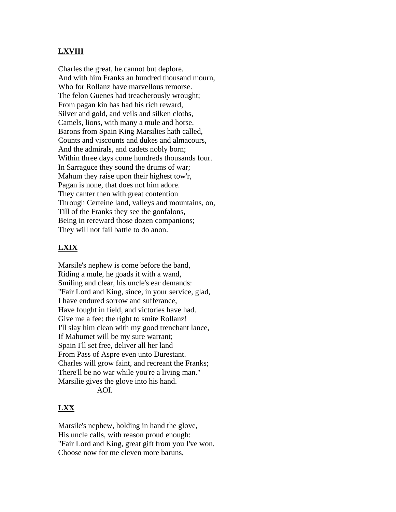## **LXVIII**

Charles the great, he cannot but deplore. And with him Franks an hundred thousand mourn, Who for Rollanz have marvellous remorse. The felon Guenes had treacherously wrought; From pagan kin has had his rich reward, Silver and gold, and veils and silken cloths, Camels, lions, with many a mule and horse. Barons from Spain King Marsilies hath called, Counts and viscounts and dukes and almacours, And the admirals, and cadets nobly born; Within three days come hundreds thousands four. In Sarraguce they sound the drums of war; Mahum they raise upon their highest tow'r, Pagan is none, that does not him adore. They canter then with great contention Through Certeine land, valleys and mountains, on, Till of the Franks they see the gonfalons, Being in rereward those dozen companions; They will not fail battle to do anon.

#### **LXIX**

Marsile's nephew is come before the band, Riding a mule, he goads it with a wand, Smiling and clear, his uncle's ear demands: "Fair Lord and King, since, in your service, glad, I have endured sorrow and sufferance, Have fought in field, and victories have had. Give me a fee: the right to smite Rollanz! I'll slay him clean with my good trenchant lance, If Mahumet will be my sure warrant; Spain I'll set free, deliver all her land From Pass of Aspre even unto Durestant. Charles will grow faint, and recreant the Franks; There'll be no war while you're a living man." Marsilie gives the glove into his hand. AOI.

#### **LXX**

Marsile's nephew, holding in hand the glove, His uncle calls, with reason proud enough: "Fair Lord and King, great gift from you I've won. Choose now for me eleven more baruns,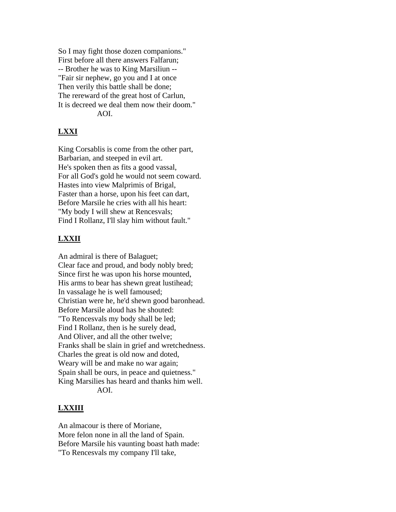So I may fight those dozen companions." First before all there answers Falfarun; -- Brother he was to King Marsiliun -- "Fair sir nephew, go you and I at once Then verily this battle shall be done; The rereward of the great host of Carlun, It is decreed we deal them now their doom." AOI.

## **LXXI**

King Corsablis is come from the other part, Barbarian, and steeped in evil art. He's spoken then as fits a good vassal, For all God's gold he would not seem coward. Hastes into view Malprimis of Brigal, Faster than a horse, upon his feet can dart, Before Marsile he cries with all his heart: "My body I will shew at Rencesvals; Find I Rollanz, I'll slay him without fault."

## **LXXII**

An admiral is there of Balaguet; Clear face and proud, and body nobly bred; Since first he was upon his horse mounted, His arms to bear has shewn great lustihead; In vassalage he is well famoused; Christian were he, he'd shewn good baronhead. Before Marsile aloud has he shouted: "To Rencesvals my body shall be led; Find I Rollanz, then is he surely dead, And Oliver, and all the other twelve; Franks shall be slain in grief and wretchedness. Charles the great is old now and doted, Weary will be and make no war again; Spain shall be ours, in peace and quietness." King Marsilies has heard and thanks him well. AOI.

#### **LXXIII**

An almacour is there of Moriane, More felon none in all the land of Spain. Before Marsile his vaunting boast hath made: "To Rencesvals my company I'll take,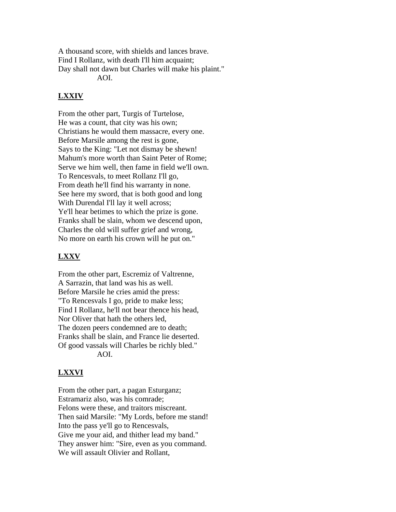A thousand score, with shields and lances brave. Find I Rollanz, with death I'll him acquaint; Day shall not dawn but Charles will make his plaint." AOI.

## **LXXIV**

From the other part, Turgis of Turtelose, He was a count, that city was his own; Christians he would them massacre, every one. Before Marsile among the rest is gone, Says to the King: "Let not dismay be shewn! Mahum's more worth than Saint Peter of Rome; Serve we him well, then fame in field we'll own. To Rencesvals, to meet Rollanz I'll go, From death he'll find his warranty in none. See here my sword, that is both good and long With Durendal I'll lay it well across; Ye'll hear betimes to which the prize is gone. Franks shall be slain, whom we descend upon, Charles the old will suffer grief and wrong, No more on earth his crown will he put on."

## **LXXV**

From the other part, Escremiz of Valtrenne, A Sarrazin, that land was his as well. Before Marsile he cries amid the press: "To Rencesvals I go, pride to make less; Find I Rollanz, he'll not bear thence his head, Nor Oliver that hath the others led, The dozen peers condemned are to death; Franks shall be slain, and France lie deserted. Of good vassals will Charles be richly bled." AOI.

## **LXXVI**

From the other part, a pagan Esturganz; Estramariz also, was his comrade; Felons were these, and traitors miscreant. Then said Marsile: "My Lords, before me stand! Into the pass ye'll go to Rencesvals, Give me your aid, and thither lead my band." They answer him: "Sire, even as you command. We will assault Olivier and Rollant,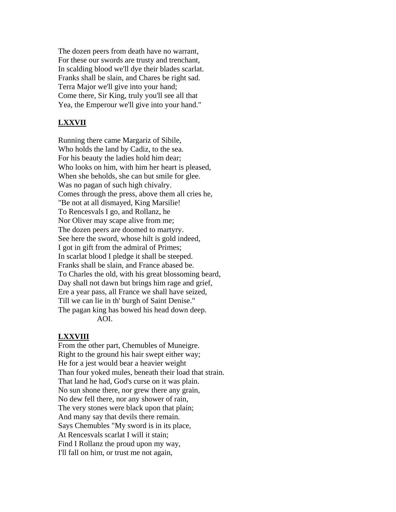The dozen peers from death have no warrant, For these our swords are trusty and trenchant, In scalding blood we'll dye their blades scarlat. Franks shall be slain, and Chares be right sad. Terra Major we'll give into your hand; Come there, Sir King, truly you'll see all that Yea, the Emperour we'll give into your hand."

#### **LXXVII**

Running there came Margariz of Sibile, Who holds the land by Cadiz, to the sea. For his beauty the ladies hold him dear; Who looks on him, with him her heart is pleased, When she beholds, she can but smile for glee. Was no pagan of such high chivalry. Comes through the press, above them all cries he, "Be not at all dismayed, King Marsilie! To Rencesvals I go, and Rollanz, he Nor Oliver may scape alive from me; The dozen peers are doomed to martyry. See here the sword, whose hilt is gold indeed, I got in gift from the admiral of Primes; In scarlat blood I pledge it shall be steeped. Franks shall be slain, and France abased be. To Charles the old, with his great blossoming beard, Day shall not dawn but brings him rage and grief, Ere a year pass, all France we shall have seized, Till we can lie in th' burgh of Saint Denise." The pagan king has bowed his head down deep. AOI.

#### **LXXVIII**

From the other part, Chemubles of Muneigre. Right to the ground his hair swept either way; He for a jest would bear a heavier weight Than four yoked mules, beneath their load that strain. That land he had, God's curse on it was plain. No sun shone there, nor grew there any grain, No dew fell there, nor any shower of rain, The very stones were black upon that plain; And many say that devils there remain. Says Chemubles "My sword is in its place, At Rencesvals scarlat I will it stain; Find I Rollanz the proud upon my way, I'll fall on him, or trust me not again,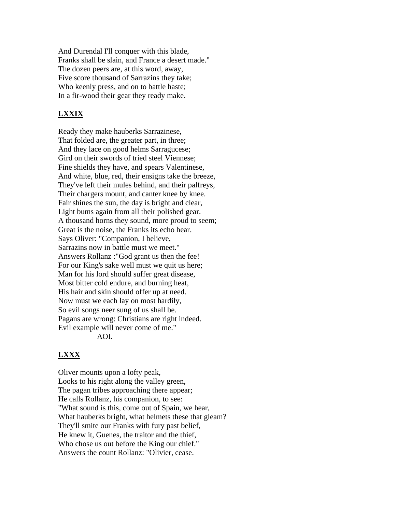And Durendal I'll conquer with this blade, Franks shall be slain, and France a desert made." The dozen peers are, at this word, away, Five score thousand of Sarrazins they take; Who keenly press, and on to battle haste; In a fir-wood their gear they ready make.

## **LXXIX**

Ready they make hauberks Sarrazinese, That folded are, the greater part, in three; And they lace on good helms Sarragucese; Gird on their swords of tried steel Viennese; Fine shields they have, and spears Valentinese, And white, blue, red, their ensigns take the breeze, They've left their mules behind, and their palfreys, Their chargers mount, and canter knee by knee. Fair shines the sun, the day is bright and clear, Light bums again from all their polished gear. A thousand horns they sound, more proud to seem; Great is the noise, the Franks its echo hear. Says Oliver: "Companion, I believe, Sarrazins now in battle must we meet." Answers Rollanz :"God grant us then the fee! For our King's sake well must we quit us here; Man for his lord should suffer great disease, Most bitter cold endure, and burning heat, His hair and skin should offer up at need. Now must we each lay on most hardily, So evil songs neer sung of us shall be. Pagans are wrong: Christians are right indeed. Evil example will never come of me." AOI.

## **LXXX**

Oliver mounts upon a lofty peak, Looks to his right along the valley green, The pagan tribes approaching there appear; He calls Rollanz, his companion, to see: "What sound is this, come out of Spain, we hear, What hauberks bright, what helmets these that gleam? They'll smite our Franks with fury past belief, He knew it, Guenes, the traitor and the thief, Who chose us out before the King our chief." Answers the count Rollanz: "Olivier, cease.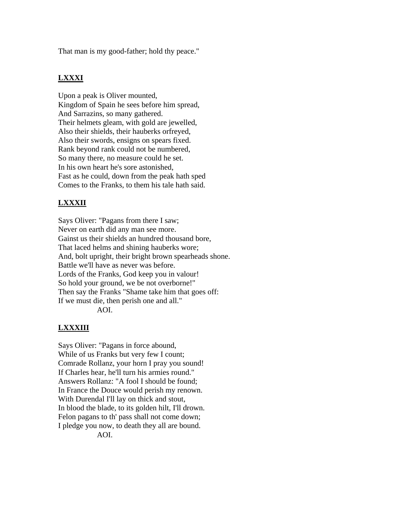That man is my good-father; hold thy peace."

# **LXXXI**

Upon a peak is Oliver mounted, Kingdom of Spain he sees before him spread, And Sarrazins, so many gathered. Their helmets gleam, with gold are jewelled, Also their shields, their hauberks orfreyed, Also their swords, ensigns on spears fixed. Rank beyond rank could not be numbered, So many there, no measure could he set. In his own heart he's sore astonished, Fast as he could, down from the peak hath sped Comes to the Franks, to them his tale hath said.

# **LXXXII**

Says Oliver: "Pagans from there I saw; Never on earth did any man see more. Gainst us their shields an hundred thousand bore, That laced helms and shining hauberks wore; And, bolt upright, their bright brown spearheads shone. Battle we'll have as never was before. Lords of the Franks, God keep you in valour! So hold your ground, we be not overborne!" Then say the Franks "Shame take him that goes off: If we must die, then perish one and all."

AOI.

# **LXXXIII**

Says Oliver: "Pagans in force abound, While of us Franks but very few I count; Comrade Rollanz, your horn I pray you sound! If Charles hear, he'll turn his armies round." Answers Rollanz: "A fool I should be found; In France the Douce would perish my renown. With Durendal I'll lay on thick and stout, In blood the blade, to its golden hilt, I'll drown. Felon pagans to th' pass shall not come down; I pledge you now, to death they all are bound.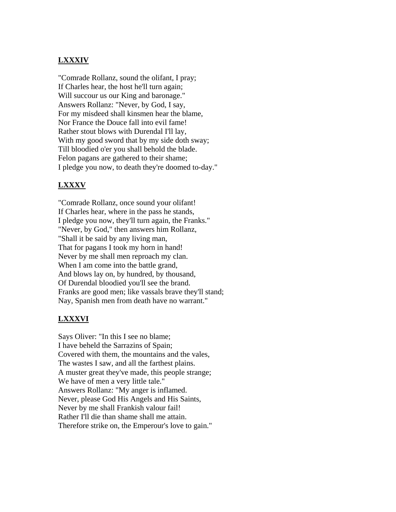## **LXXXIV**

"Comrade Rollanz, sound the olifant, I pray; If Charles hear, the host he'll turn again; Will succour us our King and baronage." Answers Rollanz: "Never, by God, I say, For my misdeed shall kinsmen hear the blame, Nor France the Douce fall into evil fame! Rather stout blows with Durendal I'll lay, With my good sword that by my side doth sway; Till bloodied o'er you shall behold the blade. Felon pagans are gathered to their shame; I pledge you now, to death they're doomed to-day."

#### **LXXXV**

"Comrade Rollanz, once sound your olifant! If Charles hear, where in the pass he stands, I pledge you now, they'll turn again, the Franks." "Never, by God," then answers him Rollanz, "Shall it be said by any living man, That for pagans I took my horn in hand! Never by me shall men reproach my clan. When I am come into the battle grand, And blows lay on, by hundred, by thousand, Of Durendal bloodied you'll see the brand. Franks are good men; like vassals brave they'll stand; Nay, Spanish men from death have no warrant."

#### **LXXXVI**

Says Oliver: "In this I see no blame; I have beheld the Sarrazins of Spain; Covered with them, the mountains and the vales, The wastes I saw, and all the farthest plains. A muster great they've made, this people strange; We have of men a very little tale." Answers Rollanz: "My anger is inflamed. Never, please God His Angels and His Saints, Never by me shall Frankish valour fail! Rather I'll die than shame shall me attain. Therefore strike on, the Emperour's love to gain."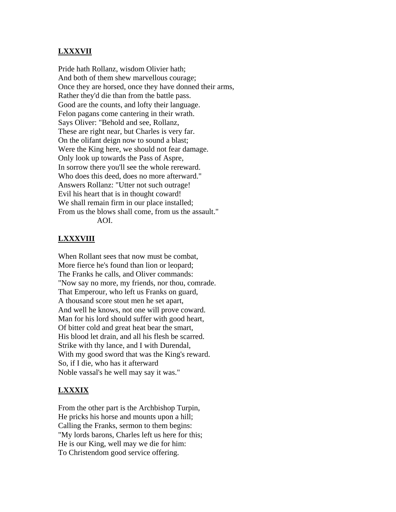## **LXXXVII**

Pride hath Rollanz, wisdom Olivier hath; And both of them shew marvellous courage; Once they are horsed, once they have donned their arms, Rather they'd die than from the battle pass. Good are the counts, and lofty their language. Felon pagans come cantering in their wrath. Says Oliver: "Behold and see, Rollanz, These are right near, but Charles is very far. On the olifant deign now to sound a blast; Were the King here, we should not fear damage. Only look up towards the Pass of Aspre, In sorrow there you'll see the whole rereward. Who does this deed, does no more afterward." Answers Rollanz: "Utter not such outrage! Evil his heart that is in thought coward! We shall remain firm in our place installed; From us the blows shall come, from us the assault." AOI.

#### **LXXXVIII**

When Rollant sees that now must be combat, More fierce he's found than lion or leopard; The Franks he calls, and Oliver commands: "Now say no more, my friends, nor thou, comrade. That Emperour, who left us Franks on guard, A thousand score stout men he set apart, And well he knows, not one will prove coward. Man for his lord should suffer with good heart, Of bitter cold and great heat bear the smart, His blood let drain, and all his flesh be scarred. Strike with thy lance, and I with Durendal, With my good sword that was the King's reward. So, if I die, who has it afterward Noble vassal's he well may say it was."

## **LXXXIX**

From the other part is the Archbishop Turpin, He pricks his horse and mounts upon a hill; Calling the Franks, sermon to them begins: "My lords barons, Charles left us here for this; He is our King, well may we die for him: To Christendom good service offering.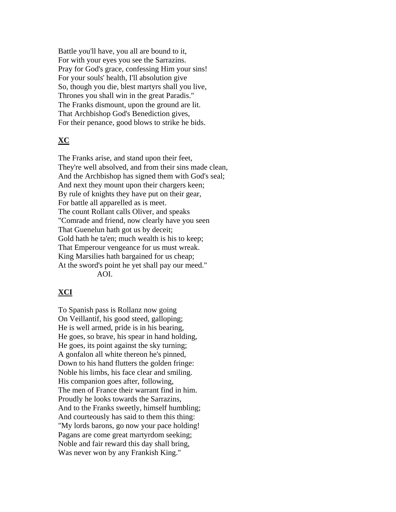Battle you'll have, you all are bound to it, For with your eyes you see the Sarrazins. Pray for God's grace, confessing Him your sins! For your souls' health, I'll absolution give So, though you die, blest martyrs shall you live, Thrones you shall win in the great Paradis." The Franks dismount, upon the ground are lit. That Archbishop God's Benediction gives, For their penance, good blows to strike he bids.

## **XC**

The Franks arise, and stand upon their feet, They're well absolved, and from their sins made clean, And the Archbishop has signed them with God's seal; And next they mount upon their chargers keen; By rule of knights they have put on their gear, For battle all apparelled as is meet. The count Rollant calls Oliver, and speaks "Comrade and friend, now clearly have you seen That Guenelun hath got us by deceit; Gold hath he ta'en; much wealth is his to keep; That Emperour vengeance for us must wreak. King Marsilies hath bargained for us cheap; At the sword's point he yet shall pay our meed." AOI.

## **XCI**

To Spanish pass is Rollanz now going On Veillantif, his good steed, galloping; He is well armed, pride is in his bearing, He goes, so brave, his spear in hand holding, He goes, its point against the sky turning; A gonfalon all white thereon he's pinned, Down to his hand flutters the golden fringe: Noble his limbs, his face clear and smiling. His companion goes after, following, The men of France their warrant find in him. Proudly he looks towards the Sarrazins, And to the Franks sweetly, himself humbling; And courteously has said to them this thing: "My lords barons, go now your pace holding! Pagans are come great martyrdom seeking; Noble and fair reward this day shall bring, Was never won by any Frankish King."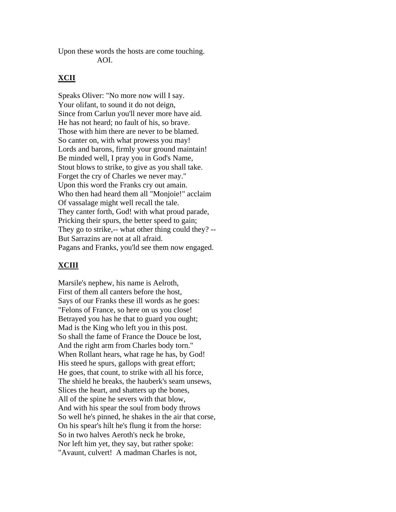Upon these words the hosts are come touching. AOI.

#### **XCII**

Speaks Oliver: "No more now will I say. Your olifant, to sound it do not deign, Since from Carlun you'll never more have aid. He has not heard; no fault of his, so brave. Those with him there are never to be blamed. So canter on, with what prowess you may! Lords and barons, firmly your ground maintain! Be minded well, I pray you in God's Name, Stout blows to strike, to give as you shall take. Forget the cry of Charles we never may." Upon this word the Franks cry out amain. Who then had heard them all "Monjoie!" acclaim Of vassalage might well recall the tale. They canter forth, God! with what proud parade, Pricking their spurs, the better speed to gain; They go to strike,-- what other thing could they? -- But Sarrazins are not at all afraid. Pagans and Franks, you'ld see them now engaged.

## **XCIII**

Marsile's nephew, his name is Aelroth, First of them all canters before the host, Says of our Franks these ill words as he goes: "Felons of France, so here on us you close! Betrayed you has he that to guard you ought; Mad is the King who left you in this post. So shall the fame of France the Douce be lost, And the right arm from Charles body torn." When Rollant hears, what rage he has, by God! His steed he spurs, gallops with great effort; He goes, that count, to strike with all his force, The shield he breaks, the hauberk's seam unsews, Slices the heart, and shatters up the bones, All of the spine he severs with that blow, And with his spear the soul from body throws So well he's pinned, he shakes in the air that corse, On his spear's hilt he's flung it from the horse: So in two halves Aeroth's neck he broke, Nor left him yet, they say, but rather spoke: "Avaunt, culvert! A madman Charles is not,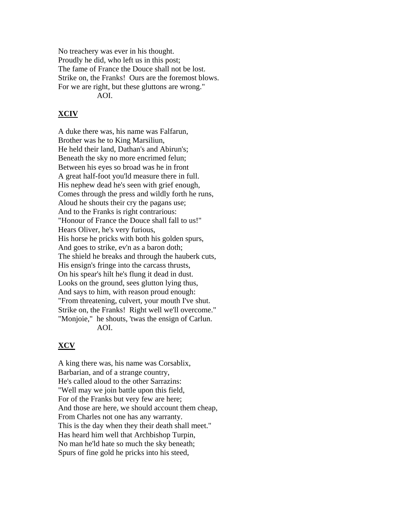No treachery was ever in his thought. Proudly he did, who left us in this post; The fame of France the Douce shall not be lost. Strike on, the Franks! Ours are the foremost blows. For we are right, but these gluttons are wrong." AOI.

#### **XCIV**

A duke there was, his name was Falfarun, Brother was he to King Marsiliun, He held their land, Dathan's and Abirun's; Beneath the sky no more encrimed felun; Between his eyes so broad was he in front A great half-foot you'ld measure there in full. His nephew dead he's seen with grief enough, Comes through the press and wildly forth he runs, Aloud he shouts their cry the pagans use; And to the Franks is right contrarious: "Honour of France the Douce shall fall to us!" Hears Oliver, he's very furious, His horse he pricks with both his golden spurs, And goes to strike, ev'n as a baron doth; The shield he breaks and through the hauberk cuts, His ensign's fringe into the carcass thrusts, On his spear's hilt he's flung it dead in dust. Looks on the ground, sees glutton lying thus, And says to him, with reason proud enough: "From threatening, culvert, your mouth I've shut. Strike on, the Franks! Right well we'll overcome." "Monjoie," he shouts, 'twas the ensign of Carlun. AOI.

#### **XCV**

A king there was, his name was Corsablix, Barbarian, and of a strange country, He's called aloud to the other Sarrazins: "Well may we join battle upon this field, For of the Franks but very few are here; And those are here, we should account them cheap, From Charles not one has any warranty. This is the day when they their death shall meet." Has heard him well that Archbishop Turpin, No man he'ld hate so much the sky beneath; Spurs of fine gold he pricks into his steed,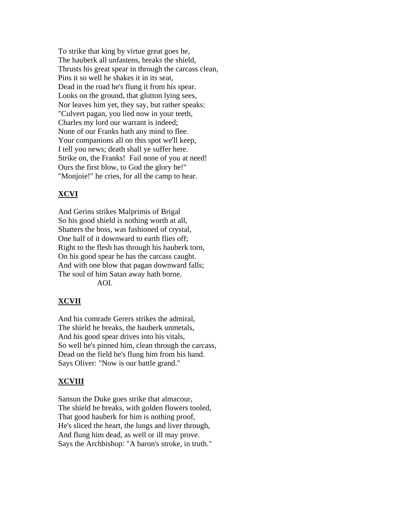To strike that king by virtue great goes he, The hauberk all unfastens, breaks the shield, Thrusts his great spear in through the carcass clean, Pins it so well he shakes it in its seat, Dead in the road he's flung it from his spear. Looks on the ground, that glutton lying sees, Nor leaves him yet, they say, but rather speaks: "Culvert pagan, you lied now in your teeth, Charles my lord our warrant is indeed; None of our Franks hath any mind to flee. Your companions all on this spot we'll keep, I tell you news; death shall ye suffer here. Strike on, the Franks! Fail none of you at need! Ours the first blow, to God the glory be!" "Monjoie!" he cries, for all the camp to hear.

## **XCVI**

And Gerins strikes Malprimis of Brigal So his good shield is nothing worth at all, Shatters the boss, was fashioned of crystal, One half of it downward to earth flies off; Right to the flesh has through his hauberk torn, On his good spear he has the carcass caught. And with one blow that pagan downward falls; The soul of him Satan away hath borne.

AOI.

## **XCVII**

And his comrade Gerers strikes the admiral, The shield he breaks, the hauberk unmetals, And his good spear drives into his vitals, So well he's pinned him, clean through the carcass, Dead on the field he's flung him from his hand. Says Oliver: "Now is our battle grand."

## **XCVIII**

Sansun the Duke goes strike that almacour, The shield he breaks, with golden flowers tooled, That good hauberk for him is nothing proof, He's sliced the heart, the lungs and liver through, And flung him dead, as well or ill may prove. Says the Archbishop: "A baron's stroke, in truth."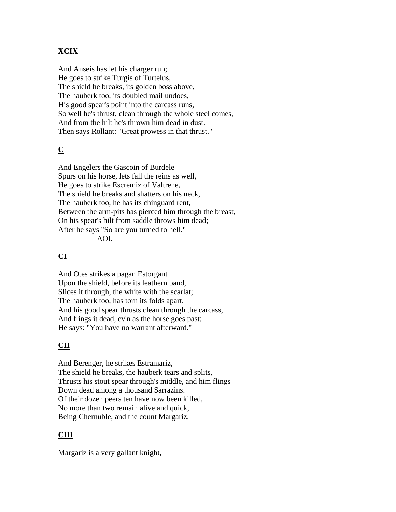# **XCIX**

And Anseis has let his charger run; He goes to strike Turgis of Turtelus, The shield he breaks, its golden boss above, The hauberk too, its doubled mail undoes, His good spear's point into the carcass runs, So well he's thrust, clean through the whole steel comes, And from the hilt he's thrown him dead in dust. Then says Rollant: "Great prowess in that thrust."

# **C**

And Engelers the Gascoin of Burdele Spurs on his horse, lets fall the reins as well, He goes to strike Escremiz of Valtrene, The shield he breaks and shatters on his neck, The hauberk too, he has its chinguard rent, Between the arm-pits has pierced him through the breast, On his spear's hilt from saddle throws him dead; After he says "So are you turned to hell." AOI.

# **CI**

And Otes strikes a pagan Estorgant Upon the shield, before its leathern band, Slices it through, the white with the scarlat; The hauberk too, has torn its folds apart, And his good spear thrusts clean through the carcass, And flings it dead, ev'n as the horse goes past; He says: "You have no warrant afterward."

# **CII**

And Berenger, he strikes Estramariz, The shield he breaks, the hauberk tears and splits, Thrusts his stout spear through's middle, and him flings Down dead among a thousand Sarrazins. Of their dozen peers ten have now been killed, No more than two remain alive and quick, Being Chernuble, and the count Margariz.

# **CIII**

Margariz is a very gallant knight,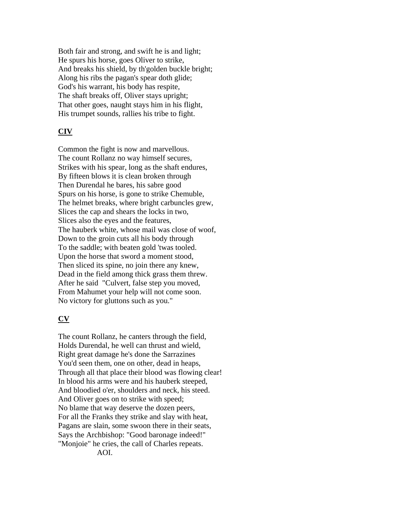Both fair and strong, and swift he is and light; He spurs his horse, goes Oliver to strike, And breaks his shield, by th'golden buckle bright; Along his ribs the pagan's spear doth glide; God's his warrant, his body has respite, The shaft breaks off, Oliver stays upright; That other goes, naught stays him in his flight, His trumpet sounds, rallies his tribe to fight.

## **CIV**

Common the fight is now and marvellous. The count Rollanz no way himself secures, Strikes with his spear, long as the shaft endures, By fifteen blows it is clean broken through Then Durendal he bares, his sabre good Spurs on his horse, is gone to strike Chemuble, The helmet breaks, where bright carbuncles grew, Slices the cap and shears the locks in two, Slices also the eyes and the features, The hauberk white, whose mail was close of woof, Down to the groin cuts all his body through To the saddle; with beaten gold 'twas tooled. Upon the horse that sword a moment stood, Then sliced its spine, no join there any knew, Dead in the field among thick grass them threw. After he said "Culvert, false step you moved, From Mahumet your help will not come soon. No victory for gluttons such as you."

#### **CV**

The count Rollanz, he canters through the field, Holds Durendal, he well can thrust and wield, Right great damage he's done the Sarrazines You'd seen them, one on other, dead in heaps, Through all that place their blood was flowing clear! In blood his arms were and his hauberk steeped, And bloodied o'er, shoulders and neck, his steed. And Oliver goes on to strike with speed; No blame that way deserve the dozen peers, For all the Franks they strike and slay with heat, Pagans are slain, some swoon there in their seats, Says the Archbishop: "Good baronage indeed!" "Monjoie" he cries, the call of Charles repeats. AOI.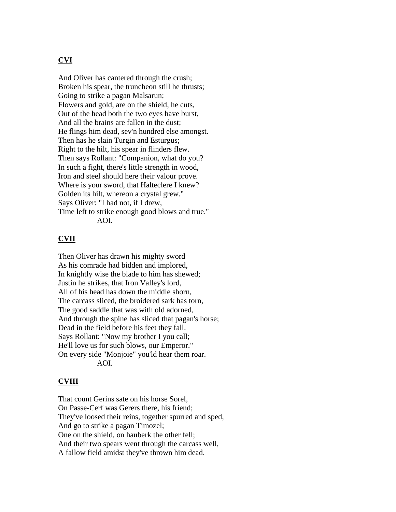### **CVI**

And Oliver has cantered through the crush; Broken his spear, the truncheon still he thrusts; Going to strike a pagan Malsarun; Flowers and gold, are on the shield, he cuts, Out of the head both the two eyes have burst, And all the brains are fallen in the dust; He flings him dead, sev'n hundred else amongst. Then has he slain Turgin and Esturgus; Right to the hilt, his spear in flinders flew. Then says Rollant: "Companion, what do you? In such a fight, there's little strength in wood, Iron and steel should here their valour prove. Where is your sword, that Halteclere I knew? Golden its hilt, whereon a crystal grew." Says Oliver: "I had not, if I drew, Time left to strike enough good blows and true." AOI.

### **CVII**

Then Oliver has drawn his mighty sword As his comrade had bidden and implored, In knightly wise the blade to him has shewed; Justin he strikes, that Iron Valley's lord, All of his head has down the middle shorn, The carcass sliced, the broidered sark has torn, The good saddle that was with old adorned, And through the spine has sliced that pagan's horse; Dead in the field before his feet they fall. Says Rollant: "Now my brother I you call; He'll love us for such blows, our Emperor." On every side "Monjoie" you'ld hear them roar. AOI.

#### **CVIII**

That count Gerins sate on his horse Sorel, On Passe-Cerf was Gerers there, his friend; They've loosed their reins, together spurred and sped, And go to strike a pagan Timozel; One on the shield, on hauberk the other fell; And their two spears went through the carcass well, A fallow field amidst they've thrown him dead.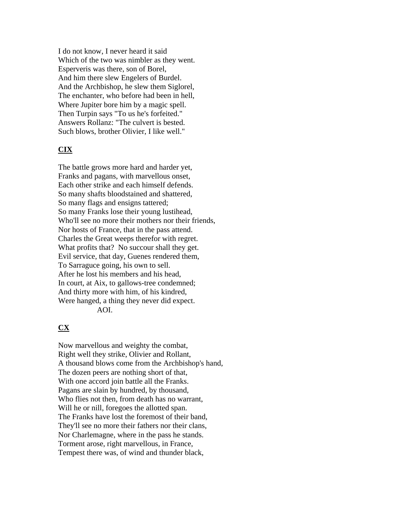I do not know, I never heard it said Which of the two was nimbler as they went. Esperveris was there, son of Borel, And him there slew Engelers of Burdel. And the Archbishop, he slew them Siglorel, The enchanter, who before had been in hell, Where Jupiter bore him by a magic spell. Then Turpin says "To us he's forfeited." Answers Rollanz: "The culvert is bested. Such blows, brother Olivier, I like well."

# **CIX**

The battle grows more hard and harder yet, Franks and pagans, with marvellous onset, Each other strike and each himself defends. So many shafts bloodstained and shattered, So many flags and ensigns tattered; So many Franks lose their young lustihead, Who'll see no more their mothers nor their friends, Nor hosts of France, that in the pass attend. Charles the Great weeps therefor with regret. What profits that? No succour shall they get. Evil service, that day, Guenes rendered them, To Sarraguce going, his own to sell. After he lost his members and his head, In court, at Aix, to gallows-tree condemned; And thirty more with him, of his kindred, Were hanged, a thing they never did expect. AOI.

# **CX**

Now marvellous and weighty the combat, Right well they strike, Olivier and Rollant, A thousand blows come from the Archbishop's hand, The dozen peers are nothing short of that, With one accord join battle all the Franks. Pagans are slain by hundred, by thousand, Who flies not then, from death has no warrant, Will he or nill, foregoes the allotted span. The Franks have lost the foremost of their band, They'll see no more their fathers nor their clans, Nor Charlemagne, where in the pass he stands. Torment arose, right marvellous, in France, Tempest there was, of wind and thunder black,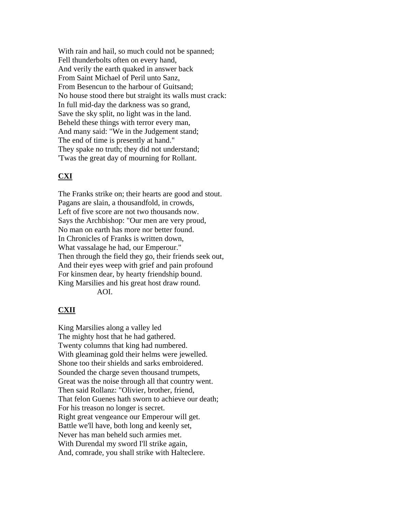With rain and hail, so much could not be spanned; Fell thunderbolts often on every hand, And verily the earth quaked in answer back From Saint Michael of Peril unto Sanz, From Besencun to the harbour of Guitsand; No house stood there but straight its walls must crack: In full mid-day the darkness was so grand, Save the sky split, no light was in the land. Beheld these things with terror every man, And many said: "We in the Judgement stand; The end of time is presently at hand." They spake no truth; they did not understand; 'Twas the great day of mourning for Rollant.

### **CXI**

The Franks strike on; their hearts are good and stout. Pagans are slain, a thousandfold, in crowds, Left of five score are not two thousands now. Says the Archbishop: "Our men are very proud, No man on earth has more nor better found. In Chronicles of Franks is written down, What vassalage he had, our Emperour." Then through the field they go, their friends seek out, And their eyes weep with grief and pain profound For kinsmen dear, by hearty friendship bound. King Marsilies and his great host draw round. AOI.

#### **CXII**

King Marsilies along a valley led The mighty host that he had gathered. Twenty columns that king had numbered. With gleaminag gold their helms were jewelled. Shone too their shields and sarks embroidered. Sounded the charge seven thousand trumpets, Great was the noise through all that country went. Then said Rollanz: "Olivier, brother, friend, That felon Guenes hath sworn to achieve our death; For his treason no longer is secret. Right great vengeance our Emperour will get. Battle we'll have, both long and keenly set, Never has man beheld such armies met. With Durendal my sword I'll strike again, And, comrade, you shall strike with Halteclere.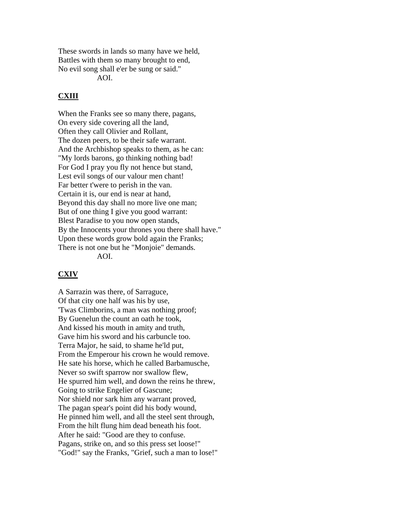These swords in lands so many have we held, Battles with them so many brought to end, No evil song shall e'er be sung or said." AOI.

# **CXIII**

When the Franks see so many there, pagans, On every side covering all the land, Often they call Olivier and Rollant, The dozen peers, to be their safe warrant. And the Archbishop speaks to them, as he can: "My lords barons, go thinking nothing bad! For God I pray you fly not hence but stand, Lest evil songs of our valour men chant! Far better t'were to perish in the van. Certain it is, our end is near at hand, Beyond this day shall no more live one man; But of one thing I give you good warrant: Blest Paradise to you now open stands, By the Innocents your thrones you there shall have." Upon these words grow bold again the Franks; There is not one but he "Monjoie" demands. AOI.

#### **CXIV**

A Sarrazin was there, of Sarraguce, Of that city one half was his by use, 'Twas Climborins, a man was nothing proof; By Guenelun the count an oath he took, And kissed his mouth in amity and truth, Gave him his sword and his carbuncle too. Terra Major, he said, to shame he'ld put, From the Emperour his crown he would remove. He sate his horse, which he called Barbamusche, Never so swift sparrow nor swallow flew, He spurred him well, and down the reins he threw, Going to strike Engelier of Gascune; Nor shield nor sark him any warrant proved, The pagan spear's point did his body wound, He pinned him well, and all the steel sent through, From the hilt flung him dead beneath his foot. After he said: "Good are they to confuse. Pagans, strike on, and so this press set loose!" "God!" say the Franks, "Grief, such a man to lose!"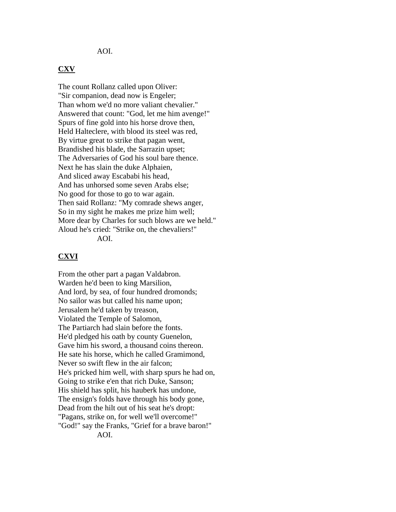#### AOI.

#### **CXV**

The count Rollanz called upon Oliver: "Sir companion, dead now is Engeler; Than whom we'd no more valiant chevalier." Answered that count: "God, let me him avenge!" Spurs of fine gold into his horse drove then, Held Halteclere, with blood its steel was red, By virtue great to strike that pagan went, Brandished his blade, the Sarrazin upset; The Adversaries of God his soul bare thence. Next he has slain the duke Alphaien, And sliced away Escababi his head, And has unhorsed some seven Arabs else; No good for those to go to war again. Then said Rollanz: "My comrade shews anger, So in my sight he makes me prize him well; More dear by Charles for such blows are we held." Aloud he's cried: "Strike on, the chevaliers!" AOI.

#### **CXVI**

From the other part a pagan Valdabron. Warden he'd been to king Marsilion, And lord, by sea, of four hundred dromonds; No sailor was but called his name upon; Jerusalem he'd taken by treason, Violated the Temple of Salomon, The Partiarch had slain before the fonts. He'd pledged his oath by county Guenelon, Gave him his sword, a thousand coins thereon. He sate his horse, which he called Gramimond, Never so swift flew in the air falcon; He's pricked him well, with sharp spurs he had on, Going to strike e'en that rich Duke, Sanson; His shield has split, his hauberk has undone, The ensign's folds have through his body gone, Dead from the hilt out of his seat he's dropt: "Pagans, strike on, for well we'll overcome!" "God!" say the Franks, "Grief for a brave baron!"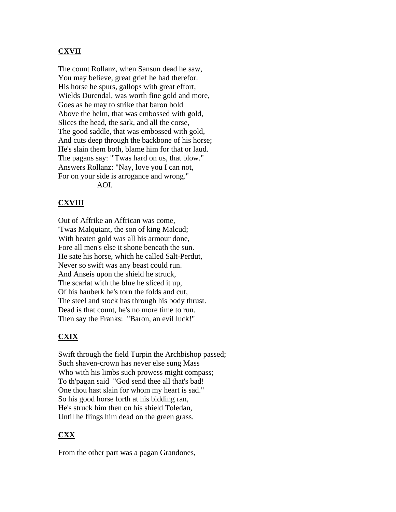# **CXVII**

The count Rollanz, when Sansun dead he saw, You may believe, great grief he had therefor. His horse he spurs, gallops with great effort, Wields Durendal, was worth fine gold and more, Goes as he may to strike that baron bold Above the helm, that was embossed with gold, Slices the head, the sark, and all the corse, The good saddle, that was embossed with gold, And cuts deep through the backbone of his horse; He's slain them both, blame him for that or laud. The pagans say: "'Twas hard on us, that blow." Answers Rollanz: "Nay, love you I can not, For on your side is arrogance and wrong." AOI.

# **CXVIII**

Out of Affrike an Affrican was come, 'Twas Malquiant, the son of king Malcud; With beaten gold was all his armour done, Fore all men's else it shone beneath the sun. He sate his horse, which he called Salt-Perdut, Never so swift was any beast could run. And Anseis upon the shield he struck, The scarlat with the blue he sliced it up, Of his hauberk he's torn the folds and cut, The steel and stock has through his body thrust. Dead is that count, he's no more time to run. Then say the Franks: "Baron, an evil luck!"

#### **CXIX**

Swift through the field Turpin the Archbishop passed; Such shaven-crown has never else sung Mass Who with his limbs such prowess might compass; To th'pagan said "God send thee all that's bad! One thou hast slain for whom my heart is sad." So his good horse forth at his bidding ran, He's struck him then on his shield Toledan, Until he flings him dead on the green grass.

# **CXX**

From the other part was a pagan Grandones,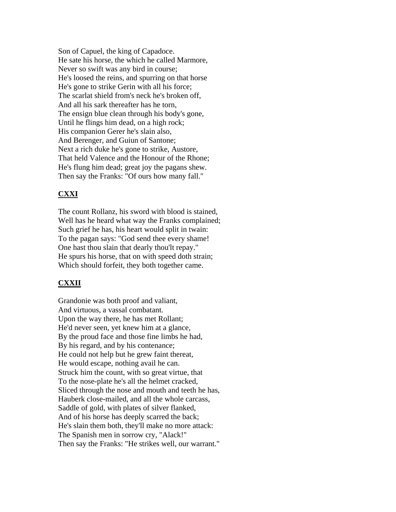Son of Capuel, the king of Capadoce. He sate his horse, the which he called Marmore, Never so swift was any bird in course; He's loosed the reins, and spurring on that horse He's gone to strike Gerin with all his force; The scarlat shield from's neck he's broken off, And all his sark thereafter has he torn, The ensign blue clean through his body's gone, Until he flings him dead, on a high rock; His companion Gerer he's slain also, And Berenger, and Guiun of Santone; Next a rich duke he's gone to strike, Austore, That held Valence and the Honour of the Rhone; He's flung him dead; great joy the pagans shew. Then say the Franks: "Of ours how many fall."

# **CXXI**

The count Rollanz, his sword with blood is stained, Well has he heard what way the Franks complained; Such grief he has, his heart would split in twain: To the pagan says: "God send thee every shame! One hast thou slain that dearly thou'lt repay." He spurs his horse, that on with speed doth strain; Which should forfeit, they both together came.

# **CXXII**

Grandonie was both proof and valiant, And virtuous, a vassal combatant. Upon the way there, he has met Rollant; He'd never seen, yet knew him at a glance, By the proud face and those fine limbs he had, By his regard, and by his contenance; He could not help but he grew faint thereat, He would escape, nothing avail he can. Struck him the count, with so great virtue, that To the nose-plate he's all the helmet cracked, Sliced through the nose and mouth and teeth he has, Hauberk close-mailed, and all the whole carcass, Saddle of gold, with plates of silver flanked, And of his horse has deeply scarred the back; He's slain them both, they'll make no more attack: The Spanish men in sorrow cry, "Alack!" Then say the Franks: "He strikes well, our warrant."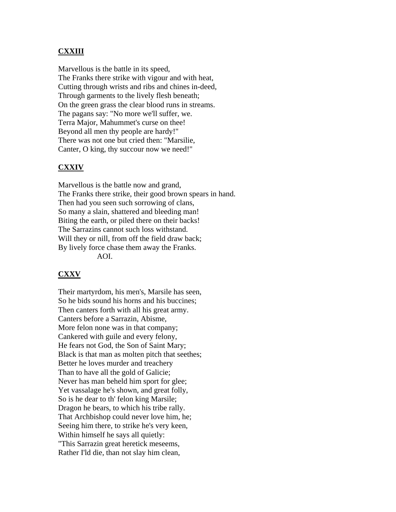### **CXXIII**

Marvellous is the battle in its speed, The Franks there strike with vigour and with heat, Cutting through wrists and ribs and chines in-deed, Through garments to the lively flesh beneath; On the green grass the clear blood runs in streams. The pagans say: "No more we'll suffer, we. Terra Major, Mahummet's curse on thee! Beyond all men thy people are hardy!" There was not one but cried then: "Marsilie, Canter, O king, thy succour now we need!"

#### **CXXIV**

Marvellous is the battle now and grand, The Franks there strike, their good brown spears in hand. Then had you seen such sorrowing of clans, So many a slain, shattered and bleeding man! Biting the earth, or piled there on their backs! The Sarrazins cannot such loss withstand. Will they or nill, from off the field draw back; By lively force chase them away the Franks. AOI.

#### **CXXV**

Their martyrdom, his men's, Marsile has seen, So he bids sound his horns and his buccines; Then canters forth with all his great army. Canters before a Sarrazin, Abisme, More felon none was in that company; Cankered with guile and every felony, He fears not God, the Son of Saint Mary; Black is that man as molten pitch that seethes; Better he loves murder and treachery Than to have all the gold of Galicie; Never has man beheld him sport for glee; Yet vassalage he's shown, and great folly, So is he dear to th' felon king Marsile; Dragon he bears, to which his tribe rally. That Archbishop could never love him, he; Seeing him there, to strike he's very keen, Within himself he says all quietly: "This Sarrazin great heretick meseems, Rather I'ld die, than not slay him clean,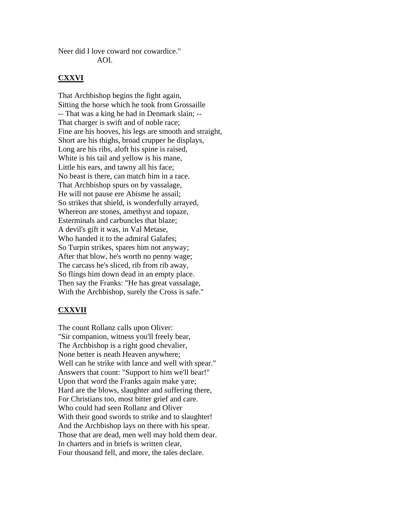Neer did I love coward nor cowardice." AOI.

#### **CXXVI**

That Archbishop begins the fight again, Sitting the horse which he took from Grossaille -- That was a king he had in Denmark slain; -- That charger is swift and of noble race; Fine are his hooves, his legs are smooth and straight, Short are his thighs, broad crupper he displays, Long are his ribs, aloft his spine is raised, White is his tail and yellow is his mane, Little his ears, and tawny all his face; No beast is there, can match him in a race. That Archbishop spurs on by vassalage, He will not pause ere Abisme he assail; So strikes that shield, is wonderfully arrayed, Whereon are stones, amethyst and topaze, Esterminals and carbuncles that blaze; A devil's gift it was, in Val Metase, Who handed it to the admiral Galafes; So Turpin strikes, spares him not anyway; After that blow, he's worth no penny wage; The carcass he's sliced, rib from rib away, So flings him down dead in an empty place. Then say the Franks: "He has great vassalage, With the Archbishop, surely the Cross is safe."

#### **CXXVII**

The count Rollanz calls upon Oliver: "Sir companion, witness you'll freely bear, The Archbishop is a right good chevalier, None better is neath Heaven anywhere; Well can he strike with lance and well with spear." Answers that count: "Support to him we'll bear!" Upon that word the Franks again make yare; Hard are the blows, slaughter and suffering there, For Christians too, most bitter grief and care. Who could had seen Rollanz and Oliver With their good swords to strike and to slaughter! And the Archbishop lays on there with his spear. Those that are dead, men well may hold them dear. In charters and in briefs is written clear, Four thousand fell, and more, the tales declare.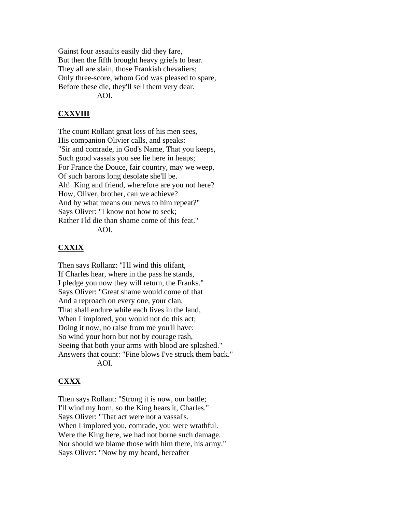Gainst four assaults easily did they fare, But then the fifth brought heavy griefs to bear. They all are slain, those Frankish chevaliers; Only three-score, whom God was pleased to spare, Before these die, they'll sell them very dear. AOI.

## **CXXVIII**

The count Rollant great loss of his men sees, His companion Olivier calls, and speaks: "Sir and comrade, in God's Name, That you keeps, Such good vassals you see lie here in heaps; For France the Douce, fair country, may we weep, Of such barons long desolate she'll be. Ah! King and friend, wherefore are you not here? How, Oliver, brother, can we achieve? And by what means our news to him repeat?" Says Oliver: "I know not how to seek; Rather I'ld die than shame come of this feat." AOI.

#### **CXXIX**

Then says Rollanz: "I'll wind this olifant, If Charles hear, where in the pass he stands, I pledge you now they will return, the Franks." Says Oliver: "Great shame would come of that And a reproach on every one, your clan, That shall endure while each lives in the land, When I implored, you would not do this act; Doing it now, no raise from me you'll have: So wind your horn but not by courage rash, Seeing that both your arms with blood are splashed." Answers that count: "Fine blows I've struck them back." AOI.

#### **CXXX**

Then says Rollant: "Strong it is now, our battle; I'll wind my horn, so the King hears it, Charles." Says Oliver: "That act were not a vassal's. When I implored you, comrade, you were wrathful. Were the King here, we had not borne such damage. Nor should we blame those with him there, his army." Says Oliver: "Now by my beard, hereafter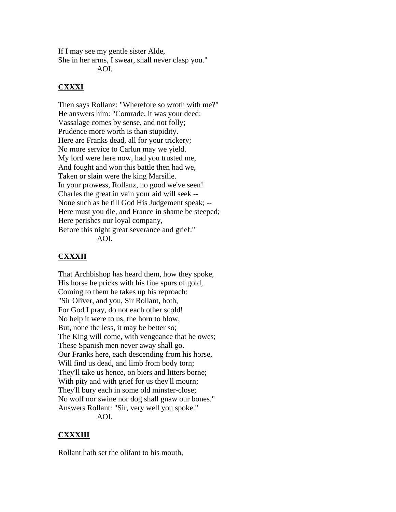If I may see my gentle sister Alde, She in her arms, I swear, shall never clasp you." AOI.

**CXXXI**

Then says Rollanz: "Wherefore so wroth with me?" He answers him: "Comrade, it was your deed: Vassalage comes by sense, and not folly; Prudence more worth is than stupidity. Here are Franks dead, all for your trickery; No more service to Carlun may we yield. My lord were here now, had you trusted me, And fought and won this battle then had we, Taken or slain were the king Marsilie. In your prowess, Rollanz, no good we've seen! Charles the great in vain your aid will seek -- None such as he till God His Judgement speak; -- Here must you die, and France in shame be steeped; Here perishes our loyal company, Before this night great severance and grief." AOI.

# **CXXXII**

That Archbishop has heard them, how they spoke, His horse he pricks with his fine spurs of gold, Coming to them he takes up his reproach: "Sir Oliver, and you, Sir Rollant, both, For God I pray, do not each other scold! No help it were to us, the horn to blow, But, none the less, it may be better so; The King will come, with vengeance that he owes; These Spanish men never away shall go. Our Franks here, each descending from his horse, Will find us dead, and limb from body torn; They'll take us hence, on biers and litters borne; With pity and with grief for us they'll mourn; They'll bury each in some old minster-close; No wolf nor swine nor dog shall gnaw our bones." Answers Rollant: "Sir, very well you spoke." AOI.

# **CXXXIII**

Rollant hath set the olifant to his mouth,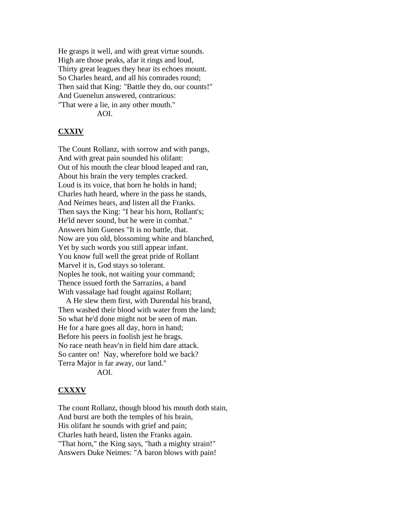He grasps it well, and with great virtue sounds. High are those peaks, afar it rings and loud, Thirty great leagues they hear its echoes mount. So Charles heard, and all his comrades round; Then said that King: "Battle they do, our counts!" And Guenelun answered, contrarious: "That were a lie, in any other mouth."

AOI.

#### **CXXIV**

The Count Rollanz, with sorrow and with pangs, And with great pain sounded his olifant: Out of his mouth the clear blood leaped and ran, About his brain the very temples cracked. Loud is its voice, that horn he holds in hand; Charles hath heard, where in the pass he stands, And Neimes hears, and listen all the Franks. Then says the King: "I hear his horn, Rollant's; He'ld never sound, but he were in combat." Answers him Guenes "It is no battle, that. Now are you old, blossoming white and blanched, Yet by such words you still appear infant. You know full well the great pride of Rollant Marvel it is, God stays so tolerant. Noples he took, not waiting your command; Thence issued forth the Sarrazins, a band With vassalage had fought against Rollant;

 A He slew them first, with Durendal his brand, Then washed their blood with water from the land; So what he'd done might not be seen of man. He for a hare goes all day, horn in hand; Before his peers in foolish jest he brags. No race neath heav'n in field him dare attack. So canter on! Nay, wherefore hold we back? Terra Major is far away, our land." AOI.

#### **CXXXV**

The count Rollanz, though blood his mouth doth stain, And burst are both the temples of his brain, His olifant he sounds with grief and pain; Charles hath heard, listen the Franks again. "That horn," the King says, "hath a mighty strain!" Answers Duke Neimes: "A baron blows with pain!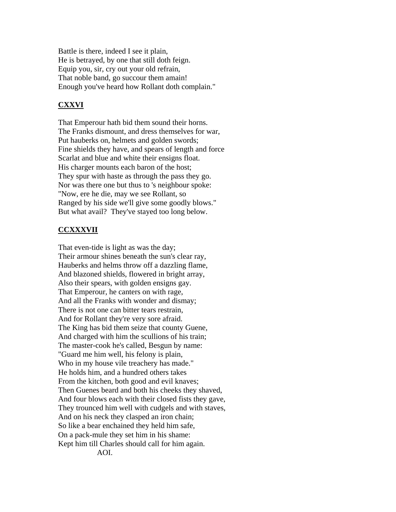Battle is there, indeed I see it plain, He is betrayed, by one that still doth feign. Equip you, sir, cry out your old refrain, That noble band, go succour them amain! Enough you've heard how Rollant doth complain."

## **CXXVI**

That Emperour hath bid them sound their horns. The Franks dismount, and dress themselves for war, Put hauberks on, helmets and golden swords; Fine shields they have, and spears of length and force Scarlat and blue and white their ensigns float. His charger mounts each baron of the host; They spur with haste as through the pass they go. Nor was there one but thus to 's neighbour spoke: "Now, ere he die, may we see Rollant, so Ranged by his side we'll give some goodly blows." But what avail? They've stayed too long below.

#### **CCXXXVII**

That even-tide is light as was the day; Their armour shines beneath the sun's clear ray, Hauberks and helms throw off a dazzling flame, And blazoned shields, flowered in bright array, Also their spears, with golden ensigns gay. That Emperour, he canters on with rage, And all the Franks with wonder and dismay; There is not one can bitter tears restrain, And for Rollant they're very sore afraid. The King has bid them seize that county Guene, And charged with him the scullions of his train; The master-cook he's called, Besgun by name: "Guard me him well, his felony is plain, Who in my house vile treachery has made." He holds him, and a hundred others takes From the kitchen, both good and evil knaves; Then Guenes beard and both his cheeks they shaved, And four blows each with their closed fists they gave, They trounced him well with cudgels and with staves, And on his neck they clasped an iron chain; So like a bear enchained they held him safe, On a pack-mule they set him in his shame: Kept him till Charles should call for him again. AOI.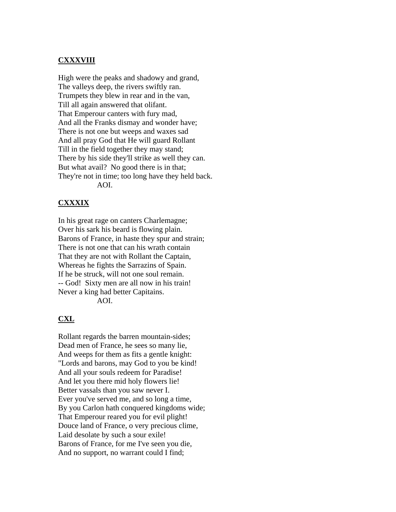#### **CXXXVIII**

High were the peaks and shadowy and grand, The valleys deep, the rivers swiftly ran. Trumpets they blew in rear and in the van, Till all again answered that olifant. That Emperour canters with fury mad, And all the Franks dismay and wonder have; There is not one but weeps and waxes sad And all pray God that He will guard Rollant Till in the field together they may stand; There by his side they'll strike as well they can. But what avail? No good there is in that; They're not in time; too long have they held back. AOI.

### **CXXXIX**

In his great rage on canters Charlemagne; Over his sark his beard is flowing plain. Barons of France, in haste they spur and strain; There is not one that can his wrath contain That they are not with Rollant the Captain, Whereas he fights the Sarrazins of Spain. If he be struck, will not one soul remain. -- God! Sixty men are all now in his train! Never a king had better Capitains. AOI.

#### **CXL**

Rollant regards the barren mountain-sides; Dead men of France, he sees so many lie, And weeps for them as fits a gentle knight: "Lords and barons, may God to you be kind! And all your souls redeem for Paradise! And let you there mid holy flowers lie! Better vassals than you saw never I. Ever you've served me, and so long a time, By you Carlon hath conquered kingdoms wide; That Emperour reared you for evil plight! Douce land of France, o very precious clime, Laid desolate by such a sour exile! Barons of France, for me I've seen you die, And no support, no warrant could I find;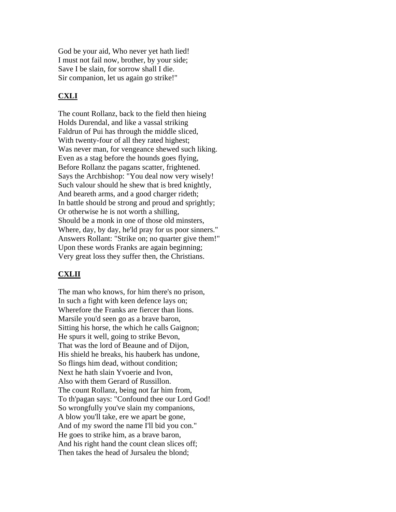God be your aid, Who never yet hath lied! I must not fail now, brother, by your side; Save I be slain, for sorrow shall I die. Sir companion, let us again go strike!"

# **CXLI**

The count Rollanz, back to the field then hieing Holds Durendal, and like a vassal striking Faldrun of Pui has through the middle sliced, With twenty-four of all they rated highest; Was never man, for vengeance shewed such liking. Even as a stag before the hounds goes flying, Before Rollanz the pagans scatter, frightened. Says the Archbishop: "You deal now very wisely! Such valour should he shew that is bred knightly, And beareth arms, and a good charger rideth; In battle should be strong and proud and sprightly; Or otherwise he is not worth a shilling, Should be a monk in one of those old minsters, Where, day, by day, he'ld pray for us poor sinners." Answers Rollant: "Strike on; no quarter give them!" Upon these words Franks are again beginning; Very great loss they suffer then, the Christians.

# **CXLII**

The man who knows, for him there's no prison, In such a fight with keen defence lays on; Wherefore the Franks are fiercer than lions. Marsile you'd seen go as a brave baron, Sitting his horse, the which he calls Gaignon; He spurs it well, going to strike Bevon, That was the lord of Beaune and of Dijon, His shield he breaks, his hauberk has undone, So flings him dead, without condition; Next he hath slain Yvoerie and Ivon, Also with them Gerard of Russillon. The count Rollanz, being not far him from, To th'pagan says: "Confound thee our Lord God! So wrongfully you've slain my companions, A blow you'll take, ere we apart be gone, And of my sword the name I'll bid you con." He goes to strike him, as a brave baron, And his right hand the count clean slices off; Then takes the head of Jursaleu the blond;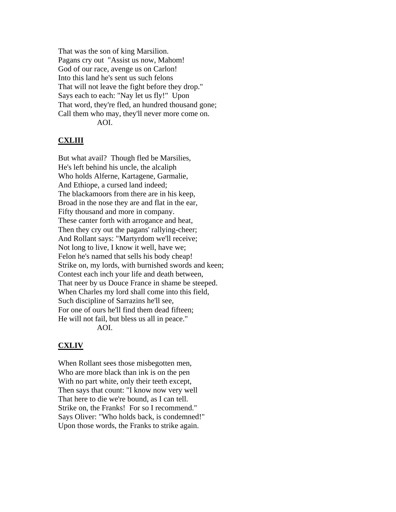That was the son of king Marsilion. Pagans cry out "Assist us now, Mahom! God of our race, avenge us on Carlon! Into this land he's sent us such felons That will not leave the fight before they drop." Says each to each: "Nay let us fly!" Upon That word, they're fled, an hundred thousand gone; Call them who may, they'll never more come on. AOI.

#### **CXLIII**

But what avail? Though fled be Marsilies, He's left behind his uncle, the alcaliph Who holds Alferne, Kartagene, Garmalie, And Ethiope, a cursed land indeed; The blackamoors from there are in his keep, Broad in the nose they are and flat in the ear, Fifty thousand and more in company. These canter forth with arrogance and heat, Then they cry out the pagans' rallying-cheer; And Rollant says: "Martyrdom we'll receive; Not long to live, I know it well, have we; Felon he's named that sells his body cheap! Strike on, my lords, with burnished swords and keen; Contest each inch your life and death between, That neer by us Douce France in shame be steeped. When Charles my lord shall come into this field, Such discipline of Sarrazins he'll see, For one of ours he'll find them dead fifteen; He will not fail, but bless us all in peace." AOI.

#### **CXLIV**

When Rollant sees those misbegotten men, Who are more black than ink is on the pen With no part white, only their teeth except, Then says that count: "I know now very well That here to die we're bound, as I can tell. Strike on, the Franks! For so I recommend." Says Oliver: "Who holds back, is condemned!" Upon those words, the Franks to strike again.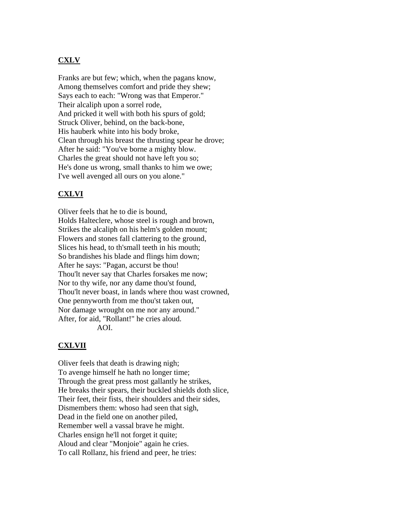# **CXLV**

Franks are but few; which, when the pagans know, Among themselves comfort and pride they shew; Says each to each: "Wrong was that Emperor." Their alcaliph upon a sorrel rode, And pricked it well with both his spurs of gold; Struck Oliver, behind, on the back-bone, His hauberk white into his body broke, Clean through his breast the thrusting spear he drove; After he said: "You've borne a mighty blow. Charles the great should not have left you so; He's done us wrong, small thanks to him we owe; I've well avenged all ours on you alone."

# **CXLVI**

Oliver feels that he to die is bound, Holds Halteclere, whose steel is rough and brown, Strikes the alcaliph on his helm's golden mount; Flowers and stones fall clattering to the ground, Slices his head, to th'small teeth in his mouth; So brandishes his blade and flings him down; After he says: "Pagan, accurst be thou! Thou'lt never say that Charles forsakes me now; Nor to thy wife, nor any dame thou'st found, Thou'lt never boast, in lands where thou wast crowned, One pennyworth from me thou'st taken out, Nor damage wrought on me nor any around." After, for aid, "Rollant!" he cries aloud. AOI.

# **CXLVII**

Oliver feels that death is drawing nigh; To avenge himself he hath no longer time; Through the great press most gallantly he strikes, He breaks their spears, their buckled shields doth slice, Their feet, their fists, their shoulders and their sides, Dismembers them: whoso had seen that sigh, Dead in the field one on another piled, Remember well a vassal brave he might. Charles ensign he'll not forget it quite; Aloud and clear "Monjoie" again he cries. To call Rollanz, his friend and peer, he tries: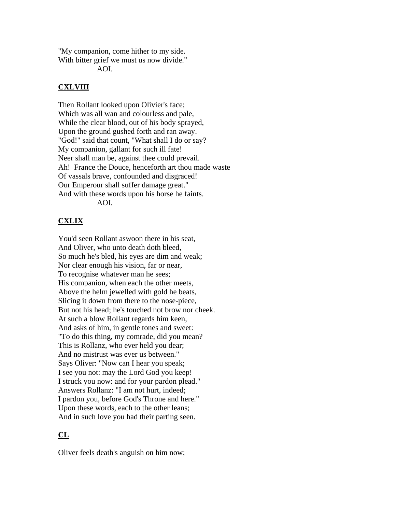"My companion, come hither to my side. With bitter grief we must us now divide."

AOI.

# **CXLVIII**

Then Rollant looked upon Olivier's face; Which was all wan and colourless and pale, While the clear blood, out of his body sprayed, Upon the ground gushed forth and ran away. "God!" said that count, "What shall I do or say? My companion, gallant for such ill fate! Neer shall man be, against thee could prevail. Ah! France the Douce, henceforth art thou made waste Of vassals brave, confounded and disgraced! Our Emperour shall suffer damage great." And with these words upon his horse he faints. AOI.

# **CXLIX**

You'd seen Rollant aswoon there in his seat, And Oliver, who unto death doth bleed, So much he's bled, his eyes are dim and weak; Nor clear enough his vision, far or near, To recognise whatever man he sees; His companion, when each the other meets, Above the helm jewelled with gold he beats, Slicing it down from there to the nose-piece, But not his head; he's touched not brow nor cheek. At such a blow Rollant regards him keen, And asks of him, in gentle tones and sweet: "To do this thing, my comrade, did you mean? This is Rollanz, who ever held you dear; And no mistrust was ever us between." Says Oliver: "Now can I hear you speak; I see you not: may the Lord God you keep! I struck you now: and for your pardon plead." Answers Rollanz: "I am not hurt, indeed; I pardon you, before God's Throne and here." Upon these words, each to the other leans; And in such love you had their parting seen.

# **CL**

Oliver feels death's anguish on him now;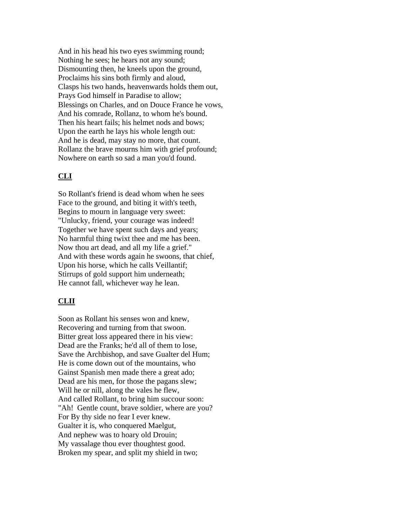And in his head his two eyes swimming round; Nothing he sees; he hears not any sound; Dismounting then, he kneels upon the ground, Proclaims his sins both firmly and aloud, Clasps his two hands, heavenwards holds them out, Prays God himself in Paradise to allow; Blessings on Charles, and on Douce France he vows, And his comrade, Rollanz, to whom he's bound. Then his heart fails; his helmet nods and bows; Upon the earth he lays his whole length out: And he is dead, may stay no more, that count. Rollanz the brave mourns him with grief profound; Nowhere on earth so sad a man you'd found.

# **CLI**

So Rollant's friend is dead whom when he sees Face to the ground, and biting it with's teeth, Begins to mourn in language very sweet: "Unlucky, friend, your courage was indeed! Together we have spent such days and years; No harmful thing twixt thee and me has been. Now thou art dead, and all my life a grief." And with these words again he swoons, that chief, Upon his horse, which he calls Veillantif; Stirrups of gold support him underneath; He cannot fall, whichever way he lean.

# **CLII**

Soon as Rollant his senses won and knew, Recovering and turning from that swoon. Bitter great loss appeared there in his view: Dead are the Franks; he'd all of them to lose, Save the Archbishop, and save Gualter del Hum; He is come down out of the mountains, who Gainst Spanish men made there a great ado; Dead are his men, for those the pagans slew; Will he or nill, along the vales he flew, And called Rollant, to bring him succour soon: "Ah! Gentle count, brave soldier, where are you? For By thy side no fear I ever knew. Gualter it is, who conquered Maelgut, And nephew was to hoary old Drouin; My vassalage thou ever thoughtest good. Broken my spear, and split my shield in two;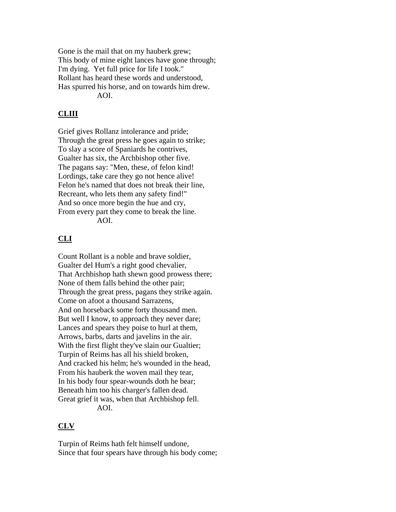Gone is the mail that on my hauberk grew; This body of mine eight lances have gone through; I'm dying. Yet full price for life I took." Rollant has heard these words and understood, Has spurred his horse, and on towards him drew. AOI.

# **CLIII**

Grief gives Rollanz intolerance and pride; Through the great press he goes again to strike; To slay a score of Spaniards he contrives, Gualter has six, the Archbishop other five. The pagans say: "Men, these, of felon kind! Lordings, take care they go not hence alive! Felon he's named that does not break their line, Recreant, who lets them any safety find!" And so once more begin the hue and cry, From every part they come to break the line. AOI.

# **CLI**

Count Rollant is a noble and brave soldier, Gualter del Hum's a right good chevalier, That Archbishop hath shewn good prowess there; None of them falls behind the other pair; Through the great press, pagans they strike again. Come on afoot a thousand Sarrazens, And on horseback some forty thousand men. But well I know, to approach they never dare; Lances and spears they poise to hurl at them, Arrows, barbs, darts and javelins in the air. With the first flight they've slain our Gualtier; Turpin of Reims has all his shield broken, And cracked his helm; he's wounded in the head, From his hauberk the woven mail they tear, In his body four spear-wounds doth he bear; Beneath him too his charger's fallen dead. Great grief it was, when that Archbishop fell. AOI.

# **CLV**

Turpin of Reims hath felt himself undone, Since that four spears have through his body come;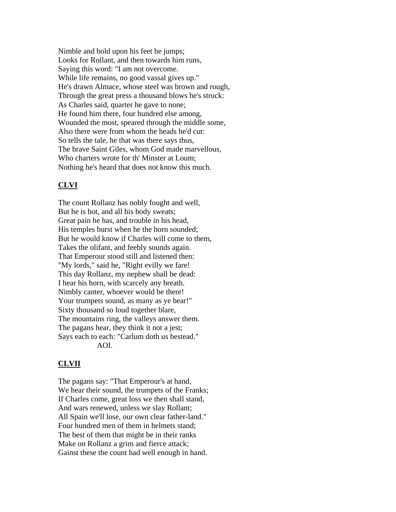Nimble and bold upon his feet he jumps; Looks for Rollant, and then towards him runs, Saying this word: "I am not overcome. While life remains, no good vassal gives up." He's drawn Almace, whose steel was brown and rough, Through the great press a thousand blows he's struck: As Charles said, quarter he gave to none; He found him there, four hundred else among, Wounded the most, speared through the middle some, Also there were from whom the heads he'd cut: So tells the tale, he that was there says thus, The brave Saint Giles, whom God made marvellous, Who charters wrote for th' Minster at Loum; Nothing he's heard that does not know this much.

### **CLVI**

The count Rollanz has nobly fought and well, But he is hot, and all his body sweats; Great pain he has, and trouble in his head, His temples burst when he the horn sounded; But he would know if Charles will come to them, Takes the olifant, and feebly sounds again. That Emperour stood still and listened then: "My lords," said he, "Right evilly we fare! This day Rollanz, my nephew shall be dead: I hear his horn, with scarcely any breath. Nimbly canter, whoever would be there! Your trumpets sound, as many as ye bear!" Sixty thousand so loud together blare, The mountains ring, the valleys answer them. The pagans hear, they think it not a jest; Says each to each: "Carlum doth us bestead." AOI.

#### **CLVII**

The pagans say: "That Emperour's at hand, We hear their sound, the trumpets of the Franks; If Charles come, great loss we then shall stand, And wars renewed, unless we slay Rollant; All Spain we'll lose, our own clear father-land." Four hundred men of them in helmets stand; The best of them that might be in their ranks Make on Rollanz a grim and fierce attack; Gainst these the count had well enough in hand.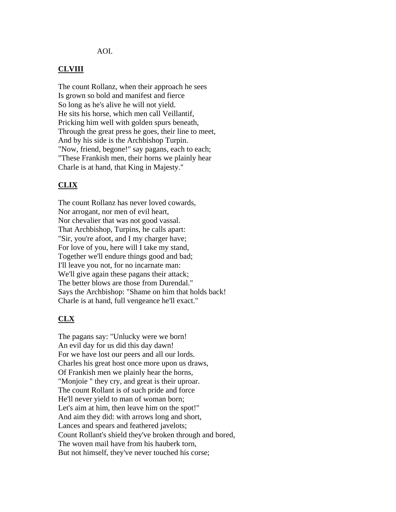#### AOI.

#### **CLVIII**

The count Rollanz, when their approach he sees Is grown so bold and manifest and fierce So long as he's alive he will not yield. He sits his horse, which men call Veillantif, Pricking him well with golden spurs beneath, Through the great press he goes, their line to meet, And by his side is the Archbishop Turpin. "Now, friend, begone!" say pagans, each to each; "These Frankish men, their horns we plainly hear Charle is at hand, that King in Majesty."

#### **CLIX**

The count Rollanz has never loved cowards, Nor arrogant, nor men of evil heart, Nor chevalier that was not good vassal. That Archbishop, Turpins, he calls apart: "Sir, you're afoot, and I my charger have; For love of you, here will I take my stand, Together we'll endure things good and bad; I'll leave you not, for no incarnate man: We'll give again these pagans their attack; The better blows are those from Durendal." Says the Archbishop: "Shame on him that holds back! Charle is at hand, full vengeance he'll exact."

#### **CLX**

The pagans say: "Unlucky were we born! An evil day for us did this day dawn! For we have lost our peers and all our lords. Charles his great host once more upon us draws, Of Frankish men we plainly hear the horns, "Monjoie " they cry, and great is their uproar. The count Rollant is of such pride and force He'll never yield to man of woman born; Let's aim at him, then leave him on the spot!" And aim they did: with arrows long and short, Lances and spears and feathered javelots; Count Rollant's shield they've broken through and bored, The woven mail have from his hauberk torn, But not himself, they've never touched his corse;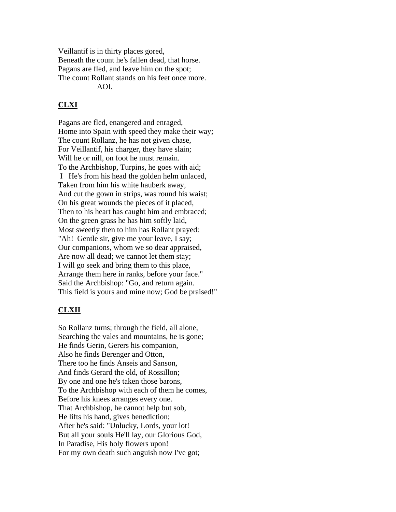Veillantif is in thirty places gored, Beneath the count he's fallen dead, that horse. Pagans are fled, and leave him on the spot; The count Rollant stands on his feet once more. AOI.

# **CLXI**

Pagans are fled, enangered and enraged, Home into Spain with speed they make their way; The count Rollanz, he has not given chase, For Veillantif, his charger, they have slain; Will he or nill, on foot he must remain. To the Archbishop, Turpins, he goes with aid; I He's from his head the golden helm unlaced, Taken from him his white hauberk away, And cut the gown in strips, was round his waist; On his great wounds the pieces of it placed, Then to his heart has caught him and embraced; On the green grass he has him softly laid, Most sweetly then to him has Rollant prayed: "Ah! Gentle sir, give me your leave, I say; Our companions, whom we so dear appraised, Are now all dead; we cannot let them stay; I will go seek and bring them to this place, Arrange them here in ranks, before your face." Said the Archbishop: "Go, and return again. This field is yours and mine now; God be praised!"

# **CLXII**

So Rollanz turns; through the field, all alone, Searching the vales and mountains, he is gone; He finds Gerin, Gerers his companion, Also he finds Berenger and Otton, There too he finds Anseis and Sanson, And finds Gerard the old, of Rossillon; By one and one he's taken those barons, To the Archbishop with each of them he comes, Before his knees arranges every one. That Archbishop, he cannot help but sob, He lifts his hand, gives benediction; After he's said: "Unlucky, Lords, your lot! But all your souls He'll lay, our Glorious God, In Paradise, His holy flowers upon! For my own death such anguish now I've got;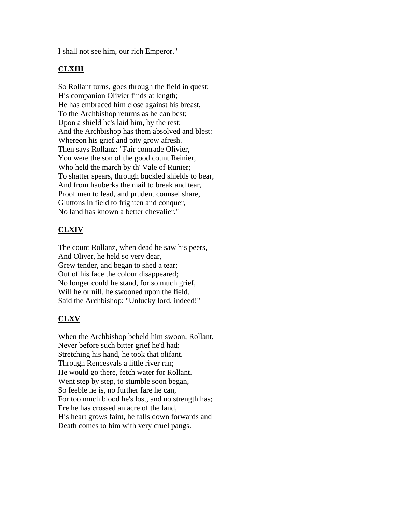I shall not see him, our rich Emperor."

# **CLXIII**

So Rollant turns, goes through the field in quest; His companion Olivier finds at length; He has embraced him close against his breast, To the Archbishop returns as he can best; Upon a shield he's laid him, by the rest; And the Archbishop has them absolved and blest: Whereon his grief and pity grow afresh. Then says Rollanz: "Fair comrade Olivier, You were the son of the good count Reinier, Who held the march by th' Vale of Runier; To shatter spears, through buckled shields to bear, And from hauberks the mail to break and tear, Proof men to lead, and prudent counsel share, Gluttons in field to frighten and conquer, No land has known a better chevalier."

# **CLXIV**

The count Rollanz, when dead he saw his peers, And Oliver, he held so very dear, Grew tender, and began to shed a tear; Out of his face the colour disappeared; No longer could he stand, for so much grief, Will he or nill, he swooned upon the field. Said the Archbishop: "Unlucky lord, indeed!"

# **CLXV**

When the Archbishop beheld him swoon, Rollant, Never before such bitter grief he'd had; Stretching his hand, he took that olifant. Through Rencesvals a little river ran; He would go there, fetch water for Rollant. Went step by step, to stumble soon began, So feeble he is, no further fare he can, For too much blood he's lost, and no strength has; Ere he has crossed an acre of the land, His heart grows faint, he falls down forwards and Death comes to him with very cruel pangs.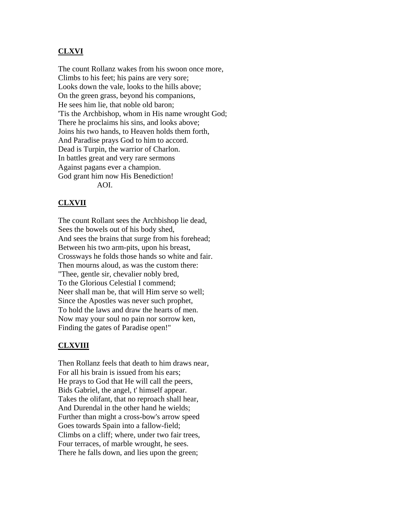## **CLXVI**

The count Rollanz wakes from his swoon once more, Climbs to his feet; his pains are very sore; Looks down the vale, looks to the hills above; On the green grass, beyond his companions, He sees him lie, that noble old baron; 'Tis the Archbishop, whom in His name wrought God; There he proclaims his sins, and looks above; Joins his two hands, to Heaven holds them forth, And Paradise prays God to him to accord. Dead is Turpin, the warrior of Charlon. In battles great and very rare sermons Against pagans ever a champion. God grant him now His Benediction! AOI.

#### **CLXVII**

The count Rollant sees the Archbishop lie dead, Sees the bowels out of his body shed, And sees the brains that surge from his forehead; Between his two arm-pits, upon his breast, Crossways he folds those hands so white and fair. Then mourns aloud, as was the custom there: "Thee, gentle sir, chevalier nobly bred, To the Glorious Celestial I commend; Neer shall man be, that will Him serve so well; Since the Apostles was never such prophet, To hold the laws and draw the hearts of men. Now may your soul no pain nor sorrow ken, Finding the gates of Paradise open!"

#### **CLXVIII**

Then Rollanz feels that death to him draws near, For all his brain is issued from his ears; He prays to God that He will call the peers, Bids Gabriel, the angel, t' himself appear. Takes the olifant, that no reproach shall hear, And Durendal in the other hand he wields; Further than might a cross-bow's arrow speed Goes towards Spain into a fallow-field; Climbs on a cliff; where, under two fair trees, Four terraces, of marble wrought, he sees. There he falls down, and lies upon the green;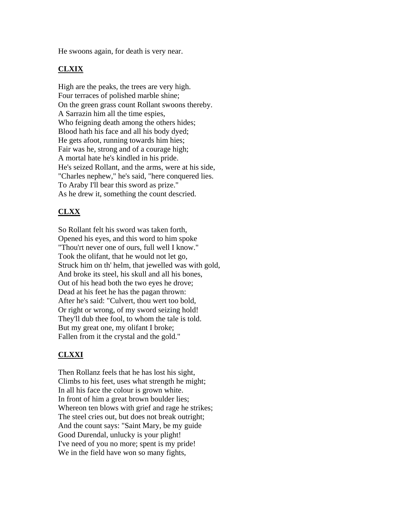He swoons again, for death is very near.

# **CLXIX**

High are the peaks, the trees are very high. Four terraces of polished marble shine; On the green grass count Rollant swoons thereby. A Sarrazin him all the time espies, Who feigning death among the others hides; Blood hath his face and all his body dyed; He gets afoot, running towards him hies; Fair was he, strong and of a courage high; A mortal hate he's kindled in his pride. He's seized Rollant, and the arms, were at his side, "Charles nephew," he's said, "here conquered lies. To Araby I'll bear this sword as prize." As he drew it, something the count descried.

# **CLXX**

So Rollant felt his sword was taken forth, Opened his eyes, and this word to him spoke "Thou'rt never one of ours, full well I know." Took the olifant, that he would not let go, Struck him on th' helm, that jewelled was with gold, And broke its steel, his skull and all his bones, Out of his head both the two eyes he drove; Dead at his feet he has the pagan thrown: After he's said: "Culvert, thou wert too bold, Or right or wrong, of my sword seizing hold! They'll dub thee fool, to whom the tale is told. But my great one, my olifant I broke; Fallen from it the crystal and the gold."

# **CLXXI**

Then Rollanz feels that he has lost his sight, Climbs to his feet, uses what strength he might; In all his face the colour is grown white. In front of him a great brown boulder lies; Whereon ten blows with grief and rage he strikes; The steel cries out, but does not break outright; And the count says: "Saint Mary, be my guide Good Durendal, unlucky is your plight! I've need of you no more; spent is my pride! We in the field have won so many fights,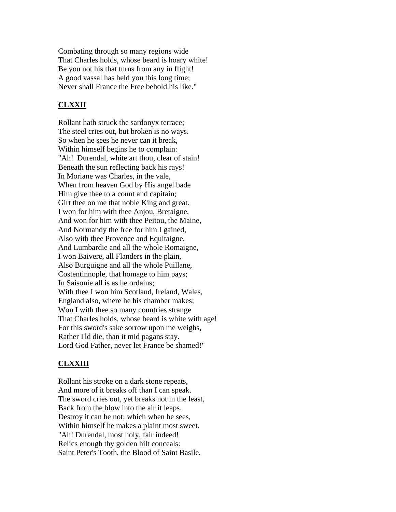Combating through so many regions wide That Charles holds, whose beard is hoary white! Be you not his that turns from any in flight! A good vassal has held you this long time; Never shall France the Free behold his like."

# **CLXXII**

Rollant hath struck the sardonyx terrace; The steel cries out, but broken is no ways. So when he sees he never can it break, Within himself begins he to complain: "Ah! Durendal, white art thou, clear of stain! Beneath the sun reflecting back his rays! In Moriane was Charles, in the vale, When from heaven God by His angel bade Him give thee to a count and capitain; Girt thee on me that noble King and great. I won for him with thee Anjou, Bretaigne, And won for him with thee Peitou, the Maine, And Normandy the free for him I gained, Also with thee Provence and Equitaigne, And Lumbardie and all the whole Romaigne, I won Baivere, all Flanders in the plain, Also Burguigne and all the whole Puillane, Costentinnople, that homage to him pays; In Saisonie all is as he ordains; With thee I won him Scotland, Ireland, Wales, England also, where he his chamber makes; Won I with thee so many countries strange That Charles holds, whose beard is white with age! For this sword's sake sorrow upon me weighs, Rather I'ld die, than it mid pagans stay. Lord God Father, never let France be shamed!"

#### **CLXXIII**

Rollant his stroke on a dark stone repeats, And more of it breaks off than I can speak. The sword cries out, yet breaks not in the least, Back from the blow into the air it leaps. Destroy it can he not; which when he sees, Within himself he makes a plaint most sweet. "Ah! Durendal, most holy, fair indeed! Relics enough thy golden hilt conceals: Saint Peter's Tooth, the Blood of Saint Basile,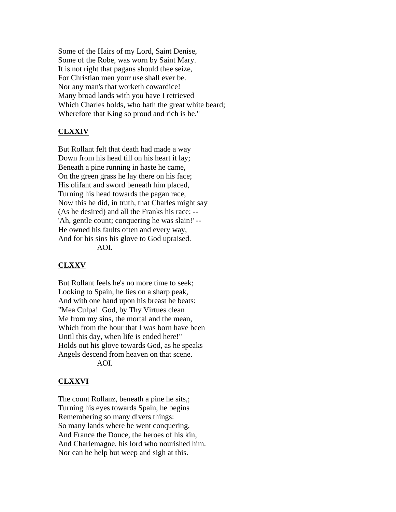Some of the Hairs of my Lord, Saint Denise, Some of the Robe, was worn by Saint Mary. It is not right that pagans should thee seize, For Christian men your use shall ever be. Nor any man's that worketh cowardice! Many broad lands with you have I retrieved Which Charles holds, who hath the great white beard; Wherefore that King so proud and rich is he."

# **CLXXIV**

But Rollant felt that death had made a way Down from his head till on his heart it lay; Beneath a pine running in haste he came, On the green grass he lay there on his face; His olifant and sword beneath him placed, Turning his head towards the pagan race, Now this he did, in truth, that Charles might say (As he desired) and all the Franks his race; -- 'Ah, gentle count; conquering he was slain!' -- He owned his faults often and every way, And for his sins his glove to God upraised. AOI.

#### **CLXXV**

But Rollant feels he's no more time to seek; Looking to Spain, he lies on a sharp peak, And with one hand upon his breast he beats: "Mea Culpa! God, by Thy Virtues clean Me from my sins, the mortal and the mean, Which from the hour that I was born have been Until this day, when life is ended here!" Holds out his glove towards God, as he speaks Angels descend from heaven on that scene. AOI.

#### **CLXXVI**

The count Rollanz, beneath a pine he sits,; Turning his eyes towards Spain, he begins Remembering so many divers things: So many lands where he went conquering, And France the Douce, the heroes of his kin, And Charlemagne, his lord who nourished him. Nor can he help but weep and sigh at this.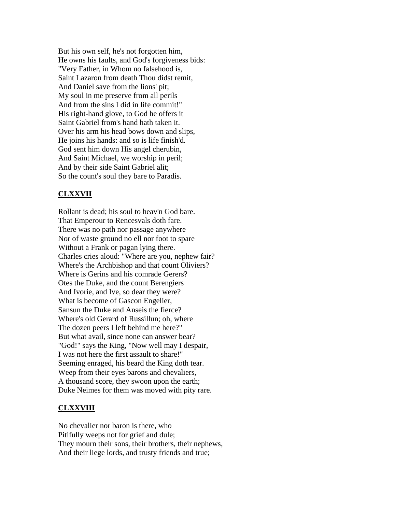But his own self, he's not forgotten him, He owns his faults, and God's forgiveness bids: "Very Father, in Whom no falsehood is, Saint Lazaron from death Thou didst remit, And Daniel save from the lions' pit; My soul in me preserve from all perils And from the sins I did in life commit!" His right-hand glove, to God he offers it Saint Gabriel from's hand hath taken it. Over his arm his head bows down and slips, He joins his hands: and so is life finish'd. God sent him down His angel cherubin, And Saint Michael, we worship in peril; And by their side Saint Gabriel alit; So the count's soul they bare to Paradis.

# **CLXXVII**

Rollant is dead; his soul to heav'n God bare. That Emperour to Rencesvals doth fare. There was no path nor passage anywhere Nor of waste ground no ell nor foot to spare Without a Frank or pagan lying there. Charles cries aloud: "Where are you, nephew fair? Where's the Archbishop and that count Oliviers? Where is Gerins and his comrade Gerers? Otes the Duke, and the count Berengiers And Ivorie, and Ive, so dear they were? What is become of Gascon Engelier, Sansun the Duke and Anseis the fierce? Where's old Gerard of Russillun; oh, where The dozen peers I left behind me here?" But what avail, since none can answer bear? "God!" says the King, "Now well may I despair, I was not here the first assault to share!" Seeming enraged, his beard the King doth tear. Weep from their eyes barons and chevaliers, A thousand score, they swoon upon the earth; Duke Neimes for them was moved with pity rare.

#### **CLXXVIII**

No chevalier nor baron is there, who Pitifully weeps not for grief and dule; They mourn their sons, their brothers, their nephews, And their liege lords, and trusty friends and true;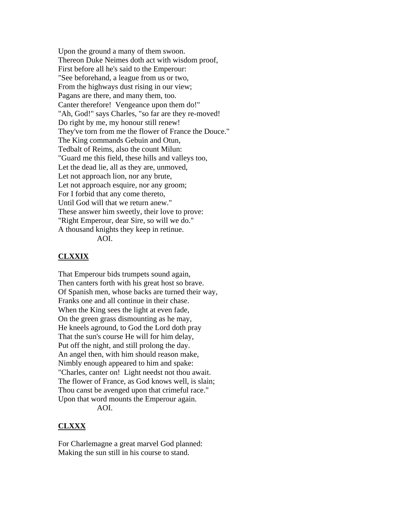Upon the ground a many of them swoon. Thereon Duke Neimes doth act with wisdom proof, First before all he's said to the Emperour: "See beforehand, a league from us or two, From the highways dust rising in our view; Pagans are there, and many them, too. Canter therefore! Vengeance upon them do!" "Ah, God!" says Charles, "so far are they re-moved! Do right by me, my honour still renew! They've torn from me the flower of France the Douce." The King commands Gebuin and Otun, Tedbalt of Reims, also the count Milun: "Guard me this field, these hills and valleys too, Let the dead lie, all as they are, unmoved, Let not approach lion, nor any brute, Let not approach esquire, nor any groom; For I forbid that any come thereto, Until God will that we return anew." These answer him sweetly, their love to prove: "Right Emperour, dear Sire, so will we do." A thousand knights they keep in retinue. AOI.

#### **CLXXIX**

That Emperour bids trumpets sound again, Then canters forth with his great host so brave. Of Spanish men, whose backs are turned their way, Franks one and all continue in their chase. When the King sees the light at even fade, On the green grass dismounting as he may, He kneels aground, to God the Lord doth pray That the sun's course He will for him delay, Put off the night, and still prolong the day. An angel then, with him should reason make, Nimbly enough appeared to him and spake: "Charles, canter on! Light needst not thou await. The flower of France, as God knows well, is slain; Thou canst be avenged upon that crimeful race." Upon that word mounts the Emperour again. AOI.

#### **CLXXX**

For Charlemagne a great marvel God planned: Making the sun still in his course to stand.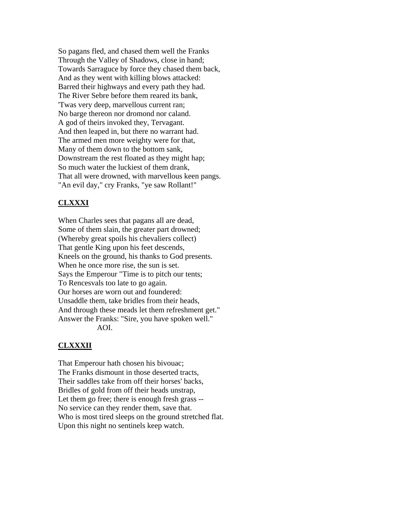So pagans fled, and chased them well the Franks Through the Valley of Shadows, close in hand; Towards Sarraguce by force they chased them back, And as they went with killing blows attacked: Barred their highways and every path they had. The River Sebre before them reared its bank, 'Twas very deep, marvellous current ran; No barge thereon nor dromond nor caland. A god of theirs invoked they, Tervagant. And then leaped in, but there no warrant had. The armed men more weighty were for that, Many of them down to the bottom sank, Downstream the rest floated as they might hap; So much water the luckiest of them drank, That all were drowned, with marvellous keen pangs. "An evil day," cry Franks, "ye saw Rollant!"

# **CLXXXI**

When Charles sees that pagans all are dead, Some of them slain, the greater part drowned; (Whereby great spoils his chevaliers collect) That gentle King upon his feet descends, Kneels on the ground, his thanks to God presents. When he once more rise, the sun is set. Says the Emperour "Time is to pitch our tents; To Rencesvals too late to go again. Our horses are worn out and foundered: Unsaddle them, take bridles from their heads, And through these meads let them refreshment get." Answer the Franks: "Sire, you have spoken well." AOI.

# **CLXXXII**

That Emperour hath chosen his bivouac; The Franks dismount in those deserted tracts, Their saddles take from off their horses' backs, Bridles of gold from off their heads unstrap, Let them go free; there is enough fresh grass -- No service can they render them, save that. Who is most tired sleeps on the ground stretched flat. Upon this night no sentinels keep watch.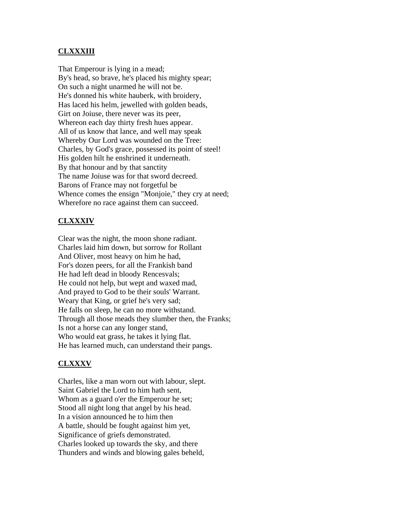# **CLXXXIII**

That Emperour is lying in a mead; By's head, so brave, he's placed his mighty spear; On such a night unarmed he will not be. He's donned his white hauberk, with broidery, Has laced his helm, jewelled with golden beads, Girt on Joiuse, there never was its peer, Whereon each day thirty fresh hues appear. All of us know that lance, and well may speak Whereby Our Lord was wounded on the Tree: Charles, by God's grace, possessed its point of steel! His golden hilt he enshrined it underneath. By that honour and by that sanctity The name Joiuse was for that sword decreed. Barons of France may not forgetful be Whence comes the ensign "Monjoie," they cry at need; Wherefore no race against them can succeed.

# **CLXXXIV**

Clear was the night, the moon shone radiant. Charles laid him down, but sorrow for Rollant And Oliver, most heavy on him he had, For's dozen peers, for all the Frankish band He had left dead in bloody Rencesvals; He could not help, but wept and waxed mad, And prayed to God to be their souls' Warrant. Weary that King, or grief he's very sad; He falls on sleep, he can no more withstand. Through all those meads they slumber then, the Franks; Is not a horse can any longer stand, Who would eat grass, he takes it lying flat. He has learned much, can understand their pangs.

# **CLXXXV**

Charles, like a man worn out with labour, slept. Saint Gabriel the Lord to him hath sent, Whom as a guard o'er the Emperour he set; Stood all night long that angel by his head. In a vision announced he to him then A battle, should be fought against him yet, Significance of griefs demonstrated. Charles looked up towards the sky, and there Thunders and winds and blowing gales beheld,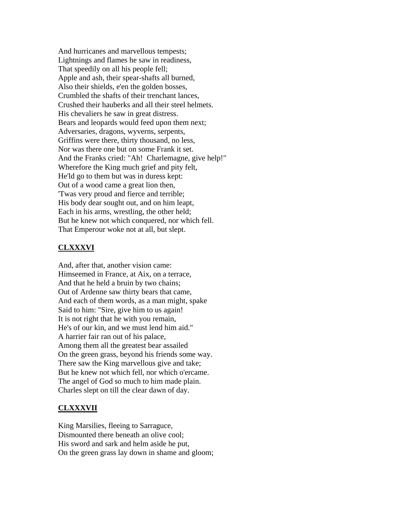And hurricanes and marvellous tempests; Lightnings and flames he saw in readiness, That speedily on all his people fell; Apple and ash, their spear-shafts all burned, Also their shields, e'en the golden bosses, Crumbled the shafts of their trenchant lances, Crushed their hauberks and all their steel helmets. His chevaliers he saw in great distress. Bears and leopards would feed upon them next; Adversaries, dragons, wyverns, serpents, Griffins were there, thirty thousand, no less, Nor was there one but on some Frank it set. And the Franks cried: "Ah! Charlemagne, give help!" Wherefore the King much grief and pity felt, He'ld go to them but was in duress kept: Out of a wood came a great lion then, 'Twas very proud and fierce and terrible; His body dear sought out, and on him leapt, Each in his arms, wrestling, the other held; But he knew not which conquered, nor which fell. That Emperour woke not at all, but slept.

#### **CLXXXVI**

And, after that, another vision came: Himseemed in France, at Aix, on a terrace, And that he held a bruin by two chains; Out of Ardenne saw thirty bears that came, And each of them words, as a man might, spake Said to him: "Sire, give him to us again! It is not right that he with you remain, He's of our kin, and we must lend him aid." A harrier fair ran out of his palace, Among them all the greatest bear assailed On the green grass, beyond his friends some way. There saw the King marvellous give and take; But he knew not which fell, nor which o'ercame. The angel of God so much to him made plain. Charles slept on till the clear dawn of day.

#### **CLXXXVII**

King Marsilies, fleeing to Sarraguce, Dismounted there beneath an olive cool; His sword and sark and helm aside he put, On the green grass lay down in shame and gloom;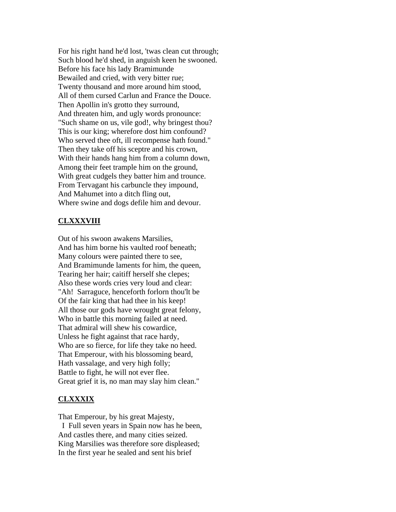For his right hand he'd lost, 'twas clean cut through; Such blood he'd shed, in anguish keen he swooned. Before his face his lady Bramimunde Bewailed and cried, with very bitter rue; Twenty thousand and more around him stood, All of them cursed Carlun and France the Douce. Then Apollin in's grotto they surround, And threaten him, and ugly words pronounce: "Such shame on us, vile god!, why bringest thou? This is our king; wherefore dost him confound? Who served thee oft, ill recompense hath found." Then they take off his sceptre and his crown, With their hands hang him from a column down, Among their feet trample him on the ground, With great cudgels they batter him and trounce. From Tervagant his carbuncle they impound, And Mahumet into a ditch fling out, Where swine and dogs defile him and devour.

### **CLXXXVIII**

Out of his swoon awakens Marsilies, And has him borne his vaulted roof beneath; Many colours were painted there to see, And Bramimunde laments for him, the queen, Tearing her hair; caitiff herself she clepes; Also these words cries very loud and clear: "Ah! Sarraguce, henceforth forlorn thou'lt be Of the fair king that had thee in his keep! All those our gods have wrought great felony, Who in battle this morning failed at need. That admiral will shew his cowardice, Unless he fight against that race hardy, Who are so fierce, for life they take no heed. That Emperour, with his blossoming beard, Hath vassalage, and very high folly; Battle to fight, he will not ever flee. Great grief it is, no man may slay him clean."

# **CLXXXIX**

That Emperour, by his great Majesty, I Full seven years in Spain now has he been, And castles there, and many cities seized. King Marsilies was therefore sore displeased; In the first year he sealed and sent his brief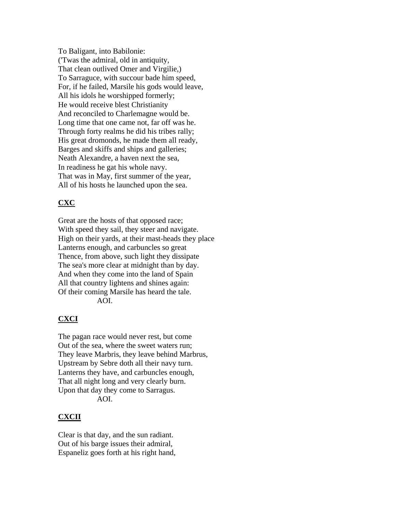To Baligant, into Babilonie: ('Twas the admiral, old in antiquity, That clean outlived Omer and Virgilie,) To Sarraguce, with succour bade him speed, For, if he failed, Marsile his gods would leave, All his idols he worshipped formerly; He would receive blest Christianity And reconciled to Charlemagne would be. Long time that one came not, far off was he. Through forty realms he did his tribes rally; His great dromonds, he made them all ready, Barges and skiffs and ships and galleries; Neath Alexandre, a haven next the sea, In readiness he gat his whole navy. That was in May, first summer of the year, All of his hosts he launched upon the sea.

# **CXC**

Great are the hosts of that opposed race; With speed they sail, they steer and navigate. High on their yards, at their mast-heads they place Lanterns enough, and carbuncles so great Thence, from above, such light they dissipate The sea's more clear at midnight than by day. And when they come into the land of Spain All that country lightens and shines again: Of their coming Marsile has heard the tale. AOI.

# **CXCI**

The pagan race would never rest, but come Out of the sea, where the sweet waters run; They leave Marbris, they leave behind Marbrus, Upstream by Sebre doth all their navy turn. Lanterns they have, and carbuncles enough, That all night long and very clearly burn. Upon that day they come to Sarragus. AOI.

### **CXCII**

Clear is that day, and the sun radiant. Out of his barge issues their admiral, Espaneliz goes forth at his right hand,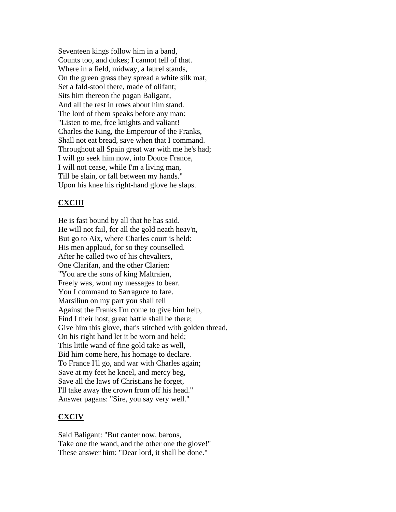Seventeen kings follow him in a band, Counts too, and dukes; I cannot tell of that. Where in a field, midway, a laurel stands, On the green grass they spread a white silk mat, Set a fald-stool there, made of olifant; Sits him thereon the pagan Baligant, And all the rest in rows about him stand. The lord of them speaks before any man: "Listen to me, free knights and valiant! Charles the King, the Emperour of the Franks, Shall not eat bread, save when that I command. Throughout all Spain great war with me he's had; I will go seek him now, into Douce France, I will not cease, while I'm a living man, Till be slain, or fall between my hands." Upon his knee his right-hand glove he slaps.

## **CXCIII**

He is fast bound by all that he has said. He will not fail, for all the gold neath heav'n, But go to Aix, where Charles court is held: His men applaud, for so they counselled. After he called two of his chevaliers, One Clarifan, and the other Clarien: "You are the sons of king Maltraien, Freely was, wont my messages to bear. You I command to Sarraguce to fare. Marsiliun on my part you shall tell Against the Franks I'm come to give him help, Find I their host, great battle shall be there; Give him this glove, that's stitched with golden thread, On his right hand let it be worn and held; This little wand of fine gold take as well, Bid him come here, his homage to declare. To France I'll go, and war with Charles again; Save at my feet he kneel, and mercy beg, Save all the laws of Christians he forget, I'll take away the crown from off his head." Answer pagans: "Sire, you say very well."

### **CXCIV**

Said Baligant: "But canter now, barons, Take one the wand, and the other one the glove!" These answer him: "Dear lord, it shall be done."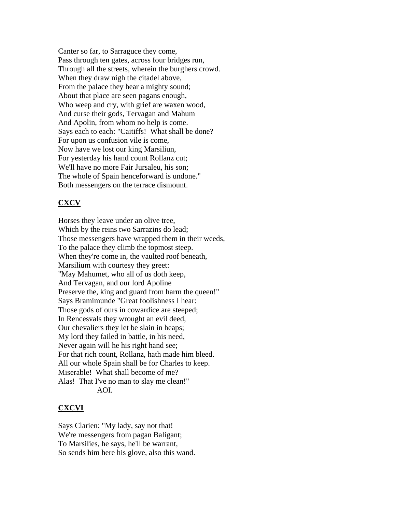Canter so far, to Sarraguce they come, Pass through ten gates, across four bridges run, Through all the streets, wherein the burghers crowd. When they draw nigh the citadel above, From the palace they hear a mighty sound; About that place are seen pagans enough, Who weep and cry, with grief are waxen wood, And curse their gods, Tervagan and Mahum And Apolin, from whom no help is come. Says each to each: "Caitiffs! What shall be done? For upon us confusion vile is come, Now have we lost our king Marsiliun, For yesterday his hand count Rollanz cut; We'll have no more Fair Jursaleu, his son; The whole of Spain henceforward is undone." Both messengers on the terrace dismount.

# **CXCV**

Horses they leave under an olive tree, Which by the reins two Sarrazins do lead; Those messengers have wrapped them in their weeds, To the palace they climb the topmost steep. When they're come in, the vaulted roof beneath, Marsilium with courtesy they greet: "May Mahumet, who all of us doth keep, And Tervagan, and our lord Apoline Preserve the, king and guard from harm the queen!" Says Bramimunde "Great foolishness I hear: Those gods of ours in cowardice are steeped; In Rencesvals they wrought an evil deed, Our chevaliers they let be slain in heaps; My lord they failed in battle, in his need, Never again will he his right hand see; For that rich count, Rollanz, hath made him bleed. All our whole Spain shall be for Charles to keep. Miserable! What shall become of me? Alas! That I've no man to slay me clean!" AOI.

### **CXCVI**

Says Clarien: "My lady, say not that! We're messengers from pagan Baligant; To Marsilies, he says, he'll be warrant, So sends him here his glove, also this wand.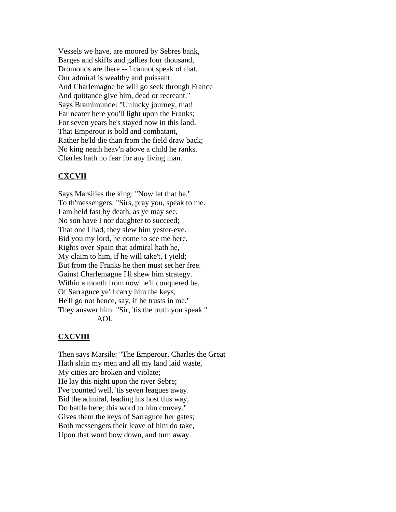Vessels we have, are moored by Sebres bank, Barges and skiffs and gallies four thousand, Dromonds are there -- I cannot speak of that. Our admiral is wealthy and puissant. And Charlemagne he will go seek through France And quittance give him, dead or recreant." Says Bramimunde: "Unlucky journey, that! Far nearer here you'll light upon the Franks; For seven years he's stayed now in this land. That Emperour is bold and combatant, Rather he'ld die than from the field draw back; No king neath heav'n above a child he ranks. Charles hath no fear for any living man.

## **CXCVII**

Says Marsilies the king: "Now let that be." To th'messengers: "Sirs, pray you, speak to me. I am held fast by death, as ye may see. No son have I nor daughter to succeed; That one I had, they slew him yester-eve. Bid you my lord, he come to see me here. Rights over Spain that admiral hath he, My claim to him, if he will take't, I yield; But from the Franks he then must set her free. Gainst Charlemagne I'll shew him strategy. Within a month from now he'll conquered be. Of Sarraguce ye'll carry him the keys, He'll go not hence, say, if he trusts in me." They answer him: "Sir, 'tis the truth you speak." AOI.

### **CXCVIII**

Then says Marsile: "The Emperour, Charles the Great Hath slain my men and all my land laid waste, My cities are broken and violate; He lay this night upon the river Sebre; I've counted well, 'tis seven leagues away. Bid the admiral, leading his host this way, Do battle here; this word to him convey." Gives them the keys of Sarraguce her gates; Both messengers their leave of him do take, Upon that word bow down, and turn away.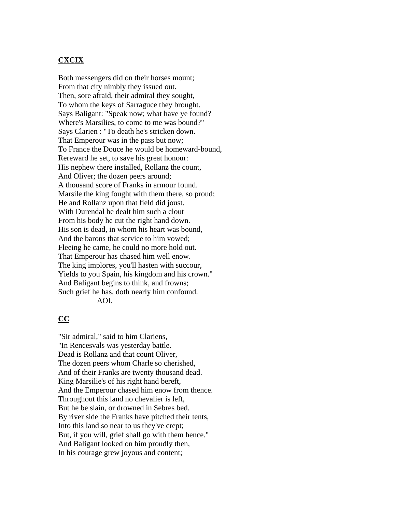# **CXCIX**

Both messengers did on their horses mount; From that city nimbly they issued out. Then, sore afraid, their admiral they sought, To whom the keys of Sarraguce they brought. Says Baligant: "Speak now; what have ye found? Where's Marsilies, to come to me was bound?" Says Clarien : "To death he's stricken down. That Emperour was in the pass but now; To France the Douce he would be homeward-bound, Rereward he set, to save his great honour: His nephew there installed, Rollanz the count, And Oliver; the dozen peers around; A thousand score of Franks in armour found. Marsile the king fought with them there, so proud; He and Rollanz upon that field did joust. With Durendal he dealt him such a clout From his body he cut the right hand down. His son is dead, in whom his heart was bound, And the barons that service to him vowed; Fleeing he came, he could no more hold out. That Emperour has chased him well enow. The king implores, you'll hasten with succour, Yields to you Spain, his kingdom and his crown." And Baligant begins to think, and frowns; Such grief he has, doth nearly him confound. AOI.

### **CC**

"Sir admiral," said to him Clariens, "In Rencesvals was yesterday battle. Dead is Rollanz and that count Oliver, The dozen peers whom Charle so cherished, And of their Franks are twenty thousand dead. King Marsilie's of his right hand bereft, And the Emperour chased him enow from thence. Throughout this land no chevalier is left, But he be slain, or drowned in Sebres bed. By river side the Franks have pitched their tents, Into this land so near to us they've crept; But, if you will, grief shall go with them hence." And Baligant looked on him proudly then, In his courage grew joyous and content;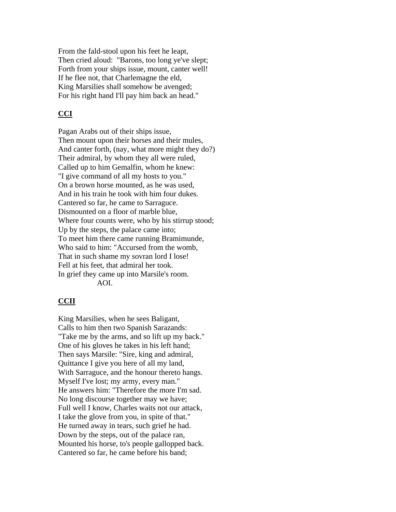From the fald-stool upon his feet he leapt, Then cried aloud: "Barons, too long ye've slept; Forth from your ships issue, mount, canter well! If he flee not, that Charlemagne the eld, King Marsilies shall somehow be avenged; For his right hand I'll pay him back an head."

## **CCI**

Pagan Arabs out of their ships issue, Then mount upon their horses and their mules, And canter forth, (nay, what more might they do?) Their admiral, by whom they all were ruled, Called up to him Gemalfin, whom he knew: "I give command of all my hosts to you." On a brown horse mounted, as he was used, And in his train he took with him four dukes. Cantered so far, he came to Sarraguce. Dismounted on a floor of marble blue, Where four counts were, who by his stirrup stood; Up by the steps, the palace came into; To meet him there came running Bramimunde, Who said to him: "Accursed from the womb, That in such shame my sovran lord I lose! Fell at his feet, that admiral her took. In grief they came up into Marsile's room. AOI.

### **CCII**

King Marsilies, when he sees Baligant, Calls to him then two Spanish Sarazands: "Take me by the arms, and so lift up my back." One of his gloves he takes in his left hand; Then says Marsile: "Sire, king and admiral, Quittance I give you here of all my land, With Sarraguce, and the honour thereto hangs. Myself I've lost; my army, every man." He answers him: "Therefore the more I'm sad. No long discourse together may we have; Full well I know, Charles waits not our attack, I take the glove from you, in spite of that." He turned away in tears, such grief he had. Down by the steps, out of the palace ran, Mounted his horse, to's people gallopped back. Cantered so far, he came before his band;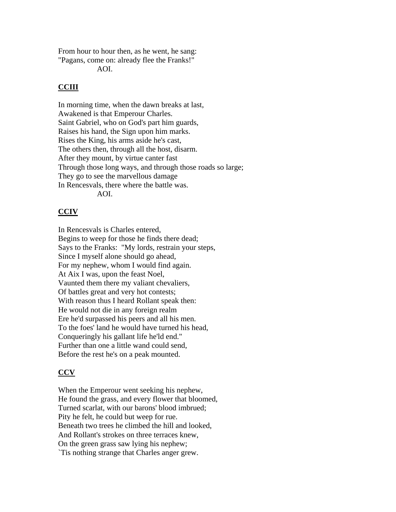From hour to hour then, as he went, he sang: "Pagans, come on: already flee the Franks!"

AOI.

# **CCIII**

In morning time, when the dawn breaks at last, Awakened is that Emperour Charles. Saint Gabriel, who on God's part him guards, Raises his hand, the Sign upon him marks. Rises the King, his arms aside he's cast, The others then, through all the host, disarm. After they mount, by virtue canter fast Through those long ways, and through those roads so large; They go to see the marvellous damage In Rencesvals, there where the battle was. AOI.

# **CCIV**

In Rencesvals is Charles entered, Begins to weep for those he finds there dead; Says to the Franks: "My lords, restrain your steps, Since I myself alone should go ahead, For my nephew, whom I would find again. At Aix I was, upon the feast Noel, Vaunted them there my valiant chevaliers, Of battles great and very hot contests; With reason thus I heard Rollant speak then: He would not die in any foreign realm Ere he'd surpassed his peers and all his men. To the foes' land he would have turned his head, Conqueringly his gallant life he'ld end." Further than one a little wand could send, Before the rest he's on a peak mounted.

# **CCV**

When the Emperour went seeking his nephew, He found the grass, and every flower that bloomed, Turned scarlat, with our barons' blood imbrued; Pity he felt, he could but weep for rue. Beneath two trees he climbed the hill and looked, And Rollant's strokes on three terraces knew, On the green grass saw lying his nephew; `Tis nothing strange that Charles anger grew.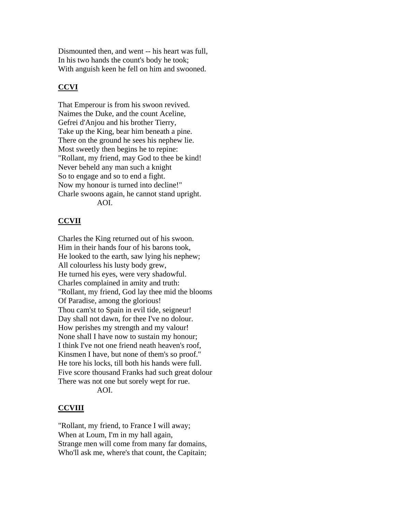Dismounted then, and went -- his heart was full, In his two hands the count's body he took; With anguish keen he fell on him and swooned.

# **CCVI**

That Emperour is from his swoon revived. Naimes the Duke, and the count Aceline, Gefrei d'Anjou and his brother Tierry, Take up the King, bear him beneath a pine. There on the ground he sees his nephew lie. Most sweetly then begins he to repine: "Rollant, my friend, may God to thee be kind! Never beheld any man such a knight So to engage and so to end a fight. Now my honour is turned into decline!" Charle swoons again, he cannot stand upright. AOI.

# **CCVII**

Charles the King returned out of his swoon. Him in their hands four of his barons took, He looked to the earth, saw lying his nephew; All colourless his lusty body grew, He turned his eyes, were very shadowful. Charles complained in amity and truth: "Rollant, my friend, God lay thee mid the blooms Of Paradise, among the glorious! Thou cam'st to Spain in evil tide, seigneur! Day shall not dawn, for thee I've no dolour. How perishes my strength and my valour! None shall I have now to sustain my honour; I think I've not one friend neath heaven's roof, Kinsmen I have, but none of them's so proof." He tore his locks, till both his hands were full. Five score thousand Franks had such great dolour There was not one but sorely wept for rue. AOI.

# **CCVIII**

"Rollant, my friend, to France I will away; When at Loum, I'm in my hall again, Strange men will come from many far domains, Who'll ask me, where's that count, the Capitain;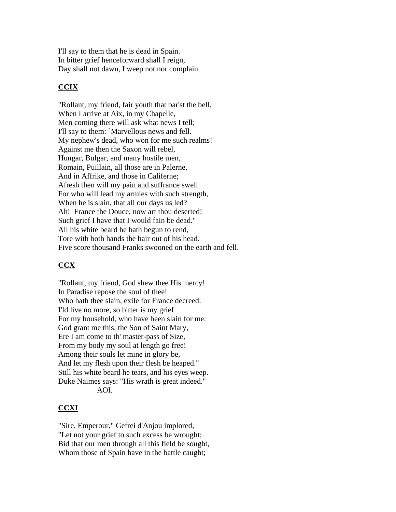I'll say to them that he is dead in Spain. In bitter grief henceforward shall I reign, Day shall not dawn, I weep not nor complain.

# **CCIX**

"Rollant, my friend, fair youth that bar'st the bell, When I arrive at Aix, in my Chapelle, Men coming there will ask what news I tell; I'll say to them: `Marvellous news and fell. My nephew's dead, who won for me such realms!' Against me then the Saxon will rebel, Hungar, Bulgar, and many hostile men, Romain, Puillain, all those are in Palerne, And in Affrike, and those in Califerne; Afresh then will my pain and suffrance swell. For who will lead my armies with such strength, When he is slain, that all our days us led? Ah! France the Douce, now art thou deserted! Such grief I have that I would fain be dead." All his white beard he hath begun to rend, Tore with both hands the hair out of his head. Five score thousand Franks swooned on the earth and fell.

# **CCX**

"Rollant, my friend, God shew thee His mercy! In Paradise repose the soul of thee! Who hath thee slain, exile for France decreed. I'ld live no more, so bitter is my grief For my household, who have been slain for me. God grant me this, the Son of Saint Mary, Ere I am come to th' master-pass of Size, From my body my soul at length go free! Among their souls let mine in glory be, And let my flesh upon their flesh be heaped." Still his white beard he tears, and his eyes weep. Duke Naimes says: "His wrath is great indeed." AOI.

### **CCXI**

"Sire, Emperour," Gefrei d'Anjou implored, "Let not your grief to such excess be wrought; Bid that our men through all this field be sought, Whom those of Spain have in the battle caught;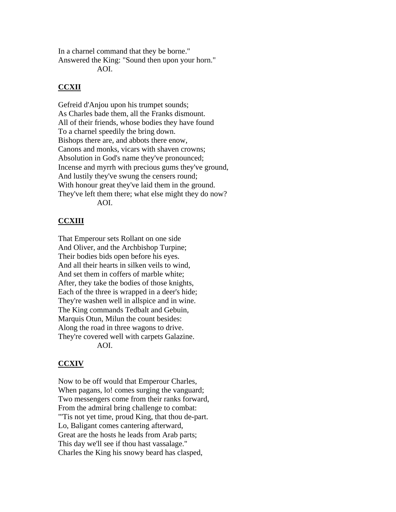In a charnel command that they be borne." Answered the King: "Sound then upon your horn."

AOI.

# **CCXII**

Gefreid d'Anjou upon his trumpet sounds; As Charles bade them, all the Franks dismount. All of their friends, whose bodies they have found To a charnel speedily the bring down. Bishops there are, and abbots there enow, Canons and monks, vicars with shaven crowns; Absolution in God's name they've pronounced; Incense and myrrh with precious gums they've ground, And lustily they've swung the censers round; With honour great they've laid them in the ground. They've left them there; what else might they do now? AOI.

# **CCXIII**

That Emperour sets Rollant on one side And Oliver, and the Archbishop Turpine; Their bodies bids open before his eyes. And all their hearts in silken veils to wind, And set them in coffers of marble white; After, they take the bodies of those knights, Each of the three is wrapped in a deer's hide; They're washen well in allspice and in wine. The King commands Tedbalt and Gebuin, Marquis Otun, Milun the count besides: Along the road in three wagons to drive. They're covered well with carpets Galazine. AOI.

# **CCXIV**

Now to be off would that Emperour Charles, When pagans, lo! comes surging the vanguard; Two messengers come from their ranks forward, From the admiral bring challenge to combat: "'Tis not yet time, proud King, that thou de-part. Lo, Baligant comes cantering afterward, Great are the hosts he leads from Arab parts; This day we'll see if thou hast vassalage." Charles the King his snowy beard has clasped,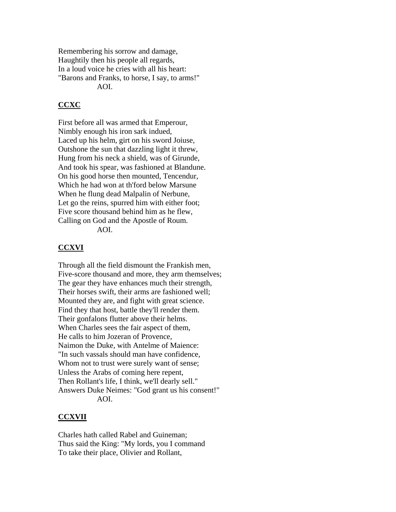Remembering his sorrow and damage, Haughtily then his people all regards, In a loud voice he cries with all his heart: "Barons and Franks, to horse, I say, to arms!" AOI.

## **CCXC**

First before all was armed that Emperour, Nimbly enough his iron sark indued, Laced up his helm, girt on his sword Joiuse, Outshone the sun that dazzling light it threw, Hung from his neck a shield, was of Girunde, And took his spear, was fashioned at Blandune. On his good horse then mounted, Tencendur, Which he had won at th'ford below Marsune When he flung dead Malpalin of Nerbune, Let go the reins, spurred him with either foot; Five score thousand behind him as he flew, Calling on God and the Apostle of Roum. AOI.

# **CCXVI**

Through all the field dismount the Frankish men, Five-score thousand and more, they arm themselves; The gear they have enhances much their strength, Their horses swift, their arms are fashioned well; Mounted they are, and fight with great science. Find they that host, battle they'll render them. Their gonfalons flutter above their helms. When Charles sees the fair aspect of them, He calls to him Jozeran of Provence, Naimon the Duke, with Antelme of Maience: "In such vassals should man have confidence, Whom not to trust were surely want of sense; Unless the Arabs of coming here repent, Then Rollant's life, I think, we'll dearly sell." Answers Duke Neimes: "God grant us his consent!" AOI.

### **CCXVII**

Charles hath called Rabel and Guineman; Thus said the King: "My lords, you I command To take their place, Olivier and Rollant,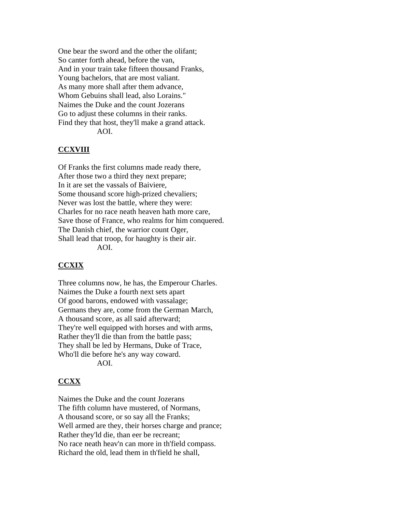One bear the sword and the other the olifant; So canter forth ahead, before the van, And in your train take fifteen thousand Franks, Young bachelors, that are most valiant. As many more shall after them advance, Whom Gebuins shall lead, also Lorains." Naimes the Duke and the count Jozerans Go to adjust these columns in their ranks. Find they that host, they'll make a grand attack. AOI.

# **CCXVIII**

Of Franks the first columns made ready there, After those two a third they next prepare; In it are set the vassals of Baiviere, Some thousand score high-prized chevaliers; Never was lost the battle, where they were: Charles for no race neath heaven hath more care, Save those of France, who realms for him conquered. The Danish chief, the warrior count Oger, Shall lead that troop, for haughty is their air. AOI.

### **CCXIX**

Three columns now, he has, the Emperour Charles. Naimes the Duke a fourth next sets apart Of good barons, endowed with vassalage; Germans they are, come from the German March, A thousand score, as all said afterward; They're well equipped with horses and with arms, Rather they'll die than from the battle pass; They shall be led by Hermans, Duke of Trace, Who'll die before he's any way coward. AOI.

### **CCXX**

Naimes the Duke and the count Jozerans The fifth column have mustered, of Normans, A thousand score, or so say all the Franks; Well armed are they, their horses charge and prance; Rather they'ld die, than eer be recreant; No race neath heav'n can more in th'field compass. Richard the old, lead them in th'field he shall,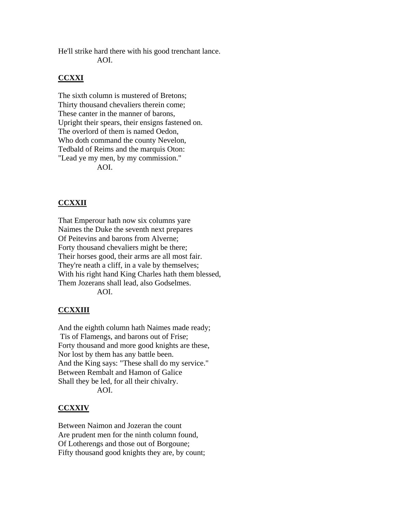He'll strike hard there with his good trenchant lance. AOI.

## **CCXXI**

The sixth column is mustered of Bretons; Thirty thousand chevaliers therein come; These canter in the manner of barons, Upright their spears, their ensigns fastened on. The overlord of them is named Oedon, Who doth command the county Nevelon, Tedbald of Reims and the marquis Oton: "Lead ye my men, by my commission." AOI.

# **CCXXII**

That Emperour hath now six columns yare Naimes the Duke the seventh next prepares Of Peitevins and barons from Alverne; Forty thousand chevaliers might be there; Their horses good, their arms are all most fair. They're neath a cliff, in a vale by themselves; With his right hand King Charles hath them blessed, Them Jozerans shall lead, also Godselmes.

AOI.

### **CCXXIII**

And the eighth column hath Naimes made ready; Tis of Flamengs, and barons out of Frise; Forty thousand and more good knights are these, Nor lost by them has any battle been. And the King says: "These shall do my service." Between Rembalt and Hamon of Galice Shall they be led, for all their chivalry. AOI.

#### **CCXXIV**

Between Naimon and Jozeran the count Are prudent men for the ninth column found, Of Lotherengs and those out of Borgoune; Fifty thousand good knights they are, by count;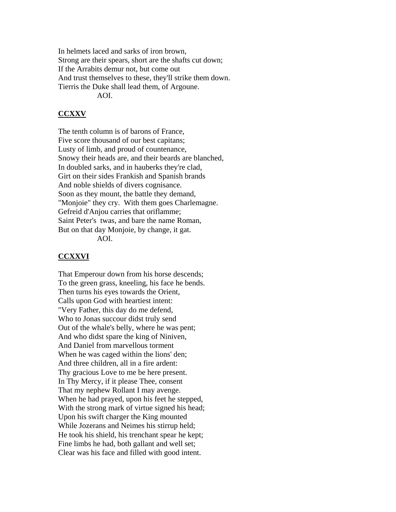In helmets laced and sarks of iron brown, Strong are their spears, short are the shafts cut down; If the Arrabits demur not, but come out And trust themselves to these, they'll strike them down. Tierris the Duke shall lead them, of Argoune. AOI.

### **CCXXV**

The tenth column is of barons of France, Five score thousand of our best capitans; Lusty of limb, and proud of countenance, Snowy their heads are, and their beards are blanched, In doubled sarks, and in hauberks they're clad, Girt on their sides Frankish and Spanish brands And noble shields of divers cognisance. Soon as they mount, the battle they demand, "Monjoie" they cry. With them goes Charlemagne. Gefreid d'Anjou carries that oriflamme; Saint Peter's twas, and bare the name Roman, But on that day Monjoie, by change, it gat. AOI.

#### **CCXXVI**

That Emperour down from his horse descends; To the green grass, kneeling, his face he bends. Then turns his eyes towards the Orient, Calls upon God with heartiest intent: "Very Father, this day do me defend, Who to Jonas succour didst truly send Out of the whale's belly, where he was pent; And who didst spare the king of Niniven, And Daniel from marvellous torment When he was caged within the lions' den; And three children, all in a fire ardent: Thy gracious Love to me be here present. In Thy Mercy, if it please Thee, consent That my nephew Rollant I may avenge. When he had prayed, upon his feet he stepped, With the strong mark of virtue signed his head; Upon his swift charger the King mounted While Jozerans and Neimes his stirrup held; He took his shield, his trenchant spear he kept; Fine limbs he had, both gallant and well set; Clear was his face and filled with good intent.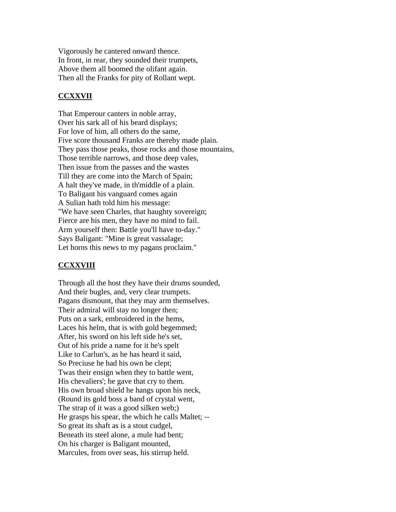Vigorously he cantered onward thence. In front, in rear, they sounded their trumpets, Above them all boomed the olifant again. Then all the Franks for pity of Rollant wept.

# **CCXXVII**

That Emperour canters in noble array, Over his sark all of his beard displays; For love of him, all others do the same, Five score thousand Franks are thereby made plain. They pass those peaks, those rocks and those mountains, Those terrible narrows, and those deep vales, Then issue from the passes and the wastes Till they are come into the March of Spain; A halt they've made, in th'middle of a plain. To Baligant his vanguard comes again A Sulian hath told him his message: "We have seen Charles, that haughty sovereign; Fierce are his men, they have no mind to fail. Arm yourself then: Battle you'll have to-day." Says Baligant: "Mine is great vassalage; Let horns this news to my pagans proclaim."

# **CCXXVIII**

Through all the host they have their drums sounded, And their bugles, and, very clear trumpets. Pagans dismount, that they may arm themselves. Their admiral will stay no longer then; Puts on a sark, embroidered in the hems, Laces his helm, that is with gold begemmed; After, his sword on his left side he's set, Out of his pride a name for it he's spelt Like to Carlun's, as he has heard it said, So Preciuse he bad his own be clept; Twas their ensign when they to battle went, His chevaliers'; he gave that cry to them. His own broad shield he hangs upon his neck, (Round its gold boss a band of crystal went, The strap of it was a good silken web;) He grasps his spear, the which he calls Maltet; -- So great its shaft as is a stout cudgel, Beneath its steel alone, a mule had bent; On his charger is Baligant mounted, Marcules, from over seas, his stirrup held.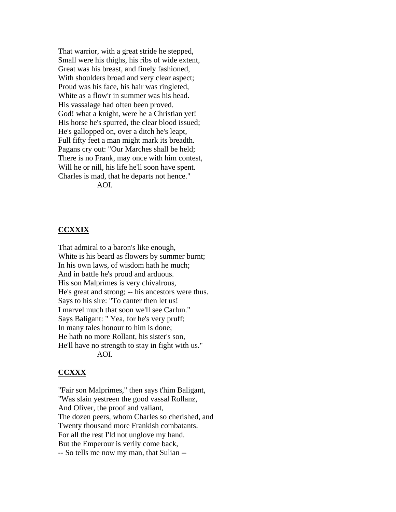That warrior, with a great stride he stepped, Small were his thighs, his ribs of wide extent, Great was his breast, and finely fashioned, With shoulders broad and very clear aspect; Proud was his face, his hair was ringleted, White as a flow'r in summer was his head. His vassalage had often been proved. God! what a knight, were he a Christian yet! His horse he's spurred, the clear blood issued; He's gallopped on, over a ditch he's leapt, Full fifty feet a man might mark its breadth. Pagans cry out: "Our Marches shall be held; There is no Frank, may once with him contest, Will he or nill, his life he'll soon have spent. Charles is mad, that he departs not hence." AOI.

#### **CCXXIX**

That admiral to a baron's like enough, White is his beard as flowers by summer burnt; In his own laws, of wisdom hath he much; And in battle he's proud and arduous. His son Malprimes is very chivalrous, He's great and strong; -- his ancestors were thus. Says to his sire: "To canter then let us! I marvel much that soon we'll see Carlun." Says Baligant: " Yea, for he's very pruff; In many tales honour to him is done; He hath no more Rollant, his sister's son, He'll have no strength to stay in fight with us." AOI.

#### **CCXXX**

"Fair son Malprimes," then says t'him Baligant, "Was slain yestreen the good vassal Rollanz, And Oliver, the proof and valiant, The dozen peers, whom Charles so cherished, and Twenty thousand more Frankish combatants. For all the rest I'ld not unglove my hand. But the Emperour is verily come back, -- So tells me now my man, that Sulian --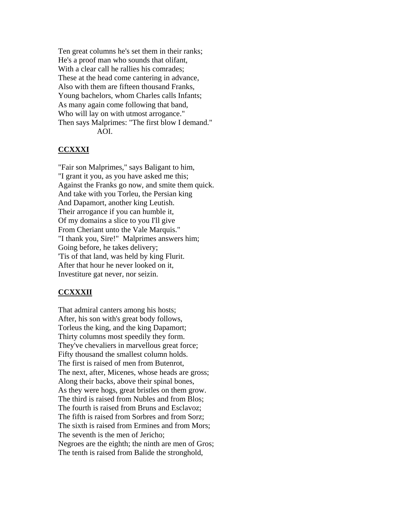Ten great columns he's set them in their ranks; He's a proof man who sounds that olifant, With a clear call he rallies his comrades; These at the head come cantering in advance, Also with them are fifteen thousand Franks, Young bachelors, whom Charles calls Infants; As many again come following that band, Who will lay on with utmost arrogance." Then says Malprimes: "The first blow I demand." AOI.

## **CCXXXI**

"Fair son Malprimes," says Baligant to him, "I grant it you, as you have asked me this; Against the Franks go now, and smite them quick. And take with you Torleu, the Persian king And Dapamort, another king Leutish. Their arrogance if you can humble it, Of my domains a slice to you I'll give From Cheriant unto the Vale Marquis." "I thank you, Sire!" Malprimes answers him; Going before, he takes delivery; 'Tis of that land, was held by king Flurit. After that hour he never looked on it, Investiture gat never, nor seizin.

### **CCXXXII**

That admiral canters among his hosts; After, his son with's great body follows, Torleus the king, and the king Dapamort; Thirty columns most speedily they form. They've chevaliers in marvellous great force; Fifty thousand the smallest column holds. The first is raised of men from Butenrot, The next, after, Micenes, whose heads are gross; Along their backs, above their spinal bones, As they were hogs, great bristles on them grow. The third is raised from Nubles and from Blos; The fourth is raised from Bruns and Esclavoz; The fifth is raised from Sorbres and from Sorz; The sixth is raised from Ermines and from Mors; The seventh is the men of Jericho; Negroes are the eighth; the ninth are men of Gros; The tenth is raised from Balide the stronghold,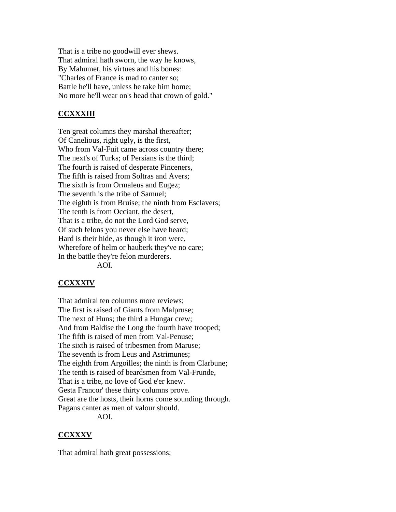That is a tribe no goodwill ever shews. That admiral hath sworn, the way he knows, By Mahumet, his virtues and his bones: "Charles of France is mad to canter so; Battle he'll have, unless he take him home; No more he'll wear on's head that crown of gold."

# **CCXXXIII**

Ten great columns they marshal thereafter; Of Canelious, right ugly, is the first, Who from Val-Fuit came across country there; The next's of Turks; of Persians is the third; The fourth is raised of desperate Pinceners, The fifth is raised from Soltras and Avers; The sixth is from Ormaleus and Eugez; The seventh is the tribe of Samuel; The eighth is from Bruise; the ninth from Esclavers; The tenth is from Occiant, the desert, That is a tribe, do not the Lord God serve, Of such felons you never else have heard; Hard is their hide, as though it iron were, Wherefore of helm or hauberk they've no care; In the battle they're felon murderers. AOI.

# **CCXXXIV**

That admiral ten columns more reviews; The first is raised of Giants from Malpruse; The next of Huns; the third a Hungar crew; And from Baldise the Long the fourth have trooped; The fifth is raised of men from Val-Penuse; The sixth is raised of tribesmen from Maruse; The seventh is from Leus and Astrimunes; The eighth from Argoilles; the ninth is from Clarbune; The tenth is raised of beardsmen from Val-Frunde, That is a tribe, no love of God e'er knew. Gesta Francor' these thirty columns prove. Great are the hosts, their horns come sounding through. Pagans canter as men of valour should. AOI.

**CCXXXV**

That admiral hath great possessions;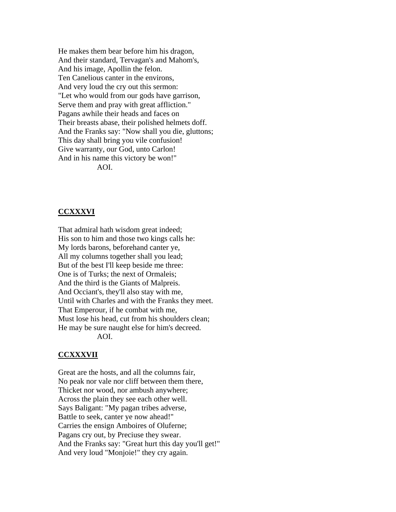He makes them bear before him his dragon, And their standard, Tervagan's and Mahom's, And his image, Apollin the felon. Ten Canelious canter in the environs, And very loud the cry out this sermon: "Let who would from our gods have garrison, Serve them and pray with great affliction." Pagans awhile their heads and faces on Their breasts abase, their polished helmets doff. And the Franks say: "Now shall you die, gluttons; This day shall bring you vile confusion! Give warranty, our God, unto Carlon! And in his name this victory be won!" AOI.

### **CCXXXVI**

That admiral hath wisdom great indeed; His son to him and those two kings calls he: My lords barons, beforehand canter ye, All my columns together shall you lead; But of the best I'll keep beside me three: One is of Turks; the next of Ormaleis; And the third is the Giants of Malpreis. And Occiant's, they'll also stay with me, Until with Charles and with the Franks they meet. That Emperour, if he combat with me, Must lose his head, cut from his shoulders clean; He may be sure naught else for him's decreed. AOI.

#### **CCXXXVII**

Great are the hosts, and all the columns fair, No peak nor vale nor cliff between them there, Thicket nor wood, nor ambush anywhere; Across the plain they see each other well. Says Baligant: "My pagan tribes adverse, Battle to seek, canter ye now ahead!" Carries the ensign Amboires of Oluferne; Pagans cry out, by Preciuse they swear. And the Franks say: "Great hurt this day you'll get!" And very loud "Monjoie!" they cry again.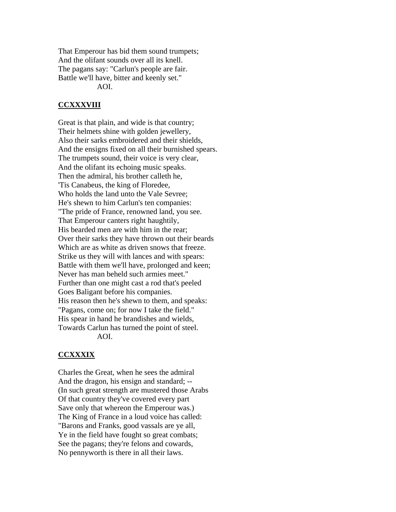That Emperour has bid them sound trumpets; And the olifant sounds over all its knell. The pagans say: "Carlun's people are fair. Battle we'll have, bitter and keenly set." AOI.

## **CCXXXVIII**

Great is that plain, and wide is that country; Their helmets shine with golden jewellery, Also their sarks embroidered and their shields, And the ensigns fixed on all their burnished spears. The trumpets sound, their voice is very clear, And the olifant its echoing music speaks. Then the admiral, his brother calleth he, 'Tis Canabeus, the king of Floredee, Who holds the land unto the Vale Sevree; He's shewn to him Carlun's ten companies: "The pride of France, renowned land, you see. That Emperour canters right haughtily, His bearded men are with him in the rear; Over their sarks they have thrown out their beards Which are as white as driven snows that freeze. Strike us they will with lances and with spears: Battle with them we'll have, prolonged and keen; Never has man beheld such armies meet." Further than one might cast a rod that's peeled Goes Baligant before his companies. His reason then he's shewn to them, and speaks: "Pagans, come on; for now I take the field." His spear in hand he brandishes and wields, Towards Carlun has turned the point of steel. AOI.

### **CCXXXIX**

Charles the Great, when he sees the admiral And the dragon, his ensign and standard; -- (In such great strength are mustered those Arabs Of that country they've covered every part Save only that whereon the Emperour was.) The King of France in a loud voice has called: "Barons and Franks, good vassals are ye all, Ye in the field have fought so great combats; See the pagans; they're felons and cowards, No pennyworth is there in all their laws.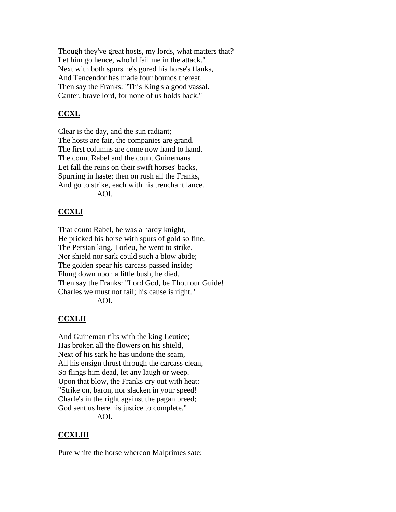Though they've great hosts, my lords, what matters that? Let him go hence, who'ld fail me in the attack." Next with both spurs he's gored his horse's flanks, And Tencendor has made four bounds thereat. Then say the Franks: "This King's a good vassal. Canter, brave lord, for none of us holds back."

## **CCXL**

Clear is the day, and the sun radiant; The hosts are fair, the companies are grand. The first columns are come now hand to hand. The count Rabel and the count Guinemans Let fall the reins on their swift horses' backs, Spurring in haste; then on rush all the Franks, And go to strike, each with his trenchant lance. AOI.

#### **CCXLI**

That count Rabel, he was a hardy knight, He pricked his horse with spurs of gold so fine, The Persian king, Torleu, he went to strike. Nor shield nor sark could such a blow abide; The golden spear his carcass passed inside; Flung down upon a little bush, he died. Then say the Franks: "Lord God, be Thou our Guide! Charles we must not fail; his cause is right." AOI.

# **CCXLII**

And Guineman tilts with the king Leutice; Has broken all the flowers on his shield, Next of his sark he has undone the seam, All his ensign thrust through the carcass clean, So flings him dead, let any laugh or weep. Upon that blow, the Franks cry out with heat: "Strike on, baron, nor slacken in your speed! Charle's in the right against the pagan breed; God sent us here his justice to complete." AOI.

#### **CCXLIII**

Pure white the horse whereon Malprimes sate;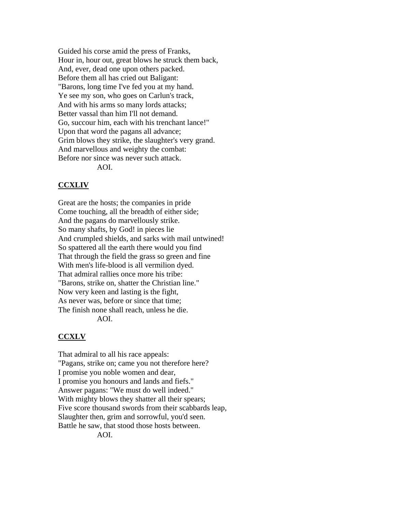Guided his corse amid the press of Franks, Hour in, hour out, great blows he struck them back, And, ever, dead one upon others packed. Before them all has cried out Baligant: "Barons, long time I've fed you at my hand. Ye see my son, who goes on Carlun's track, And with his arms so many lords attacks; Better vassal than him I'll not demand. Go, succour him, each with his trenchant lance!" Upon that word the pagans all advance; Grim blows they strike, the slaughter's very grand. And marvellous and weighty the combat: Before nor since was never such attack. AOI.

#### **CCXLIV**

Great are the hosts; the companies in pride Come touching, all the breadth of either side; And the pagans do marvellously strike. So many shafts, by God! in pieces lie And crumpled shields, and sarks with mail untwined! So spattered all the earth there would you find That through the field the grass so green and fine With men's life-blood is all vermilion dyed. That admiral rallies once more his tribe: "Barons, strike on, shatter the Christian line." Now very keen and lasting is the fight, As never was, before or since that time; The finish none shall reach, unless he die. AOI.

#### **CCXLV**

That admiral to all his race appeals: "Pagans, strike on; came you not therefore here? I promise you noble women and dear, I promise you honours and lands and fiefs." Answer pagans: "We must do well indeed." With mighty blows they shatter all their spears; Five score thousand swords from their scabbards leap, Slaughter then, grim and sorrowful, you'd seen. Battle he saw, that stood those hosts between. AOI.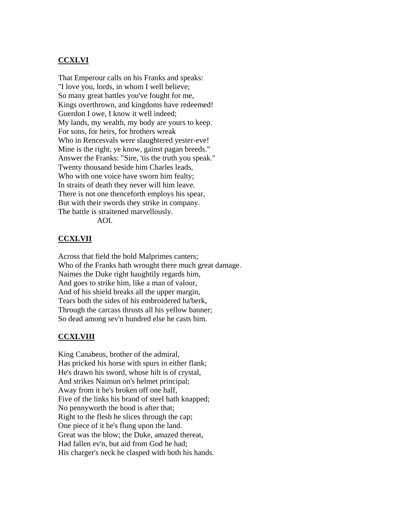### **CCXLVI**

That Emperour calls on his Franks and speaks: "I love you, lords, in whom I well believe; So many great battles you've fought for me, Kings overthrown, and kingdoms have redeemed! Guerdon I owe, I know it well indeed; My lands, my wealth, my body are yours to keep. For sons, for heirs, for brothers wreak Who in Rencesvals were slaughtered yester-eve! Mine is the right, ye know, gainst pagan breeds." Answer the Franks: "Sire, 'tis the truth you speak." Twenty thousand beside him Charles leads, Who with one voice have sworn him fealty; In straits of death they never will him leave. There is not one thenceforth employs his spear, But with their swords they strike in company. The battle is straitened marvellously. AOI.

#### **CCXLVII**

Across that field the bold Malprimes canters; Who of the Franks hath wrought there much great damage. Naimes the Duke right haughtily regards him, And goes to strike him, like a man of valour, And of his shield breaks all the upper margin, Tears both the sides of his embroidered ha'berk, Through the carcass thrusts all his yellow banner; So dead among sev'n hundred else he casts him.

#### **CCXLVIII**

King Canabeus, brother of the admiral, Has pricked his horse with spurs in either flank; He's drawn his sword, whose hilt is of crystal, And strikes Naimun on's helmet principal; Away from it he's broken off one half, Five of the links his brand of steel hath knapped; No pennyworth the hood is after that; Right to the flesh he slices through the cap; One piece of it he's flung upon the land. Great was the blow; the Duke, amazed thereat, Had fallen ev'n, but aid from God he had; His charger's neck he clasped with both his hands.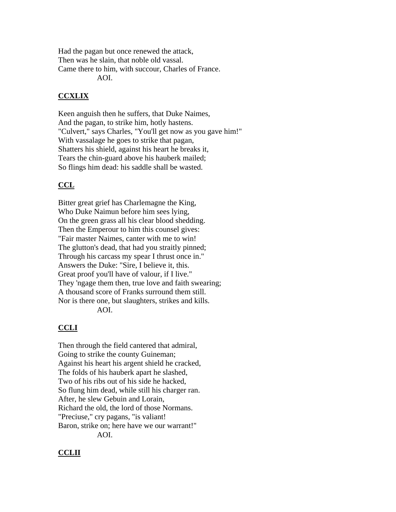Had the pagan but once renewed the attack, Then was he slain, that noble old vassal. Came there to him, with succour, Charles of France. AOI.

# **CCXLIX**

Keen anguish then he suffers, that Duke Naimes, And the pagan, to strike him, hotly hastens. "Culvert," says Charles, "You'll get now as you gave him!" With vassalage he goes to strike that pagan, Shatters his shield, against his heart he breaks it, Tears the chin-guard above his hauberk mailed; So flings him dead: his saddle shall be wasted.

# **CCL**

Bitter great grief has Charlemagne the King, Who Duke Naimun before him sees lying, On the green grass all his clear blood shedding. Then the Emperour to him this counsel gives: "Fair master Naimes, canter with me to win! The glutton's dead, that had you straitly pinned; Through his carcass my spear I thrust once in." Answers the Duke: "Sire, I believe it, this. Great proof you'll have of valour, if I live." They 'ngage them then, true love and faith swearing; A thousand score of Franks surround them still. Nor is there one, but slaughters, strikes and kills. AOI.

# **CCLI**

Then through the field cantered that admiral, Going to strike the county Guineman; Against his heart his argent shield he cracked, The folds of his hauberk apart he slashed, Two of his ribs out of his side he hacked, So flung him dead, while still his charger ran. After, he slew Gebuin and Lorain, Richard the old, the lord of those Normans. "Preciuse," cry pagans, "is valiant! Baron, strike on; here have we our warrant!" AOI.

# **CCLII**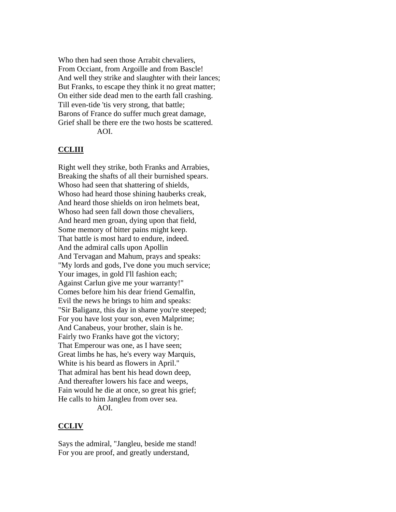Who then had seen those Arrabit chevaliers, From Occiant, from Argoille and from Bascle! And well they strike and slaughter with their lances; But Franks, to escape they think it no great matter; On either side dead men to the earth fall crashing. Till even-tide 'tis very strong, that battle; Barons of France do suffer much great damage, Grief shall be there ere the two hosts be scattered. AOI.

## **CCLIII**

Right well they strike, both Franks and Arrabies, Breaking the shafts of all their burnished spears. Whoso had seen that shattering of shields, Whoso had heard those shining hauberks creak, And heard those shields on iron helmets beat, Whoso had seen fall down those chevaliers, And heard men groan, dying upon that field, Some memory of bitter pains might keep. That battle is most hard to endure, indeed. And the admiral calls upon Apollin And Tervagan and Mahum, prays and speaks: "My lords and gods, I've done you much service; Your images, in gold I'll fashion each; Against Carlun give me your warranty!" Comes before him his dear friend Gemalfin, Evil the news he brings to him and speaks: "Sir Baliganz, this day in shame you're steeped; For you have lost your son, even Malprime; And Canabeus, your brother, slain is he. Fairly two Franks have got the victory; That Emperour was one, as I have seen; Great limbs he has, he's every way Marquis, White is his beard as flowers in April." That admiral has bent his head down deep, And thereafter lowers his face and weeps, Fain would he die at once, so great his grief; He calls to him Jangleu from over sea. AOI.

### **CCLIV**

Says the admiral, "Jangleu, beside me stand! For you are proof, and greatly understand,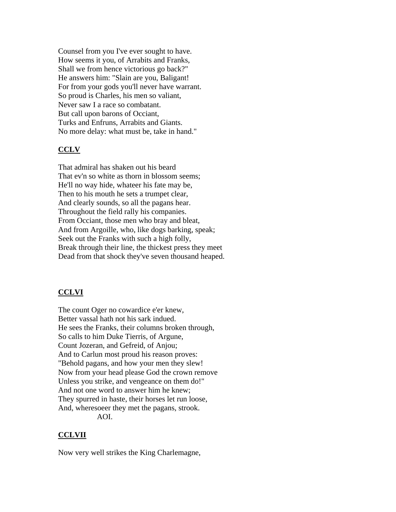Counsel from you I've ever sought to have. How seems it you, of Arrabits and Franks, Shall we from hence victorious go back?" He answers him: "Slain are you, Baligant! For from your gods you'll never have warrant. So proud is Charles, his men so valiant, Never saw I a race so combatant. But call upon barons of Occiant, Turks and Enfruns, Arrabits and Giants. No more delay: what must be, take in hand."

# **CCLV**

That admiral has shaken out his beard That ev'n so white as thorn in blossom seems; He'll no way hide, whateer his fate may be, Then to his mouth he sets a trumpet clear, And clearly sounds, so all the pagans hear. Throughout the field rally his companies. From Occiant, those men who bray and bleat, And from Argoille, who, like dogs barking, speak; Seek out the Franks with such a high folly, Break through their line, the thickest press they meet Dead from that shock they've seven thousand heaped.

# **CCLVI**

The count Oger no cowardice e'er knew, Better vassal hath not his sark indued. He sees the Franks, their columns broken through, So calls to him Duke Tierris, of Argune, Count Jozeran, and Gefreid, of Anjou; And to Carlun most proud his reason proves: "Behold pagans, and how your men they slew! Now from your head please God the crown remove Unless you strike, and vengeance on them do!" And not one word to answer him he knew; They spurred in haste, their horses let run loose, And, wheresoeer they met the pagans, strook. AOI.

### **CCLVII**

Now very well strikes the King Charlemagne,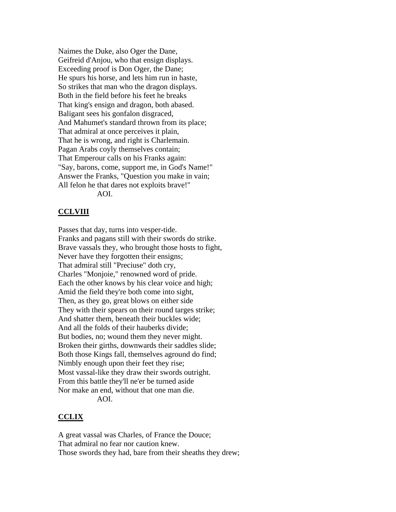Naimes the Duke, also Oger the Dane, Geifreid d'Anjou, who that ensign displays. Exceeding proof is Don Oger, the Dane; He spurs his horse, and lets him run in haste, So strikes that man who the dragon displays. Both in the field before his feet he breaks That king's ensign and dragon, both abased. Baligant sees his gonfalon disgraced, And Mahumet's standard thrown from its place; That admiral at once perceives it plain, That he is wrong, and right is Charlemain. Pagan Arabs coyly themselves contain; That Emperour calls on his Franks again: "Say, barons, come, support me, in God's Name!" Answer the Franks, "Question you make in vain; All felon he that dares not exploits brave!" AOI.

#### **CCLVIII**

Passes that day, turns into vesper-tide. Franks and pagans still with their swords do strike. Brave vassals they, who brought those hosts to fight, Never have they forgotten their ensigns; That admiral still "Preciuse" doth cry, Charles "Monjoie," renowned word of pride. Each the other knows by his clear voice and high; Amid the field they're both come into sight, Then, as they go, great blows on either side They with their spears on their round targes strike; And shatter them, beneath their buckles wide; And all the folds of their hauberks divide; But bodies, no; wound them they never might. Broken their girths, downwards their saddles slide; Both those Kings fall, themselves aground do find; Nimbly enough upon their feet they rise; Most vassal-like they draw their swords outright. From this battle they'll ne'er be turned aside Nor make an end, without that one man die. AOI.

#### **CCLIX**

A great vassal was Charles, of France the Douce; That admiral no fear nor caution knew. Those swords they had, bare from their sheaths they drew;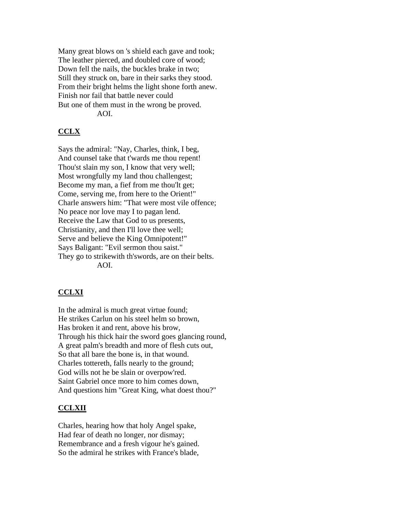Many great blows on 's shield each gave and took; The leather pierced, and doubled core of wood; Down fell the nails, the buckles brake in two; Still they struck on, bare in their sarks they stood. From their bright helms the light shone forth anew. Finish nor fail that battle never could But one of them must in the wrong be proved. AOI.

# **CCLX**

Says the admiral: "Nay, Charles, think, I beg, And counsel take that t'wards me thou repent! Thou'st slain my son, I know that very well; Most wrongfully my land thou challengest; Become my man, a fief from me thou'lt get; Come, serving me, from here to the Orient!" Charle answers him: "That were most vile offence; No peace nor love may I to pagan lend. Receive the Law that God to us presents, Christianity, and then I'll love thee well; Serve and believe the King Omnipotent!" Says Baligant: "Evil sermon thou saist." They go to strikewith th'swords, are on their belts. AOI.

# **CCLXI**

In the admiral is much great virtue found; He strikes Carlun on his steel helm so brown, Has broken it and rent, above his brow, Through his thick hair the sword goes glancing round, A great palm's breadth and more of flesh cuts out, So that all bare the bone is, in that wound. Charles tottereth, falls nearly to the ground; God wills not he be slain or overpow'red. Saint Gabriel once more to him comes down, And questions him "Great King, what doest thou?"

### **CCLXII**

Charles, hearing how that holy Angel spake, Had fear of death no longer, nor dismay; Remembrance and a fresh vigour he's gained. So the admiral he strikes with France's blade,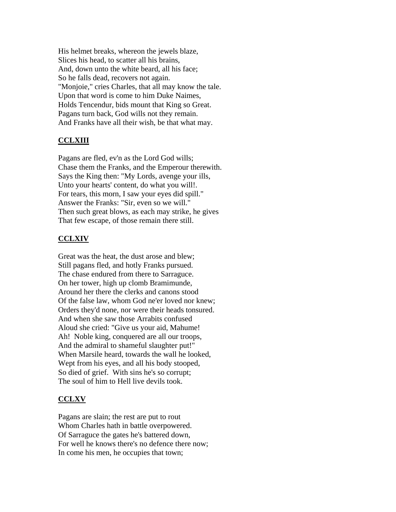His helmet breaks, whereon the jewels blaze, Slices his head, to scatter all his brains, And, down unto the white beard, all his face; So he falls dead, recovers not again. "Monjoie," cries Charles, that all may know the tale. Upon that word is come to him Duke Naimes, Holds Tencendur, bids mount that King so Great. Pagans turn back, God wills not they remain. And Franks have all their wish, be that what may.

## **CCLXIII**

Pagans are fled, ev'n as the Lord God wills; Chase them the Franks, and the Emperour therewith. Says the King then: "My Lords, avenge your ills, Unto your hearts' content, do what you will!. For tears, this morn, I saw your eyes did spill." Answer the Franks: "Sir, even so we will." Then such great blows, as each may strike, he gives That few escape, of those remain there still.

## **CCLXIV**

Great was the heat, the dust arose and blew; Still pagans fled, and hotly Franks pursued. The chase endured from there to Sarraguce. On her tower, high up clomb Bramimunde, Around her there the clerks and canons stood Of the false law, whom God ne'er loved nor knew; Orders they'd none, nor were their heads tonsured. And when she saw those Arrabits confused Aloud she cried: "Give us your aid, Mahume! Ah! Noble king, conquered are all our troops, And the admiral to shameful slaughter put!" When Marsile heard, towards the wall he looked, Wept from his eyes, and all his body stooped, So died of grief. With sins he's so corrupt; The soul of him to Hell live devils took.

### **CCLXV**

Pagans are slain; the rest are put to rout Whom Charles hath in battle overpowered. Of Sarraguce the gates he's battered down, For well he knows there's no defence there now; In come his men, he occupies that town;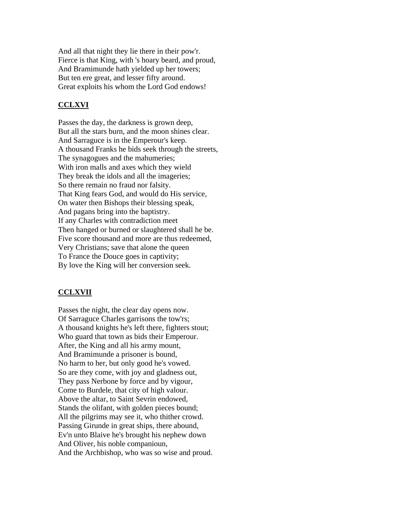And all that night they lie there in their pow'r. Fierce is that King, with 's hoary beard, and proud, And Bramimunde hath yielded up her towers; But ten ere great, and lesser fifty around. Great exploits his whom the Lord God endows!

## **CCLXVI**

Passes the day, the darkness is grown deep, But all the stars burn, and the moon shines clear. And Sarraguce is in the Emperour's keep. A thousand Franks he bids seek through the streets, The synagogues and the mahumeries; With iron malls and axes which they wield They break the idols and all the imageries; So there remain no fraud nor falsity. That King fears God, and would do His service, On water then Bishops their blessing speak, And pagans bring into the baptistry. If any Charles with contradiction meet Then hanged or burned or slaughtered shall he be. Five score thousand and more are thus redeemed, Very Christians; save that alone the queen To France the Douce goes in captivity; By love the King will her conversion seek.

### **CCLXVII**

Passes the night, the clear day opens now. Of Sarraguce Charles garrisons the tow'rs; A thousand knights he's left there, fighters stout; Who guard that town as bids their Emperour. After, the King and all his army mount, And Bramimunde a prisoner is bound, No harm to her, but only good he's vowed. So are they come, with joy and gladness out, They pass Nerbone by force and by vigour, Come to Burdele, that city of high valour. Above the altar, to Saint Sevrin endowed, Stands the olifant, with golden pieces bound; All the pilgrims may see it, who thither crowd. Passing Girunde in great ships, there abound, Ev'n unto Blaive he's brought his nephew down And Oliver, his noble companioun, And the Archbishop, who was so wise and proud.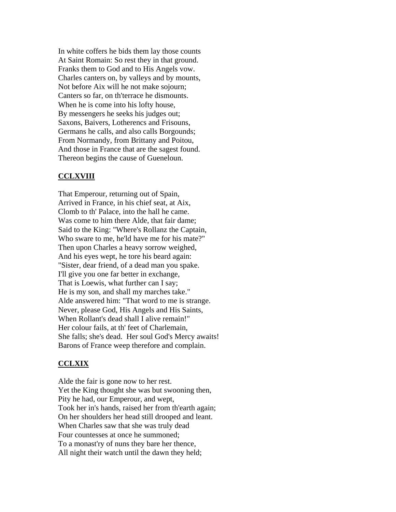In white coffers he bids them lay those counts At Saint Romain: So rest they in that ground. Franks them to God and to His Angels vow. Charles canters on, by valleys and by mounts, Not before Aix will he not make sojourn; Canters so far, on th'terrace he dismounts. When he is come into his lofty house, By messengers he seeks his judges out; Saxons, Baivers, Lotherencs and Frisouns, Germans he calls, and also calls Borgounds; From Normandy, from Brittany and Poitou, And those in France that are the sagest found. Thereon begins the cause of Gueneloun.

## **CCLXVIII**

That Emperour, returning out of Spain, Arrived in France, in his chief seat, at Aix, Clomb to th' Palace, into the hall he came. Was come to him there Alde, that fair dame; Said to the King: "Where's Rollanz the Captain, Who sware to me, he'ld have me for his mate?" Then upon Charles a heavy sorrow weighed, And his eyes wept, he tore his beard again: "Sister, dear friend, of a dead man you spake. I'll give you one far better in exchange, That is Loewis, what further can I say; He is my son, and shall my marches take." Alde answered him: "That word to me is strange. Never, please God, His Angels and His Saints, When Rollant's dead shall I alive remain!" Her colour fails, at th' feet of Charlemain, She falls; she's dead. Her soul God's Mercy awaits! Barons of France weep therefore and complain.

### **CCLXIX**

Alde the fair is gone now to her rest. Yet the King thought she was but swooning then, Pity he had, our Emperour, and wept, Took her in's hands, raised her from th'earth again; On her shoulders her head still drooped and leant. When Charles saw that she was truly dead Four countesses at once he summoned; To a monast'ry of nuns they bare her thence, All night their watch until the dawn they held;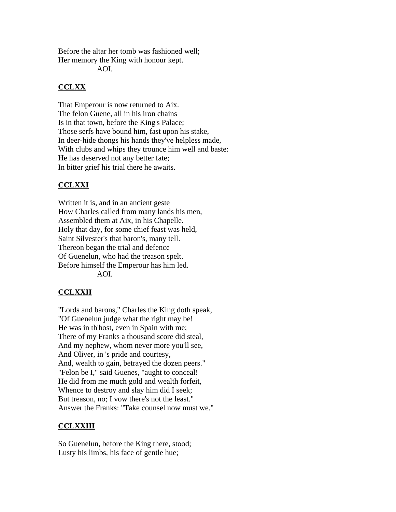Before the altar her tomb was fashioned well; Her memory the King with honour kept.

AOI.

# **CCLXX**

That Emperour is now returned to Aix. The felon Guene, all in his iron chains Is in that town, before the King's Palace; Those serfs have bound him, fast upon his stake, In deer-hide thongs his hands they've helpless made, With clubs and whips they trounce him well and baste: He has deserved not any better fate; In bitter grief his trial there he awaits.

# **CCLXXI**

Written it is, and in an ancient geste How Charles called from many lands his men, Assembled them at Aix, in his Chapelle. Holy that day, for some chief feast was held, Saint Silvester's that baron's, many tell. Thereon began the trial and defence Of Guenelun, who had the treason spelt. Before himself the Emperour has him led. AOI.

# **CCLXXII**

"Lords and barons," Charles the King doth speak, "Of Guenelun judge what the right may be! He was in th'host, even in Spain with me; There of my Franks a thousand score did steal, And my nephew, whom never more you'll see, And Oliver, in 's pride and courtesy, And, wealth to gain, betrayed the dozen peers." "Felon be I," said Guenes, "aught to conceal! He did from me much gold and wealth forfeit, Whence to destroy and slay him did I seek; But treason, no; I vow there's not the least." Answer the Franks: "Take counsel now must we."

# **CCLXXIII**

So Guenelun, before the King there, stood; Lusty his limbs, his face of gentle hue;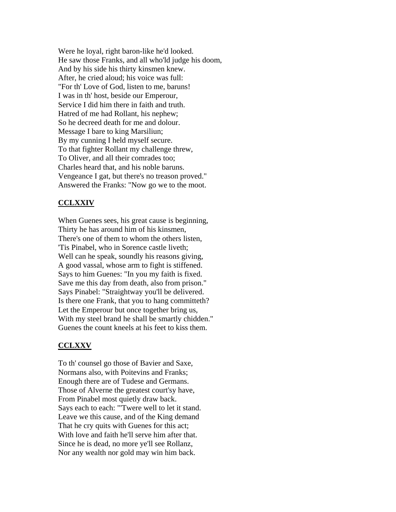Were he loyal, right baron-like he'd looked. He saw those Franks, and all who'ld judge his doom, And by his side his thirty kinsmen knew. After, he cried aloud; his voice was full: "For th' Love of God, listen to me, baruns! I was in th' host, beside our Emperour, Service I did him there in faith and truth. Hatred of me had Rollant, his nephew; So he decreed death for me and dolour. Message I bare to king Marsiliun; By my cunning I held myself secure. To that fighter Rollant my challenge threw, To Oliver, and all their comrades too; Charles heard that, and his noble baruns. Vengeance I gat, but there's no treason proved." Answered the Franks: "Now go we to the moot.

## **CCLXXIV**

When Guenes sees, his great cause is beginning, Thirty he has around him of his kinsmen, There's one of them to whom the others listen, 'Tis Pinabel, who in Sorence castle liveth; Well can he speak, soundly his reasons giving, A good vassal, whose arm to fight is stiffened. Says to him Guenes: "In you my faith is fixed. Save me this day from death, also from prison." Says Pinabel: "Straightway you'll be delivered. Is there one Frank, that you to hang committeth? Let the Emperour but once together bring us, With my steel brand he shall be smartly chidden." Guenes the count kneels at his feet to kiss them.

### **CCLXXV**

To th' counsel go those of Bavier and Saxe, Normans also, with Poitevins and Franks; Enough there are of Tudese and Germans. Those of Alverne the greatest court'sy have, From Pinabel most quietly draw back. Says each to each: "'Twere well to let it stand. Leave we this cause, and of the King demand That he cry quits with Guenes for this act; With love and faith he'll serve him after that. Since he is dead, no more ye'll see Rollanz, Nor any wealth nor gold may win him back.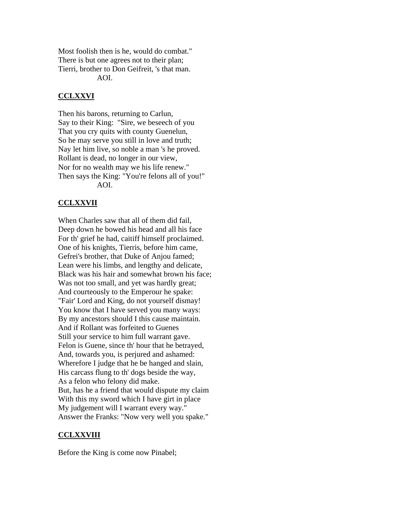Most foolish then is he, would do combat." There is but one agrees not to their plan; Tierri, brother to Don Geifreit, 's that man. AOI.

# **CCLXXVI**

Then his barons, returning to Carlun, Say to their King: "Sire, we beseech of you That you cry quits with county Guenelun, So he may serve you still in love and truth; Nay let him live, so noble a man 's he proved. Rollant is dead, no longer in our view, Nor for no wealth may we his life renew." Then says the King: "You're felons all of you!" AOI.

# **CCLXXVII**

When Charles saw that all of them did fail, Deep down he bowed his head and all his face For th' grief he had, caitiff himself proclaimed. One of his knights, Tierris, before him came, Gefrei's brother, that Duke of Anjou famed; Lean were his limbs, and lengthy and delicate, Black was his hair and somewhat brown his face; Was not too small, and yet was hardly great; And courteously to the Emperour he spake: "Fair' Lord and King, do not yourself dismay! You know that I have served you many ways: By my ancestors should I this cause maintain. And if Rollant was forfeited to Guenes Still your service to him full warrant gave. Felon is Guene, since th' hour that he betrayed, And, towards you, is perjured and ashamed: Wherefore I judge that he be hanged and slain, His carcass flung to th' dogs beside the way, As a felon who felony did make. But, has he a friend that would dispute my claim With this my sword which I have girt in place My judgement will I warrant every way." Answer the Franks: "Now very well you spake."

# **CCLXXVIII**

Before the King is come now Pinabel;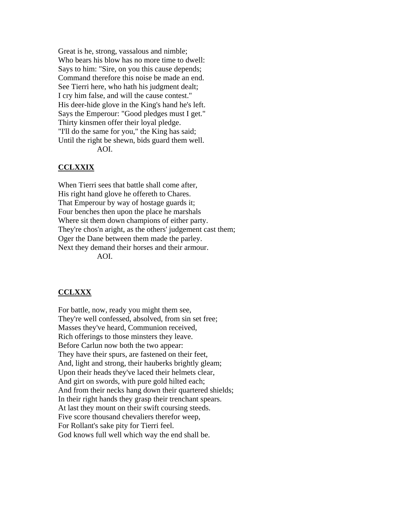Great is he, strong, vassalous and nimble; Who bears his blow has no more time to dwell: Says to him: "Sire, on you this cause depends; Command therefore this noise be made an end. See Tierri here, who hath his judgment dealt; I cry him false, and will the cause contest." His deer-hide glove in the King's hand he's left. Says the Emperour: "Good pledges must I get." Thirty kinsmen offer their loyal pledge. "I'll do the same for you," the King has said; Until the right be shewn, bids guard them well. AOI.

### **CCLXXIX**

When Tierri sees that battle shall come after, His right hand glove he offereth to Chares. That Emperour by way of hostage guards it; Four benches then upon the place he marshals Where sit them down champions of either party. They're chos'n aright, as the others' judgement cast them; Oger the Dane between them made the parley. Next they demand their horses and their armour. AOI.

#### **CCLXXX**

For battle, now, ready you might them see, They're well confessed, absolved, from sin set free; Masses they've heard, Communion received, Rich offerings to those minsters they leave. Before Carlun now both the two appear: They have their spurs, are fastened on their feet, And, light and strong, their hauberks brightly gleam; Upon their heads they've laced their helmets clear, And girt on swords, with pure gold hilted each; And from their necks hang down their quartered shields; In their right hands they grasp their trenchant spears. At last they mount on their swift coursing steeds. Five score thousand chevaliers therefor weep, For Rollant's sake pity for Tierri feel. God knows full well which way the end shall be.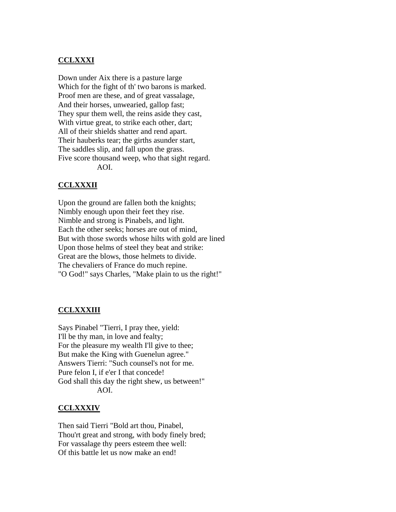## **CCLXXXI**

Down under Aix there is a pasture large Which for the fight of th' two barons is marked. Proof men are these, and of great vassalage, And their horses, unwearied, gallop fast; They spur them well, the reins aside they cast, With virtue great, to strike each other, dart; All of their shields shatter and rend apart. Their hauberks tear; the girths asunder start, The saddles slip, and fall upon the grass. Five score thousand weep, who that sight regard. AOI.

### **CCLXXXII**

Upon the ground are fallen both the knights; Nimbly enough upon their feet they rise. Nimble and strong is Pinabels, and light. Each the other seeks; horses are out of mind, But with those swords whose hilts with gold are lined Upon those helms of steel they beat and strike: Great are the blows, those helmets to divide. The chevaliers of France do much repine. "O God!" says Charles, "Make plain to us the right!"

## **CCLXXXIII**

Says Pinabel "Tierri, I pray thee, yield: I'll be thy man, in love and fealty; For the pleasure my wealth I'll give to thee; But make the King with Guenelun agree." Answers Tierri: "Such counsel's not for me. Pure felon I, if e'er I that concede! God shall this day the right shew, us between!" AOI.

#### **CCLXXXIV**

Then said Tierri "Bold art thou, Pinabel, Thou'rt great and strong, with body finely bred; For vassalage thy peers esteem thee well: Of this battle let us now make an end!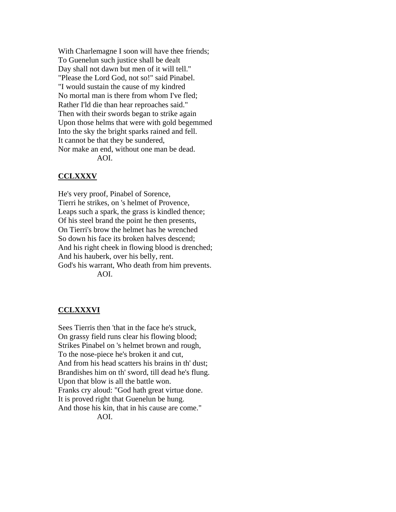With Charlemagne I soon will have thee friends; To Guenelun such justice shall be dealt Day shall not dawn but men of it will tell." "Please the Lord God, not so!" said Pinabel. "I would sustain the cause of my kindred No mortal man is there from whom I've fled; Rather I'ld die than hear reproaches said." Then with their swords began to strike again Upon those helms that were with gold begemmed Into the sky the bright sparks rained and fell. It cannot be that they be sundered, Nor make an end, without one man be dead. AOI.

# **CCLXXXV**

He's very proof, Pinabel of Sorence, Tierri he strikes, on 's helmet of Provence, Leaps such a spark, the grass is kindled thence; Of his steel brand the point he then presents, On Tierri's brow the helmet has he wrenched So down his face its broken halves descend; And his right cheek in flowing blood is drenched; And his hauberk, over his belly, rent. God's his warrant, Who death from him prevents. AOI.

# **CCLXXXVI**

Sees Tierris then 'that in the face he's struck, On grassy field runs clear his flowing blood; Strikes Pinabel on 's helmet brown and rough, To the nose-piece he's broken it and cut, And from his head scatters his brains in th' dust; Brandishes him on th' sword, till dead he's flung. Upon that blow is all the battle won. Franks cry aloud: "God hath great virtue done. It is proved right that Guenelun be hung. And those his kin, that in his cause are come." AOI.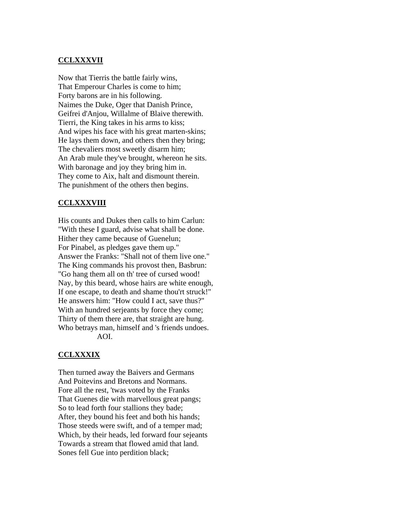# **CCLXXXVII**

Now that Tierris the battle fairly wins, That Emperour Charles is come to him; Forty barons are in his following. Naimes the Duke, Oger that Danish Prince, Geifrei d'Anjou, Willalme of Blaive therewith. Tierri, the King takes in his arms to kiss; And wipes his face with his great marten-skins; He lays them down, and others then they bring; The chevaliers most sweetly disarm him; An Arab mule they've brought, whereon he sits. With baronage and joy they bring him in. They come to Aix, halt and dismount therein. The punishment of the others then begins.

# **CCLXXXVIII**

His counts and Dukes then calls to him Carlun: "With these I guard, advise what shall be done. Hither they came because of Guenelun; For Pinabel, as pledges gave them up." Answer the Franks: "Shall not of them live one." The King commands his provost then, Basbrun: "Go hang them all on th' tree of cursed wood! Nay, by this beard, whose hairs are white enough, If one escape, to death and shame thou'rt struck!" He answers him: "How could I act, save thus?" With an hundred serjeants by force they come; Thirty of them there are, that straight are hung. Who betrays man, himself and 's friends undoes. AOI.

### **CCLXXXIX**

Then turned away the Baivers and Germans And Poitevins and Bretons and Normans. Fore all the rest, 'twas voted by the Franks That Guenes die with marvellous great pangs; So to lead forth four stallions they bade; After, they bound his feet and both his hands; Those steeds were swift, and of a temper mad; Which, by their heads, led forward four sejeants Towards a stream that flowed amid that land. Sones fell Gue into perdition black;